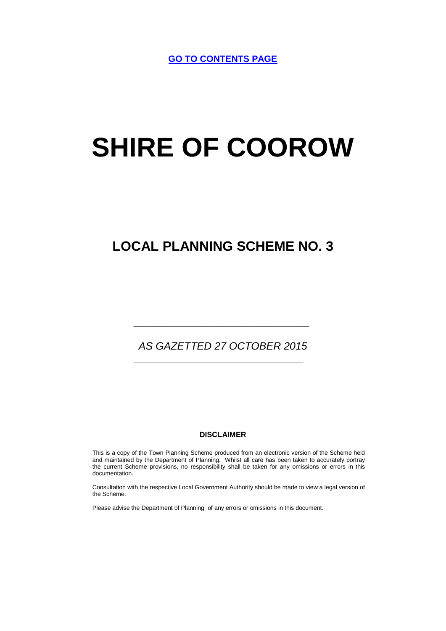**[GO TO CONTENTS PAGE](#page-5-0)**

# **SHIRE OF COOROW**

# **LOCAL PLANNING SCHEME NO. 3**

# *AS GAZETTED 27 OCTOBER 2015*

*\_\_\_\_\_\_\_\_\_\_\_\_\_\_\_\_\_\_\_\_\_\_\_\_\_\_\_\_\_*

*\_\_\_\_\_\_\_\_\_\_\_\_\_\_\_\_\_\_\_\_\_\_\_\_\_\_\_\_\_\_*

#### **DISCLAIMER**

This is a copy of the Town Planning Scheme produced from an electronic version of the Scheme held and maintained by the Department of Planning. Whilst all care has been taken to accurately portray the current Scheme provisions, no responsibility shall be taken for any omissions or errors in this documentation.

Consultation with the respective Local Government Authority should be made to view a legal version of the Scheme.

Please advise the Department of Planning of any errors or omissions in this document.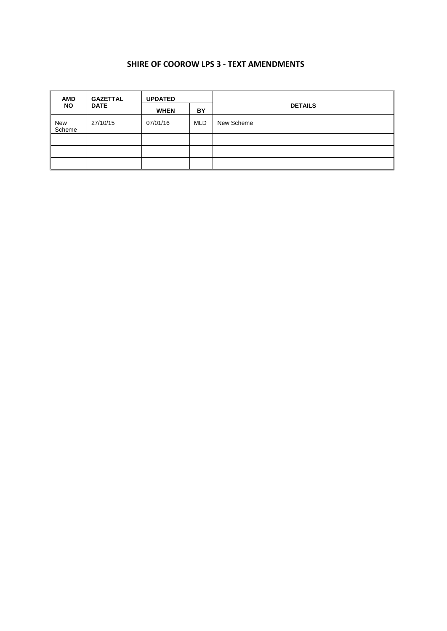### **SHIRE OF COOROW LPS 3 - TEXT AMENDMENTS**

| <b>AMD</b>    | <b>GAZETTAL</b> | <b>UPDATED</b> |            |                |
|---------------|-----------------|----------------|------------|----------------|
| <b>NO</b>     | <b>DATE</b>     | <b>WHEN</b>    | BY         | <b>DETAILS</b> |
| New<br>Scheme | 27/10/15        | 07/01/16       | <b>MLD</b> | New Scheme     |
|               |                 |                |            |                |
|               |                 |                |            |                |
|               |                 |                |            |                |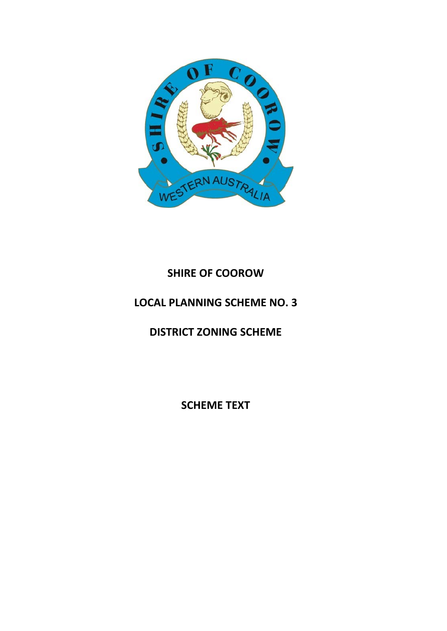

# **SHIRE OF COOROW**

# **LOCAL PLANNING SCHEME NO. 3**

**DISTRICT ZONING SCHEME**

**SCHEME TEXT**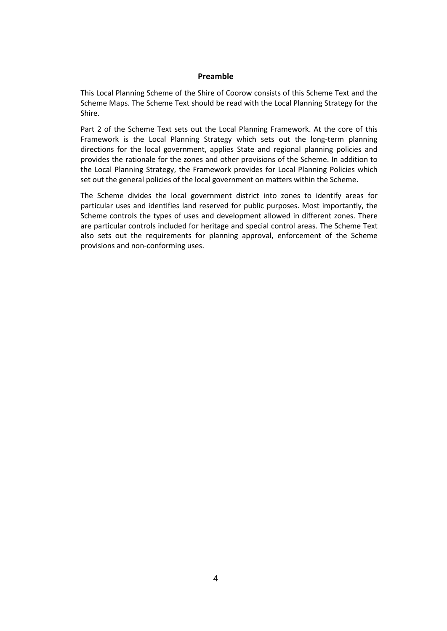#### **Preamble**

This Local Planning Scheme of the Shire of Coorow consists of this Scheme Text and the Scheme Maps. The Scheme Text should be read with the Local Planning Strategy for the Shire.

Part 2 of the Scheme Text sets out the Local Planning Framework. At the core of this Framework is the Local Planning Strategy which sets out the long-term planning directions for the local government, applies State and regional planning policies and provides the rationale for the zones and other provisions of the Scheme. In addition to the Local Planning Strategy, the Framework provides for Local Planning Policies which set out the general policies of the local government on matters within the Scheme.

The Scheme divides the local government district into zones to identify areas for particular uses and identifies land reserved for public purposes. Most importantly, the Scheme controls the types of uses and development allowed in different zones. There are particular controls included for heritage and special control areas. The Scheme Text also sets out the requirements for planning approval, enforcement of the Scheme provisions and non-conforming uses.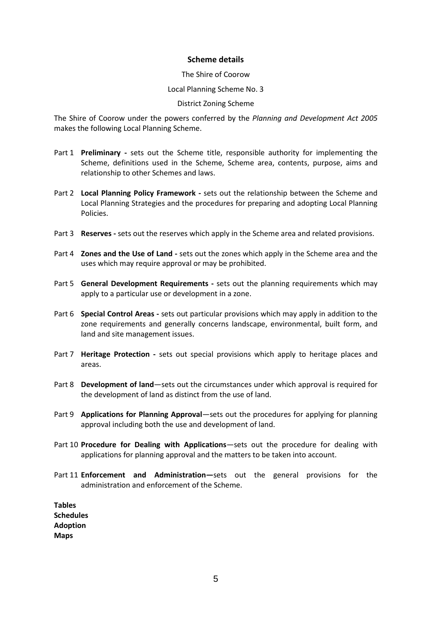#### **Scheme details**

#### The Shire of Coorow

#### Local Planning Scheme No. 3

#### District Zoning Scheme

The Shire of Coorow under the powers conferred by the *Planning and Development Act 2005*  makes the following Local Planning Scheme.

- Part 1 **Preliminary -** sets out the Scheme title, responsible authority for implementing the Scheme, definitions used in the Scheme, Scheme area, contents, purpose, aims and relationship to other Schemes and laws.
- Part 2 **Local Planning Policy Framework -** sets out the relationship between the Scheme and Local Planning Strategies and the procedures for preparing and adopting Local Planning Policies.
- Part 3 **Reserves -** sets out the reserves which apply in the Scheme area and related provisions.
- Part 4 **Zones and the Use of Land -** sets out the zones which apply in the Scheme area and the uses which may require approval or may be prohibited.
- Part 5 **General Development Requirements -** sets out the planning requirements which may apply to a particular use or development in a zone.
- Part 6 **Special Control Areas -** sets out particular provisions which may apply in addition to the zone requirements and generally concerns landscape, environmental, built form, and land and site management issues.
- Part 7 **Heritage Protection -** sets out special provisions which apply to heritage places and areas.
- Part 8 **Development of land**—sets out the circumstances under which approval is required for the development of land as distinct from the use of land.
- Part 9 **Applications for Planning Approval**—sets out the procedures for applying for planning approval including both the use and development of land.
- Part 10 **Procedure for Dealing with Applications**—sets out the procedure for dealing with applications for planning approval and the matters to be taken into account.
- Part 11 **Enforcement and Administration—**sets out the general provisions for the administration and enforcement of the Scheme.

**Tables Schedules Adoption Maps**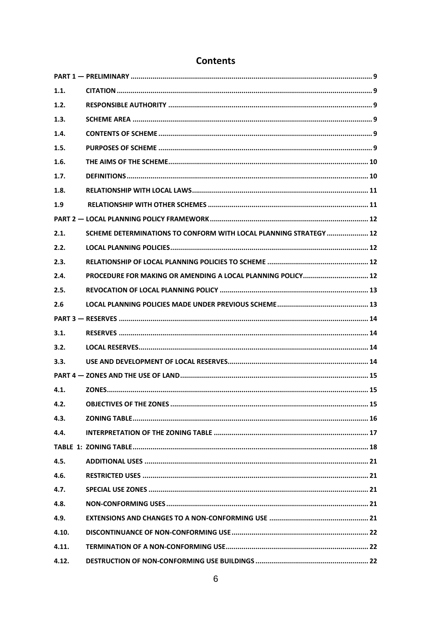<span id="page-5-0"></span>

| 1.1.  |                                                                   |  |
|-------|-------------------------------------------------------------------|--|
| 1.2.  |                                                                   |  |
| 1.3.  |                                                                   |  |
| 1.4.  |                                                                   |  |
| 1.5.  |                                                                   |  |
| 1.6.  |                                                                   |  |
| 1.7.  |                                                                   |  |
| 1.8.  |                                                                   |  |
| 1.9   |                                                                   |  |
|       |                                                                   |  |
| 2.1.  | SCHEME DETERMINATIONS TO CONFORM WITH LOCAL PLANNING STRATEGY  12 |  |
| 2.2.  |                                                                   |  |
| 2.3.  |                                                                   |  |
| 2.4.  | PROCEDURE FOR MAKING OR AMENDING A LOCAL PLANNING POLICY 12       |  |
| 2.5.  |                                                                   |  |
| 2.6   |                                                                   |  |
|       |                                                                   |  |
| 3.1.  |                                                                   |  |
| 3.2.  |                                                                   |  |
| 3.3.  |                                                                   |  |
|       |                                                                   |  |
| 4.1.  |                                                                   |  |
| 4.2.  |                                                                   |  |
| 4.3.  |                                                                   |  |
| 4.4.  |                                                                   |  |
|       |                                                                   |  |
| 4.5.  |                                                                   |  |
| 4.6.  |                                                                   |  |
| 4.7.  |                                                                   |  |
| 4.8.  |                                                                   |  |
| 4.9.  |                                                                   |  |
| 4.10. |                                                                   |  |
| 4.11. |                                                                   |  |
| 4.12. |                                                                   |  |

# **Contents**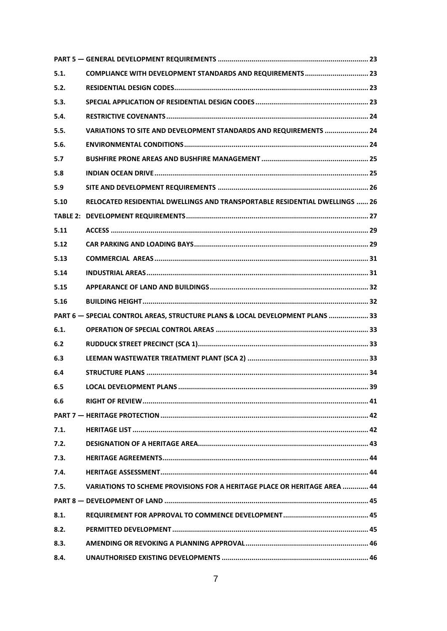| 5.1. | COMPLIANCE WITH DEVELOPMENT STANDARDS AND REQUIREMENTS  23                    |  |
|------|-------------------------------------------------------------------------------|--|
| 5.2. |                                                                               |  |
| 5.3. |                                                                               |  |
| 5.4. |                                                                               |  |
| 5.5. | VARIATIONS TO SITE AND DEVELOPMENT STANDARDS AND REQUIREMENTS  24             |  |
| 5.6. |                                                                               |  |
| 5.7  |                                                                               |  |
| 5.8  |                                                                               |  |
| 5.9  |                                                                               |  |
| 5.10 | RELOCATED RESIDENTIAL DWELLINGS AND TRANSPORTABLE RESIDENTIAL DWELLINGS  26   |  |
|      |                                                                               |  |
| 5.11 |                                                                               |  |
| 5.12 |                                                                               |  |
| 5.13 |                                                                               |  |
| 5.14 |                                                                               |  |
| 5.15 |                                                                               |  |
| 5.16 |                                                                               |  |
|      | PART 6 - SPECIAL CONTROL AREAS, STRUCTURE PLANS & LOCAL DEVELOPMENT PLANS  33 |  |
| 6.1. |                                                                               |  |
| 6.2  |                                                                               |  |
| 6.3  |                                                                               |  |
| 6.4  |                                                                               |  |
| 6.5  |                                                                               |  |
| 6.6  |                                                                               |  |
|      |                                                                               |  |
| 7.1. |                                                                               |  |
| 7.2. |                                                                               |  |
| 7.3. |                                                                               |  |
| 7.4. |                                                                               |  |
| 7.5. | VARIATIONS TO SCHEME PROVISIONS FOR A HERITAGE PLACE OR HERITAGE AREA  44     |  |
|      |                                                                               |  |
| 8.1. |                                                                               |  |
| 8.2. |                                                                               |  |
| 8.3. |                                                                               |  |
| 8.4. |                                                                               |  |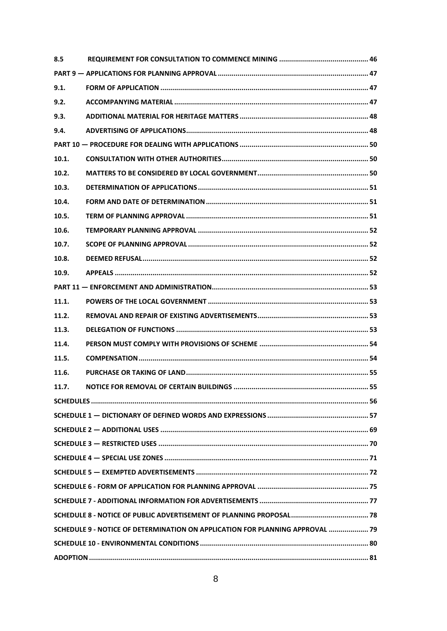| 8.5   |                                                                               |  |  |  |  |  |  |
|-------|-------------------------------------------------------------------------------|--|--|--|--|--|--|
|       |                                                                               |  |  |  |  |  |  |
| 9.1.  |                                                                               |  |  |  |  |  |  |
| 9.2.  |                                                                               |  |  |  |  |  |  |
| 9.3.  |                                                                               |  |  |  |  |  |  |
| 9.4.  |                                                                               |  |  |  |  |  |  |
|       |                                                                               |  |  |  |  |  |  |
| 10.1. |                                                                               |  |  |  |  |  |  |
| 10.2. |                                                                               |  |  |  |  |  |  |
| 10.3. |                                                                               |  |  |  |  |  |  |
| 10.4. |                                                                               |  |  |  |  |  |  |
| 10.5. |                                                                               |  |  |  |  |  |  |
| 10.6. |                                                                               |  |  |  |  |  |  |
| 10.7. |                                                                               |  |  |  |  |  |  |
| 10.8. |                                                                               |  |  |  |  |  |  |
| 10.9. |                                                                               |  |  |  |  |  |  |
|       |                                                                               |  |  |  |  |  |  |
| 11.1. |                                                                               |  |  |  |  |  |  |
| 11.2. |                                                                               |  |  |  |  |  |  |
| 11.3. |                                                                               |  |  |  |  |  |  |
| 11.4. |                                                                               |  |  |  |  |  |  |
| 11.5. |                                                                               |  |  |  |  |  |  |
| 11.6. |                                                                               |  |  |  |  |  |  |
| 11.7. |                                                                               |  |  |  |  |  |  |
|       |                                                                               |  |  |  |  |  |  |
|       |                                                                               |  |  |  |  |  |  |
|       |                                                                               |  |  |  |  |  |  |
|       |                                                                               |  |  |  |  |  |  |
|       |                                                                               |  |  |  |  |  |  |
|       |                                                                               |  |  |  |  |  |  |
|       |                                                                               |  |  |  |  |  |  |
|       |                                                                               |  |  |  |  |  |  |
|       |                                                                               |  |  |  |  |  |  |
|       | SCHEDULE 9 - NOTICE OF DETERMINATION ON APPLICATION FOR PLANNING APPROVAL  79 |  |  |  |  |  |  |
|       |                                                                               |  |  |  |  |  |  |
|       |                                                                               |  |  |  |  |  |  |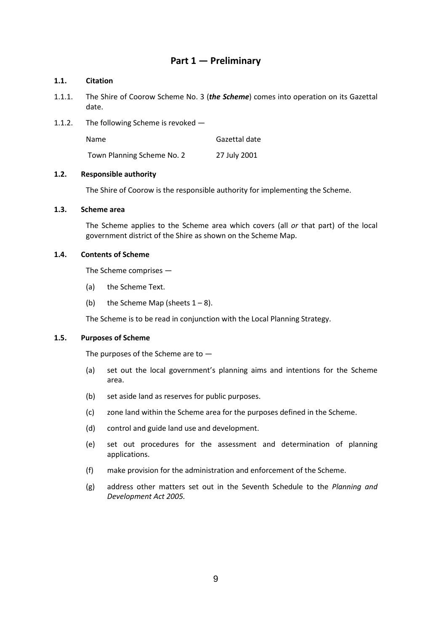# **Part 1 — Preliminary**

#### <span id="page-8-1"></span><span id="page-8-0"></span>**1.1. Citation**

- 1.1.1. The Shire of Coorow Scheme No. 3 (*the Scheme*) comes into operation on its Gazettal date.
- 1.1.2. The following Scheme is revoked —

Name Gazettal date

Town Planning Scheme No. 2 27 July 2001

#### <span id="page-8-2"></span>**1.2. Responsible authority**

The Shire of Coorow is the responsible authority for implementing the Scheme.

#### <span id="page-8-3"></span>**1.3. Scheme area**

The Scheme applies to the Scheme area which covers (all *or* that part) of the local government district of the Shire as shown on the Scheme Map.

#### <span id="page-8-4"></span>**1.4. Contents of Scheme**

The Scheme comprises —

- (a) the Scheme Text.
- (b) the Scheme Map (sheets  $1 8$ ).

The Scheme is to be read in conjunction with the Local Planning Strategy.

#### <span id="page-8-5"></span>**1.5. Purposes of Scheme**

The purposes of the Scheme are to  $-$ 

- (a) set out the local government's planning aims and intentions for the Scheme area.
- (b) set aside land as reserves for public purposes.
- (c) zone land within the Scheme area for the purposes defined in the Scheme.
- (d) control and guide land use and development.
- (e) set out procedures for the assessment and determination of planning applications.
- (f) make provision for the administration and enforcement of the Scheme.
- (g) address other matters set out in the Seventh Schedule to the *Planning and Development Act 2005.*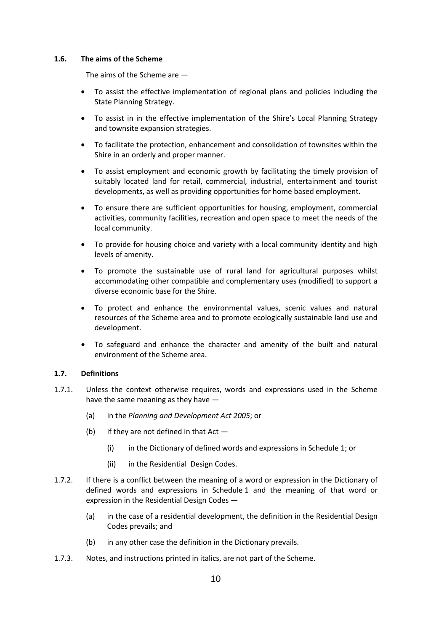#### <span id="page-9-0"></span>**1.6. The aims of the Scheme**

The aims of the Scheme are —

- To assist the effective implementation of regional plans and policies including the State Planning Strategy.
- To assist in in the effective implementation of the Shire's Local Planning Strategy and townsite expansion strategies.
- To facilitate the protection, enhancement and consolidation of townsites within the Shire in an orderly and proper manner.
- To assist employment and economic growth by facilitating the timely provision of suitably located land for retail, commercial, industrial, entertainment and tourist developments, as well as providing opportunities for home based employment.
- To ensure there are sufficient opportunities for housing, employment, commercial activities, community facilities, recreation and open space to meet the needs of the local community.
- To provide for housing choice and variety with a local community identity and high levels of amenity.
- To promote the sustainable use of rural land for agricultural purposes whilst accommodating other compatible and complementary uses (modified) to support a diverse economic base for the Shire.
- To protect and enhance the environmental values, scenic values and natural resources of the Scheme area and to promote ecologically sustainable land use and development.
- To safeguard and enhance the character and amenity of the built and natural environment of the Scheme area.

#### <span id="page-9-1"></span>**1.7. Definitions**

- 1.7.1. Unless the context otherwise requires, words and expressions used in the Scheme have the same meaning as they have —
	- (a) in the *Planning and Development Act 2005*; or
	- (b) if they are not defined in that  $Act -$ 
		- (i) in the Dictionary of defined words and expressions in Schedule 1; or
		- (ii) in the Residential Design Codes.
- 1.7.2. If there is a conflict between the meaning of a word or expression in the Dictionary of defined words and expressions in Schedule 1 and the meaning of that word or expression in the Residential Design Codes —
	- (a) in the case of a residential development, the definition in the Residential Design Codes prevails; and
	- (b) in any other case the definition in the Dictionary prevails.
- 1.7.3. Notes, and instructions printed in italics, are not part of the Scheme.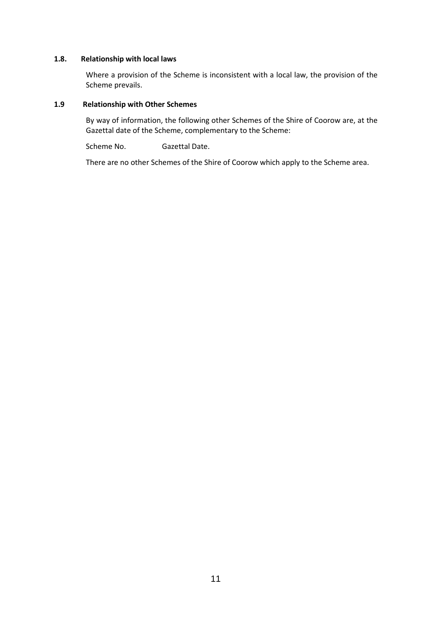#### <span id="page-10-0"></span>**1.8. Relationship with local laws**

Where a provision of the Scheme is inconsistent with a local law, the provision of the Scheme prevails.

#### <span id="page-10-1"></span>**1.9 Relationship with Other Schemes**

By way of information, the following other Schemes of the Shire of Coorow are, at the Gazettal date of the Scheme, complementary to the Scheme:

Scheme No. Gazettal Date.

There are no other Schemes of the Shire of Coorow which apply to the Scheme area.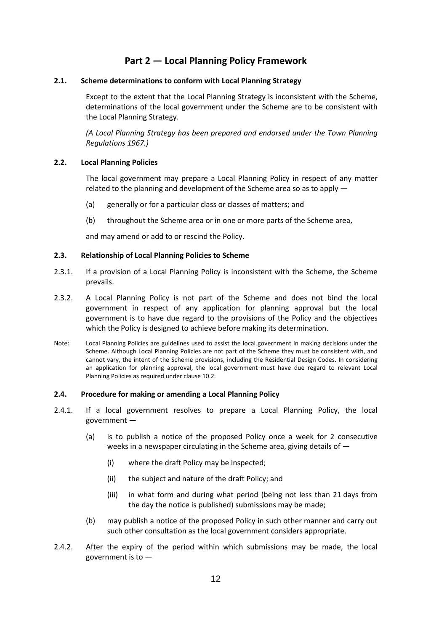# **Part 2 — Local Planning Policy Framework**

#### <span id="page-11-1"></span><span id="page-11-0"></span>**2.1. Scheme determinations to conform with Local Planning Strategy**

Except to the extent that the Local Planning Strategy is inconsistent with the Scheme, determinations of the local government under the Scheme are to be consistent with the Local Planning Strategy.

*(A Local Planning Strategy has been prepared and endorsed under the Town Planning Regulations 1967.)*

#### <span id="page-11-2"></span>**2.2. Local Planning Policies**

The local government may prepare a Local Planning Policy in respect of any matter related to the planning and development of the Scheme area so as to apply —

- (a) generally or for a particular class or classes of matters; and
- (b) throughout the Scheme area or in one or more parts of the Scheme area,

and may amend or add to or rescind the Policy.

#### <span id="page-11-3"></span>**2.3. Relationship of Local Planning Policies to Scheme**

- 2.3.1. If a provision of a Local Planning Policy is inconsistent with the Scheme, the Scheme prevails.
- 2.3.2. A Local Planning Policy is not part of the Scheme and does not bind the local government in respect of any application for planning approval but the local government is to have due regard to the provisions of the Policy and the objectives which the Policy is designed to achieve before making its determination.
- Note: Local Planning Policies are guidelines used to assist the local government in making decisions under the Scheme. Although Local Planning Policies are not part of the Scheme they must be consistent with, and cannot vary, the intent of the Scheme provisions, including the Residential Design Codes. In considering an application for planning approval, the local government must have due regard to relevant Local Planning Policies as required under clause 10.2.

#### <span id="page-11-4"></span>**2.4. Procedure for making or amending a Local Planning Policy**

- 2.4.1. If a local government resolves to prepare a Local Planning Policy, the local government —
	- (a) is to publish a notice of the proposed Policy once a week for 2 consecutive weeks in a newspaper circulating in the Scheme area, giving details of —
		- (i) where the draft Policy may be inspected;
		- (ii) the subject and nature of the draft Policy; and
		- (iii) in what form and during what period (being not less than 21 days from the day the notice is published) submissions may be made;
	- (b) may publish a notice of the proposed Policy in such other manner and carry out such other consultation as the local government considers appropriate.
- 2.4.2. After the expiry of the period within which submissions may be made, the local government is to —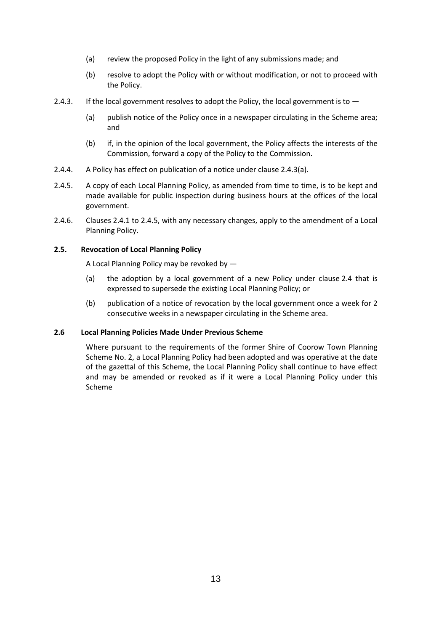- (a) review the proposed Policy in the light of any submissions made; and
- (b) resolve to adopt the Policy with or without modification, or not to proceed with the Policy.
- 2.4.3. If the local government resolves to adopt the Policy, the local government is to  $-$ 
	- (a) publish notice of the Policy once in a newspaper circulating in the Scheme area; and
	- (b) if, in the opinion of the local government, the Policy affects the interests of the Commission, forward a copy of the Policy to the Commission.
- 2.4.4. A Policy has effect on publication of a notice under clause 2.4.3(a).
- 2.4.5. A copy of each Local Planning Policy, as amended from time to time, is to be kept and made available for public inspection during business hours at the offices of the local government.
- 2.4.6. Clauses 2.4.1 to 2.4.5, with any necessary changes, apply to the amendment of a Local Planning Policy.

#### <span id="page-12-0"></span>**2.5. Revocation of Local Planning Policy**

A Local Planning Policy may be revoked by —

- (a) the adoption by a local government of a new Policy under clause 2.4 that is expressed to supersede the existing Local Planning Policy; or
- (b) publication of a notice of revocation by the local government once a week for 2 consecutive weeks in a newspaper circulating in the Scheme area.

#### <span id="page-12-1"></span>**2.6 Local Planning Policies Made Under Previous Scheme**

Where pursuant to the requirements of the former Shire of Coorow Town Planning Scheme No. 2, a Local Planning Policy had been adopted and was operative at the date of the gazettal of this Scheme, the Local Planning Policy shall continue to have effect and may be amended or revoked as if it were a Local Planning Policy under this Scheme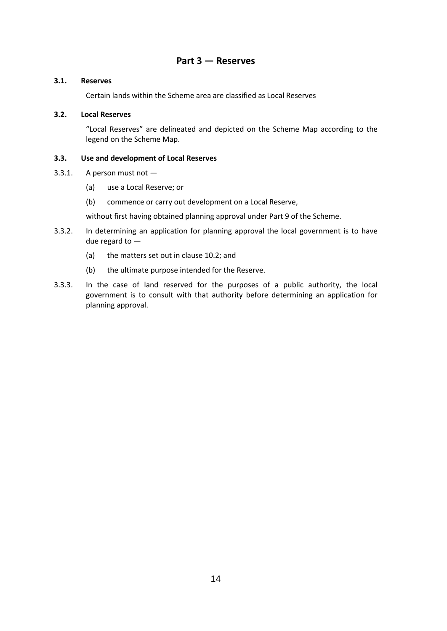## **Part 3 — Reserves**

#### <span id="page-13-1"></span><span id="page-13-0"></span>**3.1. Reserves**

Certain lands within the Scheme area are classified as Local Reserves

#### <span id="page-13-2"></span>**3.2. Local Reserves**

"Local Reserves" are delineated and depicted on the Scheme Map according to the legend on the Scheme Map.

#### <span id="page-13-3"></span>**3.3. Use and development of Local Reserves**

- 3.3.1. A person must not
	- (a) use a Local Reserve; or
	- (b) commence or carry out development on a Local Reserve,

without first having obtained planning approval under Part 9 of the Scheme.

- 3.3.2. In determining an application for planning approval the local government is to have due regard to —
	- (a) the matters set out in clause 10.2; and
	- (b) the ultimate purpose intended for the Reserve.
- 3.3.3. In the case of land reserved for the purposes of a public authority, the local government is to consult with that authority before determining an application for planning approval.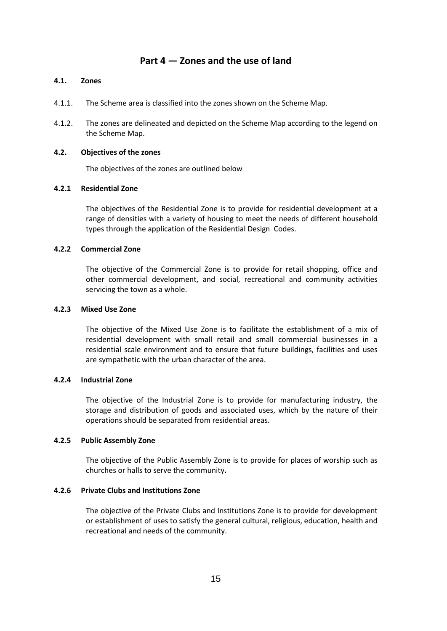## **Part 4 — Zones and the use of land**

#### <span id="page-14-1"></span><span id="page-14-0"></span>**4.1. Zones**

- 4.1.1. The Scheme area is classified into the zones shown on the Scheme Map.
- 4.1.2. The zones are delineated and depicted on the Scheme Map according to the legend on the Scheme Map.

#### <span id="page-14-2"></span>**4.2. Objectives of the zones**

The objectives of the zones are outlined below

#### **4.2.1 Residential Zone**

The objectives of the Residential Zone is to provide for residential development at a range of densities with a variety of housing to meet the needs of different household types through the application of the Residential Design Codes.

#### **4.2.2 Commercial Zone**

The objective of the Commercial Zone is to provide for retail shopping, office and other commercial development, and social, recreational and community activities servicing the town as a whole.

#### **4.2.3 Mixed Use Zone**

The objective of the Mixed Use Zone is to facilitate the establishment of a mix of residential development with small retail and small commercial businesses in a residential scale environment and to ensure that future buildings, facilities and uses are sympathetic with the urban character of the area.

#### **4.2.4 Industrial Zone**

The objective of the Industrial Zone is to provide for manufacturing industry, the storage and distribution of goods and associated uses, which by the nature of their operations should be separated from residential areas.

#### **4.2.5 Public Assembly Zone**

The objective of the Public Assembly Zone is to provide for places of worship such as churches or halls to serve the community**.**

#### **4.2.6 Private Clubs and Institutions Zone**

The objective of the Private Clubs and Institutions Zone is to provide for development or establishment of uses to satisfy the general cultural, religious, education, health and recreational and needs of the community.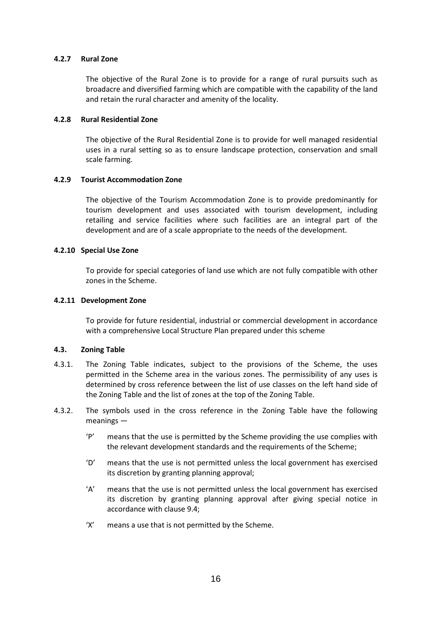#### **4.2.7 Rural Zone**

The objective of the Rural Zone is to provide for a range of rural pursuits such as broadacre and diversified farming which are compatible with the capability of the land and retain the rural character and amenity of the locality.

#### **4.2.8 Rural Residential Zone**

The objective of the Rural Residential Zone is to provide for well managed residential uses in a rural setting so as to ensure landscape protection, conservation and small scale farming.

#### **4.2.9 Tourist Accommodation Zone**

The objective of the Tourism Accommodation Zone is to provide predominantly for tourism development and uses associated with tourism development, including retailing and service facilities where such facilities are an integral part of the development and are of a scale appropriate to the needs of the development.

#### **4.2.10 Special Use Zone**

To provide for special categories of land use which are not fully compatible with other zones in the Scheme.

#### **4.2.11 Development Zone**

To provide for future residential, industrial or commercial development in accordance with a comprehensive Local Structure Plan prepared under this scheme

#### <span id="page-15-0"></span>**4.3. Zoning Table**

- 4.3.1. The Zoning Table indicates, subject to the provisions of the Scheme, the uses permitted in the Scheme area in the various zones. The permissibility of any uses is determined by cross reference between the list of use classes on the left hand side of the Zoning Table and the list of zones at the top of the Zoning Table.
- 4.3.2. The symbols used in the cross reference in the Zoning Table have the following meanings —
	- 'P' means that the use is permitted by the Scheme providing the use complies with the relevant development standards and the requirements of the Scheme;
	- 'D' means that the use is not permitted unless the local government has exercised its discretion by granting planning approval;
	- 'A' means that the use is not permitted unless the local government has exercised its discretion by granting planning approval after giving special notice in accordance with clause 9.4;
	- 'X' means a use that is not permitted by the Scheme.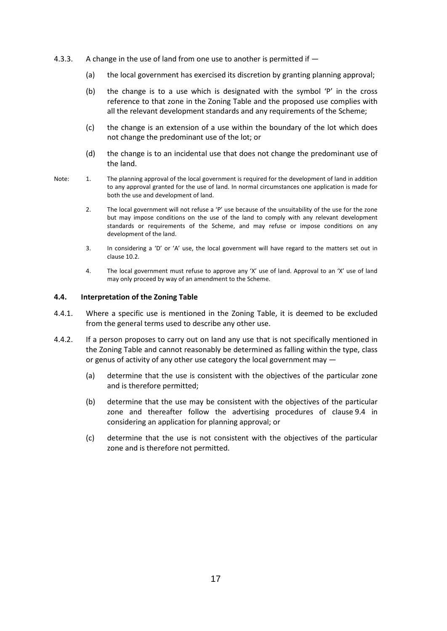- 4.3.3. A change in the use of land from one use to another is permitted if  $-$ 
	- (a) the local government has exercised its discretion by granting planning approval;
	- (b) the change is to a use which is designated with the symbol 'P' in the cross reference to that zone in the Zoning Table and the proposed use complies with all the relevant development standards and any requirements of the Scheme;
	- (c) the change is an extension of a use within the boundary of the lot which does not change the predominant use of the lot; or
	- (d) the change is to an incidental use that does not change the predominant use of the land.
- Note: 1. The planning approval of the local government is required for the development of land in addition to any approval granted for the use of land. In normal circumstances one application is made for both the use and development of land.
	- 2. The local government will not refuse a 'P' use because of the unsuitability of the use for the zone but may impose conditions on the use of the land to comply with any relevant development standards or requirements of the Scheme, and may refuse or impose conditions on any development of the land.
	- 3. In considering a 'D' or 'A' use, the local government will have regard to the matters set out in clause 10.2.
	- 4. The local government must refuse to approve any 'X' use of land. Approval to an 'X' use of land may only proceed by way of an amendment to the Scheme.

#### <span id="page-16-0"></span>**4.4. Interpretation of the Zoning Table**

- 4.4.1. Where a specific use is mentioned in the Zoning Table, it is deemed to be excluded from the general terms used to describe any other use.
- 4.4.2. If a person proposes to carry out on land any use that is not specifically mentioned in the Zoning Table and cannot reasonably be determined as falling within the type, class or genus of activity of any other use category the local government may —
	- (a) determine that the use is consistent with the objectives of the particular zone and is therefore permitted;
	- (b) determine that the use may be consistent with the objectives of the particular zone and thereafter follow the advertising procedures of clause 9.4 in considering an application for planning approval; or
	- (c) determine that the use is not consistent with the objectives of the particular zone and is therefore not permitted.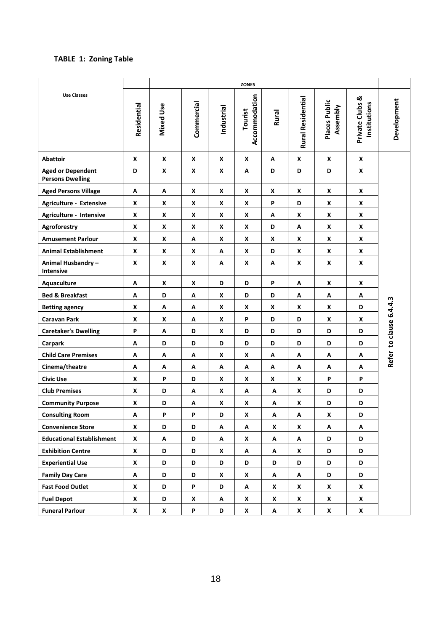## <span id="page-17-0"></span>**TABLE 1: Zoning Table**

|                                                     |                    |                    |            |            | <b>ZONES</b>             |                    |                   |                           |                                 |                         |
|-----------------------------------------------------|--------------------|--------------------|------------|------------|--------------------------|--------------------|-------------------|---------------------------|---------------------------------|-------------------------|
| <b>Use Classes</b>                                  | Residential        | Mixed Use          | Commercial | Industrial | Accommodation<br>Tourist | Rural              | Rural Residential | Places Public<br>Assembly | Private Clubs &<br>Institutions | Development             |
| <b>Abattoir</b>                                     | X                  | x                  | X          | X          | X                        | А                  | X                 | X                         | X                               |                         |
| <b>Aged or Dependent</b><br><b>Persons Dwelling</b> | D                  | $\boldsymbol{x}$   | X          | X          | Α                        | D                  | D                 | D                         | X                               |                         |
| <b>Aged Persons Village</b>                         | Α                  | Α                  | X          | X          | X                        | X                  | X                 | X                         | X                               |                         |
| Agriculture - Extensive                             | X                  | x                  | X          | X          | x                        | P                  | D                 | X                         | X                               |                         |
| Agriculture - Intensive                             | X                  | X                  | X          | X          | X                        | А                  | X                 | X                         | X                               |                         |
| Agroforestry                                        | X                  | X                  | X          | X          | X                        | D                  | Α                 | X                         | X                               |                         |
| <b>Amusement Parlour</b>                            | X                  | X                  | А          | X          | X                        | X                  | X                 | X                         | X                               |                         |
| <b>Animal Establishment</b>                         | X                  | x                  | X          | Α          | X                        | D                  | X                 | X                         | X                               |                         |
| Animal Husbandry-<br>Intensive                      | X                  | X                  | X          | Α          | X                        | А                  | X                 | X                         | X                               |                         |
| Aquaculture                                         | А                  | X                  | X          | D          | D                        | P                  | Α                 | X                         | X                               |                         |
| <b>Bed &amp; Breakfast</b>                          | А                  | D                  | Α          | X          | D                        | D                  | А                 | Α                         | А                               |                         |
| <b>Betting agency</b>                               | X                  | Α                  | А          | X          | X                        | X                  | X                 | X                         | D                               | Refer to clause 6.4.4.3 |
| <b>Caravan Park</b>                                 | X                  | X                  | Α          | X          | P                        | D                  | D                 | X                         | X                               |                         |
| <b>Caretaker's Dwelling</b>                         | P                  | A                  | D          | X          | D                        | D                  | D                 | D                         | D                               |                         |
| Carpark                                             | А                  | D                  | D          | D          | D                        | D                  | D                 | D                         | D                               |                         |
| <b>Child Care Premises</b>                          | А                  | Α                  | Α          | X          | X                        | Α                  | Α                 | Α                         | Α                               |                         |
| Cinema/theatre                                      | А                  | Α                  | А          | Α          | Α                        | А                  | Α                 | Α                         | А                               |                         |
| <b>Civic Use</b>                                    | X                  | P                  | D          | X          | X                        | X                  | X                 | P                         | P                               |                         |
| <b>Club Premises</b>                                | X                  | D                  | Α          | X          | $\blacktriangle$         | Α                  | X                 | D                         | D                               |                         |
| <b>Community Purpose</b>                            | X                  | D                  | А          | X          | X                        | Α                  | X                 | D                         | D                               |                         |
| <b>Consulting Room</b>                              | Α                  | P                  | P          | D          | X                        | Α                  | Α                 | X                         | D                               |                         |
| <b>Convenience Store</b>                            | $\pmb{\mathsf{X}}$ | D                  | D          | A          | A                        | X                  | X                 | Α                         | Α                               |                         |
| <b>Educational Establishment</b>                    | X                  | A                  | D          | A          | X                        | A                  | А                 | D                         | D                               |                         |
| <b>Exhibition Centre</b>                            | X                  | D                  | D          | X          | Α                        | A                  | X                 | D                         | D                               |                         |
| <b>Experiential Use</b>                             | X                  | D                  | D          | D          | D                        | D                  | D                 | D                         | D                               |                         |
| <b>Family Day Care</b>                              | А                  | D                  | D          | X          | X                        | A                  | А                 | D                         | D                               |                         |
| <b>Fast Food Outlet</b>                             | X                  | D                  | P          | D          | Α                        | X                  | X                 | X                         | X                               |                         |
| <b>Fuel Depot</b>                                   | X                  | D                  | X          | Α          | $\pmb{\mathsf{x}}$       | $\pmb{\mathsf{x}}$ | X                 | X                         | X                               |                         |
| <b>Funeral Parlour</b>                              | $\mathbf{x}$       | $\pmb{\mathsf{X}}$ | P          | D          | $\pmb{\mathsf{X}}$       | A                  | $\mathbf x$       | X                         | $\pmb{\mathsf{X}}$              |                         |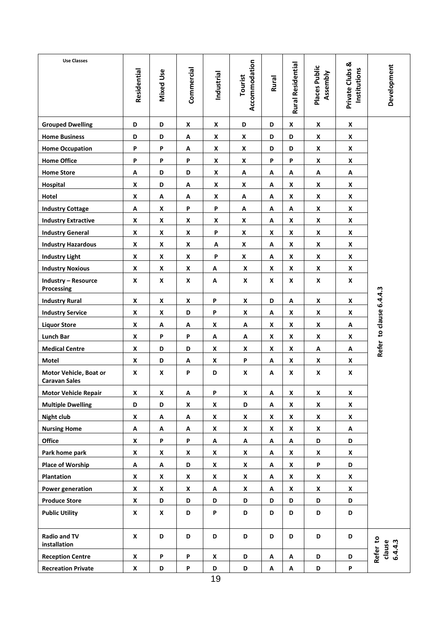| <b>Use Classes</b>                             | Residential        | <b>Mixed Use</b>          | Commercial | Industrial | Accommodation<br>Tourist | Rural | Rural Residential | Places Public<br>Assembly | Private Clubs &<br>Institutions | Development                   |
|------------------------------------------------|--------------------|---------------------------|------------|------------|--------------------------|-------|-------------------|---------------------------|---------------------------------|-------------------------------|
| <b>Grouped Dwelling</b>                        | D                  | D                         | X          | X          | D                        | D     | X                 | X                         | $\pmb{\mathsf{X}}$              |                               |
| <b>Home Business</b>                           | D                  | D                         | А          | X          | X                        | D     | D                 | X                         | X                               |                               |
| <b>Home Occupation</b>                         | P                  | P                         | А          | X          | X                        | D     | D                 | X                         | X                               |                               |
| <b>Home Office</b>                             | P                  | P                         | P          | X          | X                        | P     | P                 | X                         | X                               |                               |
| <b>Home Store</b>                              | Α                  | D                         | D          | X          | Α                        | A     | А                 | Α                         | Α                               |                               |
| Hospital                                       | X                  | D                         | А          | X          | X                        | Α     | X                 | X                         | X                               |                               |
| Hotel                                          | X                  | A                         | А          | X          | A                        | Α     | X                 | X                         | X                               |                               |
| <b>Industry Cottage</b>                        | Α                  | X                         | P          | P          | A                        | Α     | Α                 | X                         | X                               |                               |
| <b>Industry Extractive</b>                     | X                  | X                         | X          | X          | X                        | А     | X                 | X                         | X                               |                               |
| <b>Industry General</b>                        | X                  | X                         | X          | P          | X                        | X     | X                 | X                         | X                               |                               |
| <b>Industry Hazardous</b>                      | X                  | X                         | X          | Α          | X                        | A     | X                 | X                         | X                               |                               |
| <b>Industry Light</b>                          | X                  | X                         | X          | P          | X                        | Α     | X                 | X                         | X                               |                               |
| <b>Industry Noxious</b>                        | X                  | X                         | X          | А          | X                        | X     | X                 | X                         | X                               |                               |
| <b>Industry - Resource</b><br>Processing       | X                  | X                         | X          | Α          | X                        | X     | X                 | X                         | X                               |                               |
| <b>Industry Rural</b>                          | X                  | X                         | X          | P          | X                        | D     | Α                 | X                         | X                               |                               |
| <b>Industry Service</b>                        | X                  | X                         | D          | P          | X                        | Α     | X                 | X                         | X                               | Refer to clause 6.4.4.3       |
| <b>Liquor Store</b>                            | X                  | Α                         | Α          | X          | A                        | X     | X                 | X                         | Α                               |                               |
| Lunch Bar                                      | X                  | P                         | P          | Α          | Α                        | X     | X                 | X                         | X                               |                               |
| <b>Medical Centre</b>                          | X                  | D                         | D          | X          | X                        | X     | X                 | А                         | Α                               |                               |
| Motel                                          | X                  | D                         | Α          | X          | P                        | Α     | X                 | X                         | X                               |                               |
| Motor Vehicle, Boat or<br><b>Caravan Sales</b> | X                  | X                         | P          | D          | X                        | A     | X                 | X                         | X                               |                               |
| <b>Motor Vehicle Repair</b>                    | X                  | X                         | Α          | P          | X                        | Α     | X                 | X                         | X                               |                               |
| <b>Multiple Dwelling</b>                       | D                  | D                         | X          | X          | D                        | Α     | X                 | X                         | X                               |                               |
| <b>Night club</b>                              | X                  | $\boldsymbol{\mathsf{A}}$ | Α          | X          | $\pmb{\mathsf{X}}$       | X     | X                 | X                         | X                               |                               |
| <b>Nursing Home</b>                            | Α                  | Α                         | А          | X          | X                        | X     | X                 | X                         | A                               |                               |
| Office                                         | X                  | P                         | P          | Α          | Α                        | A     | Α                 | D                         | D                               |                               |
| Park home park                                 | X                  | X                         | X          | X          | $\pmb{\mathsf{x}}$       | A     | X                 | X                         | X                               |                               |
| Place of Worship                               | Α                  | Α                         | D          | X          | $\pmb{\mathsf{X}}$       | A     | X                 | P                         | D                               |                               |
| Plantation                                     | X                  | $\pmb{\mathsf{x}}$        | X          | X          | $\pmb{\mathsf{x}}$       | A     | X                 | X                         | X                               |                               |
| <b>Power generation</b>                        | X                  | $\mathbf x$               | X          | Α          | $\pmb{\mathsf{x}}$       | A     | X                 | X                         | X                               |                               |
| <b>Produce Store</b>                           | X                  | D                         | D          | D          | D                        | D     | D                 | D                         | D                               |                               |
| <b>Public Utility</b>                          | X                  | X                         | D          | P          | D                        | D     | D                 | D                         | D                               |                               |
| <b>Radio and TV</b><br>installation            | $\pmb{\mathsf{x}}$ | D                         | D          | D          | D                        | D     | D                 | D                         | D                               | Refer to<br>clause<br>6.4.4.3 |
| <b>Reception Centre</b>                        | $\pmb{\mathsf{x}}$ | P                         | P          | X          | D                        | A     | A                 | D                         | D                               |                               |
| <b>Recreation Private</b>                      | X                  | D                         | P          | D          | D                        | A     | Α                 | D                         | P                               |                               |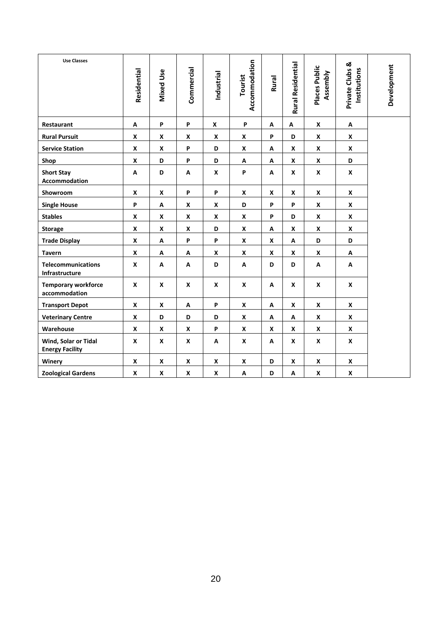| <b>Use Classes</b>                             | Residential        | Mixed Use          | Commercial         | Industrial       | Accommodation<br>Tourist | Rural | <b>Rural Residential</b> | Places Public<br>Assembly | Private Clubs &<br>Institutions | Development |
|------------------------------------------------|--------------------|--------------------|--------------------|------------------|--------------------------|-------|--------------------------|---------------------------|---------------------------------|-------------|
| Restaurant                                     | A                  | P                  | P                  | X                | P                        | Α     | А                        | X                         | Α                               |             |
| <b>Rural Pursuit</b>                           | $\mathbf{x}$       | X                  | X                  | X                | X                        | P     | D                        | X                         | X                               |             |
| <b>Service Station</b>                         | x                  | X                  | Ρ                  | D                | X                        | А     | X                        | X                         | X                               |             |
| Shop                                           | $\boldsymbol{x}$   | D                  | P                  | D                | A                        | Α     | X                        | X                         | D                               |             |
| <b>Short Stay</b><br>Accommodation             | A                  | D                  | А                  | $\boldsymbol{x}$ | P                        | A     | X                        | X                         | $\mathsf{x}$                    |             |
| Showroom                                       | $\boldsymbol{x}$   | $\pmb{\mathsf{x}}$ | P                  | P                | X                        | X     | X                        | X                         | X                               |             |
| <b>Single House</b>                            | P                  | A                  | X                  | X                | D                        | P     | P                        | X                         | $\mathsf{x}$                    |             |
| <b>Stables</b>                                 | X                  | X                  | X                  | X                | X                        | P     | D                        | X                         | X                               |             |
| <b>Storage</b>                                 | X                  | $\pmb{\mathsf{x}}$ | X                  | D                | $\boldsymbol{x}$         | Α     | X                        | X                         | X                               |             |
| <b>Trade Display</b>                           | X                  | Α                  | P                  | P                | X                        | X     | А                        | D                         | D                               |             |
| <b>Tavern</b>                                  | X                  | A                  | Α                  | X                | X                        | X     | X                        | X                         | A                               |             |
| <b>Telecommunications</b><br>Infrastructure    | $\mathbf{x}$       | A                  | A                  | D                | A                        | D     | D                        | A                         | A                               |             |
| <b>Temporary workforce</b><br>accommodation    | X                  | X                  | X                  | X                | X                        | A     | X                        | X                         | X                               |             |
| <b>Transport Depot</b>                         | $\boldsymbol{x}$   | $\boldsymbol{x}$   | Α                  | P                | X                        | A     | X                        | X                         | X                               |             |
| <b>Veterinary Centre</b>                       | $\mathbf{x}$       | D                  | D                  | D                | X                        | Α     | A                        | X                         | $\boldsymbol{x}$                |             |
| Warehouse                                      | X                  | X                  | X                  | P                | X                        | X     | X                        | X                         | X                               |             |
| Wind, Solar or Tidal<br><b>Energy Facility</b> | X                  | X                  | X                  | Α                | X                        | Α     | X                        | X                         | X                               |             |
| Winery                                         | X                  | X                  | X                  | X                | X                        | D     | X                        | X                         | X                               |             |
| <b>Zoological Gardens</b>                      | $\pmb{\mathsf{x}}$ | $\pmb{\mathsf{x}}$ | $\pmb{\mathsf{X}}$ | X                | A                        | D     | A                        | X                         | $\pmb{\mathsf{x}}$              |             |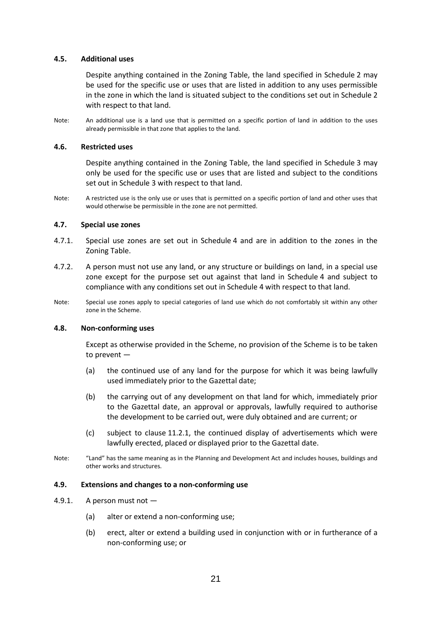#### <span id="page-20-0"></span>**4.5. Additional uses**

Despite anything contained in the Zoning Table, the land specified in Schedule 2 may be used for the specific use or uses that are listed in addition to any uses permissible in the zone in which the land is situated subject to the conditions set out in Schedule 2 with respect to that land.

Note: An additional use is a land use that is permitted on a specific portion of land in addition to the uses already permissible in that zone that applies to the land.

#### <span id="page-20-1"></span>**4.6. Restricted uses**

Despite anything contained in the Zoning Table, the land specified in Schedule 3 may only be used for the specific use or uses that are listed and subject to the conditions set out in Schedule 3 with respect to that land.

Note: A restricted use is the only use or uses that is permitted on a specific portion of land and other uses that would otherwise be permissible in the zone are not permitted.

#### <span id="page-20-2"></span>**4.7. Special use zones**

- 4.7.1. Special use zones are set out in Schedule 4 and are in addition to the zones in the Zoning Table.
- 4.7.2. A person must not use any land, or any structure or buildings on land, in a special use zone except for the purpose set out against that land in Schedule 4 and subject to compliance with any conditions set out in Schedule 4 with respect to that land.
- Note: Special use zones apply to special categories of land use which do not comfortably sit within any other zone in the Scheme.

#### <span id="page-20-3"></span>**4.8. Non-conforming uses**

Except as otherwise provided in the Scheme, no provision of the Scheme is to be taken to prevent —

- (a) the continued use of any land for the purpose for which it was being lawfully used immediately prior to the Gazettal date;
- (b) the carrying out of any development on that land for which, immediately prior to the Gazettal date, an approval or approvals, lawfully required to authorise the development to be carried out, were duly obtained and are current; or
- (c) subject to clause 11.2.1, the continued display of advertisements which were lawfully erected, placed or displayed prior to the Gazettal date.
- Note: "Land" has the same meaning as in the Planning and Development Act and includes houses, buildings and other works and structures.

#### <span id="page-20-4"></span>**4.9. Extensions and changes to a non-conforming use**

- 4.9.1. A person must not
	- (a) alter or extend a non-conforming use;
	- (b) erect, alter or extend a building used in conjunction with or in furtherance of a non-conforming use; or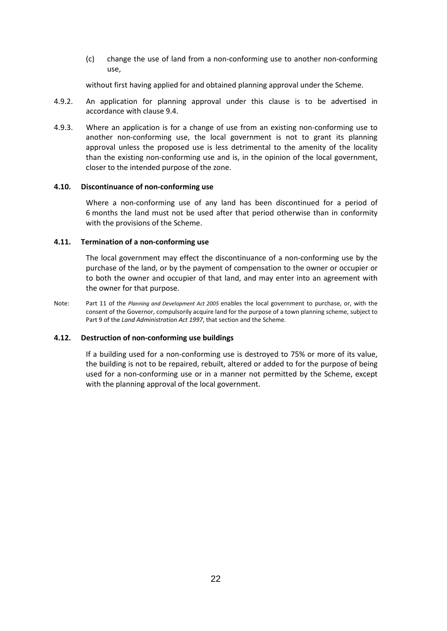(c) change the use of land from a non-conforming use to another non-conforming use,

without first having applied for and obtained planning approval under the Scheme.

- 4.9.2. An application for planning approval under this clause is to be advertised in accordance with clause 9.4.
- 4.9.3. Where an application is for a change of use from an existing non-conforming use to another non-conforming use, the local government is not to grant its planning approval unless the proposed use is less detrimental to the amenity of the locality than the existing non-conforming use and is, in the opinion of the local government, closer to the intended purpose of the zone.

#### <span id="page-21-0"></span>**4.10. Discontinuance of non-conforming use**

Where a non-conforming use of any land has been discontinued for a period of 6 months the land must not be used after that period otherwise than in conformity with the provisions of the Scheme.

#### <span id="page-21-1"></span>**4.11. Termination of a non-conforming use**

The local government may effect the discontinuance of a non-conforming use by the purchase of the land, or by the payment of compensation to the owner or occupier or to both the owner and occupier of that land, and may enter into an agreement with the owner for that purpose.

Note: Part 11 of the *Planning and Development Act 2005* enables the local government to purchase, or, with the consent of the Governor, compulsorily acquire land for the purpose of a town planning scheme, subject to Part 9 of the *Land Administration Act 1997*, that section and the Scheme.

#### <span id="page-21-2"></span>**4.12. Destruction of non-conforming use buildings**

If a building used for a non-conforming use is destroyed to 75% or more of its value, the building is not to be repaired, rebuilt, altered or added to for the purpose of being used for a non-conforming use or in a manner not permitted by the Scheme, except with the planning approval of the local government.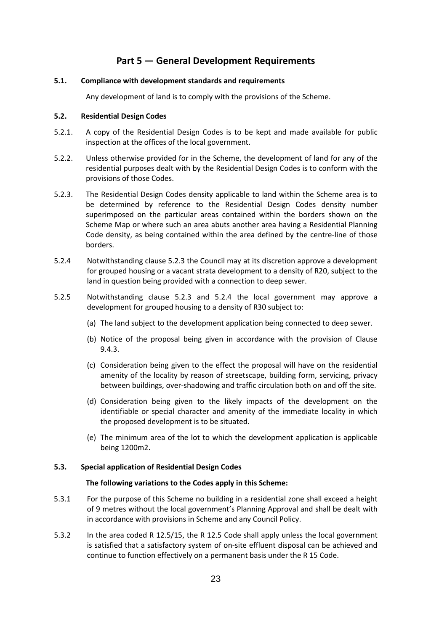# **Part 5 — General Development Requirements**

#### <span id="page-22-1"></span><span id="page-22-0"></span>**5.1. Compliance with development standards and requirements**

Any development of land is to comply with the provisions of the Scheme.

#### <span id="page-22-2"></span>**5.2. Residential Design Codes**

- 5.2.1. A copy of the Residential Design Codes is to be kept and made available for public inspection at the offices of the local government.
- 5.2.2. Unless otherwise provided for in the Scheme, the development of land for any of the residential purposes dealt with by the Residential Design Codes is to conform with the provisions of those Codes.
- 5.2.3. The Residential Design Codes density applicable to land within the Scheme area is to be determined by reference to the Residential Design Codes density number superimposed on the particular areas contained within the borders shown on the Scheme Map or where such an area abuts another area having a Residential Planning Code density, as being contained within the area defined by the centre-line of those borders.
- 5.2.4 Notwithstanding clause 5.2.3 the Council may at its discretion approve a development for grouped housing or a vacant strata development to a density of R20, subject to the land in question being provided with a connection to deep sewer.
- 5.2.5 Notwithstanding clause 5.2.3 and 5.2.4 the local government may approve a development for grouped housing to a density of R30 subject to:
	- (a) The land subject to the development application being connected to deep sewer.
	- (b) Notice of the proposal being given in accordance with the provision of Clause 9.4.3.
	- (c) Consideration being given to the effect the proposal will have on the residential amenity of the locality by reason of streetscape, building form, servicing, privacy between buildings, over-shadowing and traffic circulation both on and off the site.
	- (d) Consideration being given to the likely impacts of the development on the identifiable or special character and amenity of the immediate locality in which the proposed development is to be situated.
	- (e) The minimum area of the lot to which the development application is applicable being 1200m2.

#### <span id="page-22-3"></span>**5.3. Special application of Residential Design Codes**

#### **The following variations to the Codes apply in this Scheme:**

- 5.3.1 For the purpose of this Scheme no building in a residential zone shall exceed a height of 9 metres without the local government's Planning Approval and shall be dealt with in accordance with provisions in Scheme and any Council Policy.
- 5.3.2 In the area coded R 12.5/15, the R 12.5 Code shall apply unless the local government is satisfied that a satisfactory system of on-site effluent disposal can be achieved and continue to function effectively on a permanent basis under the R 15 Code.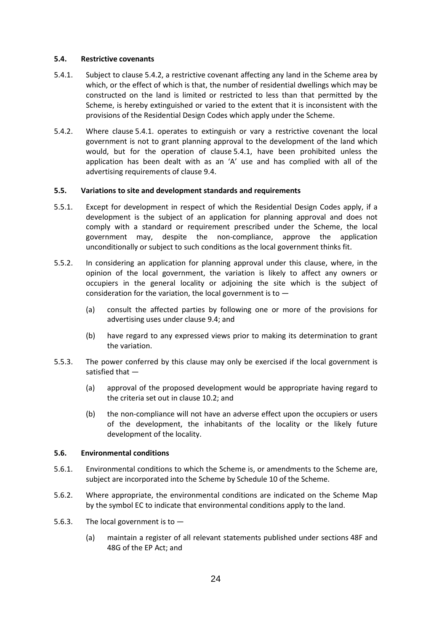#### <span id="page-23-0"></span>**5.4. Restrictive covenants**

- 5.4.1. Subject to clause 5.4.2, a restrictive covenant affecting any land in the Scheme area by which, or the effect of which is that, the number of residential dwellings which may be constructed on the land is limited or restricted to less than that permitted by the Scheme, is hereby extinguished or varied to the extent that it is inconsistent with the provisions of the Residential Design Codes which apply under the Scheme.
- 5.4.2. Where clause 5.4.1. operates to extinguish or vary a restrictive covenant the local government is not to grant planning approval to the development of the land which would, but for the operation of clause 5.4.1, have been prohibited unless the application has been dealt with as an 'A' use and has complied with all of the advertising requirements of clause 9.4.

#### <span id="page-23-1"></span>**5.5. Variations to site and development standards and requirements**

- 5.5.1. Except for development in respect of which the Residential Design Codes apply, if a development is the subject of an application for planning approval and does not comply with a standard or requirement prescribed under the Scheme, the local government may, despite the non-compliance, approve the application unconditionally or subject to such conditions as the local government thinks fit.
- 5.5.2. In considering an application for planning approval under this clause, where, in the opinion of the local government, the variation is likely to affect any owners or occupiers in the general locality or adjoining the site which is the subject of consideration for the variation, the local government is to  $-$ 
	- (a) consult the affected parties by following one or more of the provisions for advertising uses under clause 9.4; and
	- (b) have regard to any expressed views prior to making its determination to grant the variation.
- 5.5.3. The power conferred by this clause may only be exercised if the local government is satisfied that —
	- (a) approval of the proposed development would be appropriate having regard to the criteria set out in clause 10.2; and
	- (b) the non-compliance will not have an adverse effect upon the occupiers or users of the development, the inhabitants of the locality or the likely future development of the locality.

#### <span id="page-23-2"></span>**5.6. Environmental conditions**

- 5.6.1. Environmental conditions to which the Scheme is, or amendments to the Scheme are, subject are incorporated into the Scheme by Schedule 10 of the Scheme.
- 5.6.2. Where appropriate, the environmental conditions are indicated on the Scheme Map by the symbol EC to indicate that environmental conditions apply to the land.
- 5.6.3. The local government is to  $-$ 
	- (a) maintain a register of all relevant statements published under sections 48F and 48G of the EP Act; and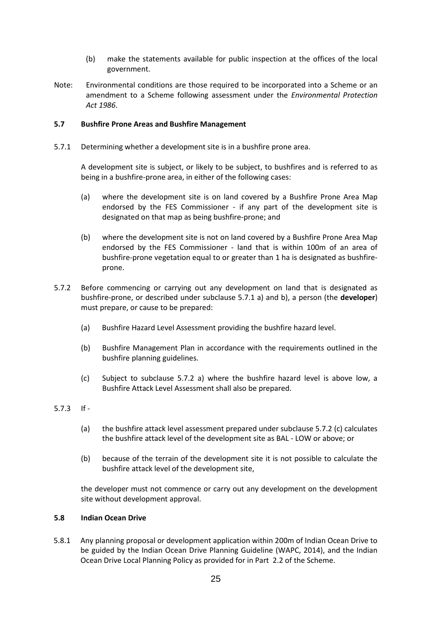- (b) make the statements available for public inspection at the offices of the local government.
- Note: Environmental conditions are those required to be incorporated into a Scheme or an amendment to a Scheme following assessment under the *Environmental Protection Act 1986*.

#### <span id="page-24-0"></span>**5.7 Bushfire Prone Areas and Bushfire Management**

5.7.1 Determining whether a development site is in a bushfire prone area.

A development site is subject, or likely to be subject, to bushfires and is referred to as being in a bushfire-prone area, in either of the following cases:

- (a) where the development site is on land covered by a Bushfire Prone Area Map endorsed by the FES Commissioner - if any part of the development site is designated on that map as being bushfire-prone; and
- (b) where the development site is not on land covered by a Bushfire Prone Area Map endorsed by the FES Commissioner - land that is within 100m of an area of bushfire-prone vegetation equal to or greater than 1 ha is designated as bushfireprone.
- 5.7.2 Before commencing or carrying out any development on land that is designated as bushfire-prone, or described under subclause 5.7.1 a) and b), a person (the **developer**) must prepare, or cause to be prepared:
	- (a) Bushfire Hazard Level Assessment providing the bushfire hazard level.
	- (b) Bushfire Management Plan in accordance with the requirements outlined in the bushfire planning guidelines.
	- (c) Subject to subclause 5.7.2 a) where the bushfire hazard level is above low, a Bushfire Attack Level Assessment shall also be prepared.

#### 5.7.3 If -

- (a) the bushfire attack level assessment prepared under subclause 5.7.2 (c) calculates the bushfire attack level of the development site as BAL - LOW or above; or
- (b) because of the terrain of the development site it is not possible to calculate the bushfire attack level of the development site,

the developer must not commence or carry out any development on the development site without development approval.

#### <span id="page-24-1"></span>**5.8 Indian Ocean Drive**

5.8.1 Any planning proposal or development application within 200m of Indian Ocean Drive to be guided by the Indian Ocean Drive Planning Guideline (WAPC, 2014), and the Indian Ocean Drive Local Planning Policy as provided for in Part 2.2 of the Scheme.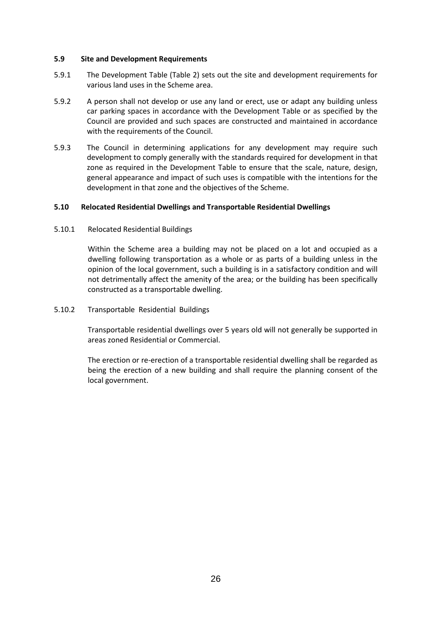#### <span id="page-25-0"></span>**5.9 Site and Development Requirements**

- 5.9.1 The Development Table (Table 2) sets out the site and development requirements for various land uses in the Scheme area.
- 5.9.2 A person shall not develop or use any land or erect, use or adapt any building unless car parking spaces in accordance with the Development Table or as specified by the Council are provided and such spaces are constructed and maintained in accordance with the requirements of the Council.
- 5.9.3 The Council in determining applications for any development may require such development to comply generally with the standards required for development in that zone as required in the Development Table to ensure that the scale, nature, design, general appearance and impact of such uses is compatible with the intentions for the development in that zone and the objectives of the Scheme.

#### <span id="page-25-1"></span>**5.10 Relocated Residential Dwellings and Transportable Residential Dwellings**

5.10.1 Relocated Residential Buildings

Within the Scheme area a building may not be placed on a lot and occupied as a dwelling following transportation as a whole or as parts of a building unless in the opinion of the local government, such a building is in a satisfactory condition and will not detrimentally affect the amenity of the area; or the building has been specifically constructed as a transportable dwelling.

5.10.2 Transportable Residential Buildings

Transportable residential dwellings over 5 years old will not generally be supported in areas zoned Residential or Commercial.

The erection or re-erection of a transportable residential dwelling shall be regarded as being the erection of a new building and shall require the planning consent of the local government.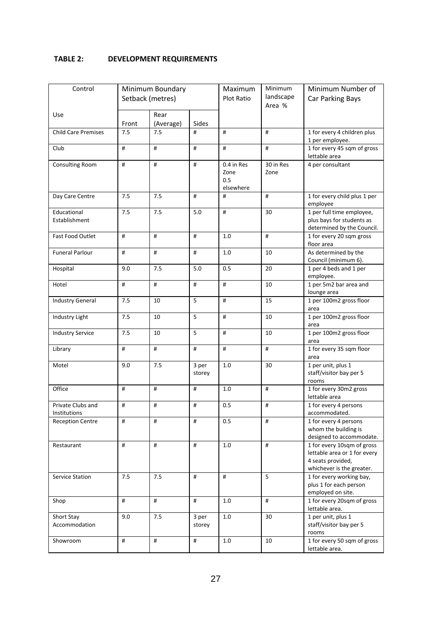#### <span id="page-26-0"></span>**TABLE 2: DEVELOPMENT REQUIREMENTS**

| Control                           |       | Minimum Boundary  |                 | Maximum<br><b>Plot Ratio</b>           | Minimum<br>landscape | Minimum Number of<br>Car Parking Bays                                                                        |  |
|-----------------------------------|-------|-------------------|-----------------|----------------------------------------|----------------------|--------------------------------------------------------------------------------------------------------------|--|
|                                   |       | Setback (metres)  |                 |                                        | Area %               |                                                                                                              |  |
| Use                               | Front | Rear<br>(Average) | Sides           |                                        |                      |                                                                                                              |  |
| <b>Child Care Premises</b>        | 7.5   | 7.5               | #               | #                                      | #                    | 1 for every 4 children plus<br>1 per employee.                                                               |  |
| Club                              | #     | #                 | #               | #                                      | #                    | 1 for every 45 sqm of gross<br>lettable area                                                                 |  |
| <b>Consulting Room</b>            | #     | #                 | #               | 0.4 in Res<br>Zone<br>0.5<br>elsewhere | 30 in Res<br>Zone    | 4 per consultant                                                                                             |  |
| Day Care Centre                   | 7.5   | 7.5               | #               | #                                      | #                    | 1 for every child plus 1 per<br>employee                                                                     |  |
| Educational<br>Establishment      | 7.5   | 7.5               | 5.0             | #                                      | 30                   | 1 per full time employee,<br>plus bays for students as<br>determined by the Council.                         |  |
| <b>Fast Food Outlet</b>           | #     | #                 | #               | 1.0                                    | #                    | 1 for every 20 sqm gross<br>floor area                                                                       |  |
| <b>Funeral Parlour</b>            | #     | #                 | #               | 1.0                                    | 10                   | As determined by the<br>Council (minimum 6).                                                                 |  |
| Hospital                          | 9.0   | 7.5               | 5.0             | 0.5                                    | 20                   | 1 per 4 beds and 1 per<br>employee.                                                                          |  |
| Hotel                             | #     | #                 | #               | #                                      | 10                   | 1 per 5m2 bar area and<br>lounge area                                                                        |  |
| <b>Industry General</b>           | 7.5   | 10                | 5               | #                                      | 15                   | 1 per 100m2 gross floor<br>area                                                                              |  |
| Industry Light                    | 7.5   | 10                | 5               | #                                      | 10                   | 1 per 100m2 gross floor<br>area                                                                              |  |
| Industry Service                  | 7.5   | 10                | 5               | #                                      | 10                   | 1 per 100m2 gross floor<br>area                                                                              |  |
| Library                           | #     | #                 | #               | #                                      | #                    | 1 for every 35 sqm floor<br>area                                                                             |  |
| Motel                             | 9.0   | 7.5               | 3 per<br>storey | 1.0                                    | 30                   | 1 per unit, plus 1<br>staff/visitor bay per 5<br>rooms                                                       |  |
| Office                            | #     | #                 | #               | 1.0                                    | #                    | 1 for every 30m2 gross<br>lettable area                                                                      |  |
| Private Clubs and<br>Institutions | #     | #                 | #               | 0.5                                    | #                    | 1 for every 4 persons<br>accommodated.                                                                       |  |
| <b>Reception Centre</b>           | #     | #                 | #               | 0.5                                    | #                    | 1 for every 4 persons<br>whom the building is<br>designed to accommodate.                                    |  |
| Restaurant                        | #     | #                 | #               | 1.0                                    | #                    | 1 for every 10sqm of gross<br>lettable area or 1 for every<br>4 seats provided,<br>whichever is the greater. |  |
| Service Station                   | 7.5   | 7.5               | #               | #                                      | 5                    | 1 for every working bay,<br>plus 1 for each person<br>employed on site.                                      |  |
| Shop                              | $\#$  | $\#$              | #               | 1.0                                    | #                    | 1 for every 20sqm of gross<br>lettable area.                                                                 |  |
| Short Stay<br>Accommodation       | 9.0   | 7.5               | 3 per<br>storey | 1.0                                    | 30                   | 1 per unit, plus 1<br>staff/visitor bay per 5<br>rooms                                                       |  |
| Showroom                          | $\#$  | $\#$              | $\#$            | 1.0                                    | 10                   | 1 for every 50 sqm of gross<br>lettable area.                                                                |  |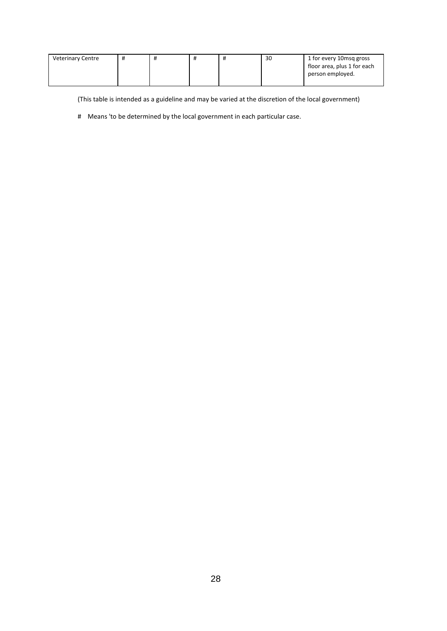| <b>Veterinary Centre</b> | π | $^{\rm \pi}$ | 30 | 1 for every 10msg gross     |
|--------------------------|---|--------------|----|-----------------------------|
|                          |   |              |    | floor area, plus 1 for each |
|                          |   |              |    | person employed.            |
|                          |   |              |    |                             |

(This table is intended as a guideline and may be varied at the discretion of the local government)

# Means 'to be determined by the local government in each particular case.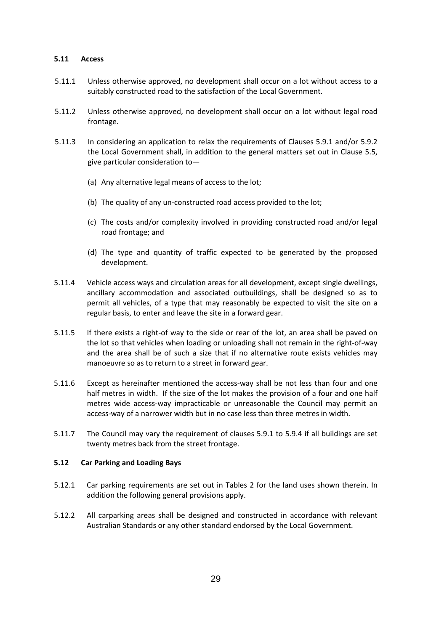#### <span id="page-28-0"></span>**5.11 Access**

- 5.11.1 Unless otherwise approved, no development shall occur on a lot without access to a suitably constructed road to the satisfaction of the Local Government.
- 5.11.2 Unless otherwise approved, no development shall occur on a lot without legal road frontage.
- 5.11.3 In considering an application to relax the requirements of Clauses 5.9.1 and/or 5.9.2 the Local Government shall, in addition to the general matters set out in Clause 5.5, give particular consideration to—
	- (a) Any alternative legal means of access to the lot;
	- (b) The quality of any un-constructed road access provided to the lot;
	- (c) The costs and/or complexity involved in providing constructed road and/or legal road frontage; and
	- (d) The type and quantity of traffic expected to be generated by the proposed development.
- 5.11.4 Vehicle access ways and circulation areas for all development, except single dwellings, ancillary accommodation and associated outbuildings, shall be designed so as to permit all vehicles, of a type that may reasonably be expected to visit the site on a regular basis, to enter and leave the site in a forward gear.
- 5.11.5 If there exists a right-of way to the side or rear of the lot, an area shall be paved on the lot so that vehicles when loading or unloading shall not remain in the right-of-way and the area shall be of such a size that if no alternative route exists vehicles may manoeuvre so as to return to a street in forward gear.
- 5.11.6 Except as hereinafter mentioned the access-way shall be not less than four and one half metres in width. If the size of the lot makes the provision of a four and one half metres wide access-way impracticable or unreasonable the Council may permit an access-way of a narrower width but in no case less than three metres in width.
- 5.11.7 The Council may vary the requirement of clauses 5.9.1 to 5.9.4 if all buildings are set twenty metres back from the street frontage.

#### <span id="page-28-1"></span>**5.12 Car Parking and Loading Bays**

- 5.12.1 Car parking requirements are set out in Tables 2 for the land uses shown therein. In addition the following general provisions apply.
- 5.12.2 All carparking areas shall be designed and constructed in accordance with relevant Australian Standards or any other standard endorsed by the Local Government.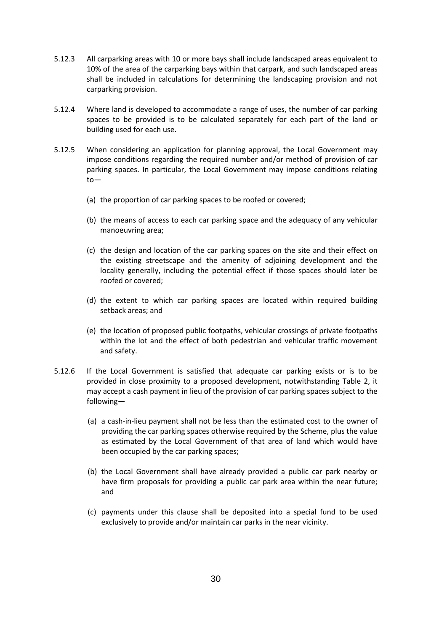- 5.12.3 All carparking areas with 10 or more bays shall include landscaped areas equivalent to 10% of the area of the carparking bays within that carpark, and such landscaped areas shall be included in calculations for determining the landscaping provision and not carparking provision.
- 5.12.4 Where land is developed to accommodate a range of uses, the number of car parking spaces to be provided is to be calculated separately for each part of the land or building used for each use.
- 5.12.5 When considering an application for planning approval, the Local Government may impose conditions regarding the required number and/or method of provision of car parking spaces. In particular, the Local Government may impose conditions relating to—
	- (a) the proportion of car parking spaces to be roofed or covered;
	- (b) the means of access to each car parking space and the adequacy of any vehicular manoeuvring area;
	- (c) the design and location of the car parking spaces on the site and their effect on the existing streetscape and the amenity of adjoining development and the locality generally, including the potential effect if those spaces should later be roofed or covered;
	- (d) the extent to which car parking spaces are located within required building setback areas; and
	- (e) the location of proposed public footpaths, vehicular crossings of private footpaths within the lot and the effect of both pedestrian and vehicular traffic movement and safety.
- 5.12.6 If the Local Government is satisfied that adequate car parking exists or is to be provided in close proximity to a proposed development, notwithstanding Table 2, it may accept a cash payment in lieu of the provision of car parking spaces subject to the following—
	- (a) a cash-in-lieu payment shall not be less than the estimated cost to the owner of providing the car parking spaces otherwise required by the Scheme, plus the value as estimated by the Local Government of that area of land which would have been occupied by the car parking spaces;
	- (b) the Local Government shall have already provided a public car park nearby or have firm proposals for providing a public car park area within the near future; and
	- (c) payments under this clause shall be deposited into a special fund to be used exclusively to provide and/or maintain car parks in the near vicinity.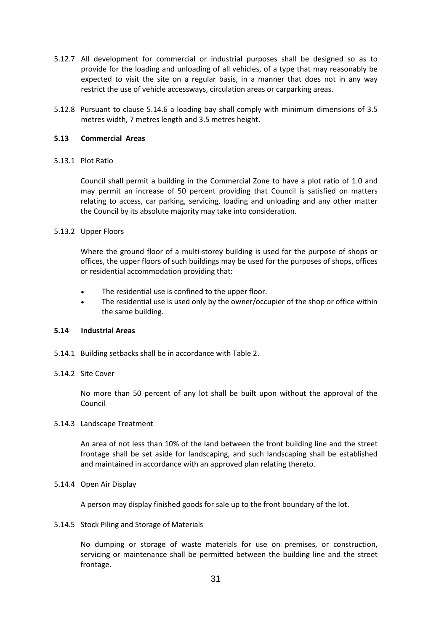- 5.12.7 All development for commercial or industrial purposes shall be designed so as to provide for the loading and unloading of all vehicles, of a type that may reasonably be expected to visit the site on a regular basis, in a manner that does not in any way restrict the use of vehicle accessways, circulation areas or carparking areas.
- 5.12.8 Pursuant to clause 5.14.6 a loading bay shall comply with minimum dimensions of 3.5 metres width, 7 metres length and 3.5 metres height.

#### <span id="page-30-0"></span>**5.13 Commercial Areas**

#### 5.13.1 Plot Ratio

Council shall permit a building in the Commercial Zone to have a plot ratio of 1.0 and may permit an increase of 50 percent providing that Council is satisfied on matters relating to access, car parking, servicing, loading and unloading and any other matter the Council by its absolute majority may take into consideration.

#### 5.13.2 Upper Floors

Where the ground floor of a multi-storey building is used for the purpose of shops or offices, the upper floors of such buildings may be used for the purposes of shops, offices or residential accommodation providing that:

- The residential use is confined to the upper floor.
- The residential use is used only by the owner/occupier of the shop or office within the same building.

#### <span id="page-30-1"></span>**5.14 Industrial Areas**

- 5.14.1 Building setbacks shall be in accordance with Table 2.
- 5.14.2 Site Cover

No more than 50 percent of any lot shall be built upon without the approval of the Council

#### 5.14.3 Landscape Treatment

An area of not less than 10% of the land between the front building line and the street frontage shall be set aside for landscaping, and such landscaping shall be established and maintained in accordance with an approved plan relating thereto.

#### 5.14.4 Open Air Display

A person may display finished goods for sale up to the front boundary of the lot.

5.14.5 Stock Piling and Storage of Materials

No dumping or storage of waste materials for use on premises, or construction, servicing or maintenance shall be permitted between the building line and the street frontage.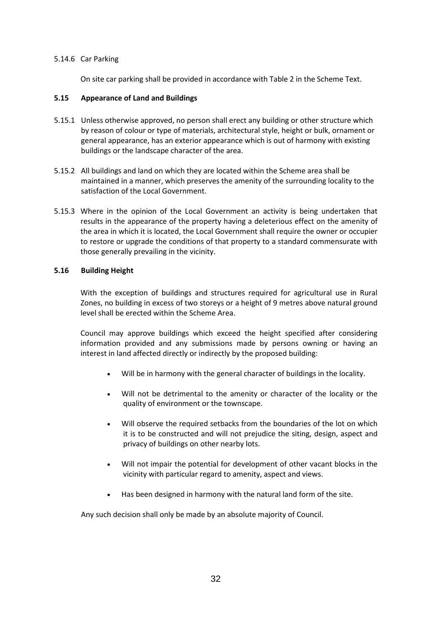#### 5.14.6 Car Parking

On site car parking shall be provided in accordance with Table 2 in the Scheme Text.

#### <span id="page-31-0"></span>**5.15 Appearance of Land and Buildings**

- 5.15.1 Unless otherwise approved, no person shall erect any building or other structure which by reason of colour or type of materials, architectural style, height or bulk, ornament or general appearance, has an exterior appearance which is out of harmony with existing buildings or the landscape character of the area.
- 5.15.2 All buildings and land on which they are located within the Scheme area shall be maintained in a manner, which preserves the amenity of the surrounding locality to the satisfaction of the Local Government.
- 5.15.3 Where in the opinion of the Local Government an activity is being undertaken that results in the appearance of the property having a deleterious effect on the amenity of the area in which it is located, the Local Government shall require the owner or occupier to restore or upgrade the conditions of that property to a standard commensurate with those generally prevailing in the vicinity.

#### <span id="page-31-1"></span>**5.16 Building Height**

With the exception of buildings and structures required for agricultural use in Rural Zones, no building in excess of two storeys or a height of 9 metres above natural ground level shall be erected within the Scheme Area.

Council may approve buildings which exceed the height specified after considering information provided and any submissions made by persons owning or having an interest in land affected directly or indirectly by the proposed building:

- Will be in harmony with the general character of buildings in the locality.
- Will not be detrimental to the amenity or character of the locality or the quality of environment or the townscape.
- Will observe the required setbacks from the boundaries of the lot on which it is to be constructed and will not prejudice the siting, design, aspect and privacy of buildings on other nearby lots.
- Will not impair the potential for development of other vacant blocks in the vicinity with particular regard to amenity, aspect and views.
- Has been designed in harmony with the natural land form of the site.

Any such decision shall only be made by an absolute majority of Council.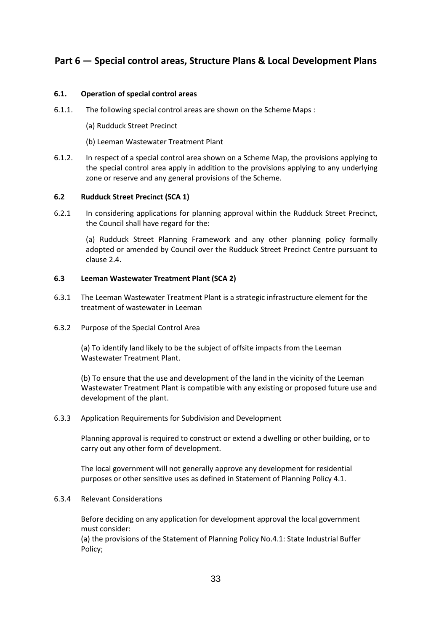# <span id="page-32-0"></span>**Part 6 — Special control areas, Structure Plans & Local Development Plans**

#### <span id="page-32-1"></span>**6.1. Operation of special control areas**

- 6.1.1. The following special control areas are shown on the Scheme Maps :
	- (a) Rudduck Street Precinct
	- (b) Leeman Wastewater Treatment Plant
- 6.1.2. In respect of a special control area shown on a Scheme Map, the provisions applying to the special control area apply in addition to the provisions applying to any underlying zone or reserve and any general provisions of the Scheme.

#### <span id="page-32-2"></span>**6.2 Rudduck Street Precinct (SCA 1)**

6.2.1 In considering applications for planning approval within the Rudduck Street Precinct, the Council shall have regard for the:

(a) Rudduck Street Planning Framework and any other planning policy formally adopted or amended by Council over the Rudduck Street Precinct Centre pursuant to clause 2.4.

#### <span id="page-32-3"></span>**6.3 Leeman Wastewater Treatment Plant (SCA 2)**

- 6.3.1 The Leeman Wastewater Treatment Plant is a strategic infrastructure element for the treatment of wastewater in Leeman
- 6.3.2 Purpose of the Special Control Area

(a) To identify land likely to be the subject of offsite impacts from the Leeman Wastewater Treatment Plant.

(b) To ensure that the use and development of the land in the vicinity of the Leeman Wastewater Treatment Plant is compatible with any existing or proposed future use and development of the plant.

#### 6.3.3 Application Requirements for Subdivision and Development

Planning approval is required to construct or extend a dwelling or other building, or to carry out any other form of development.

The local government will not generally approve any development for residential purposes or other sensitive uses as defined in Statement of Planning Policy 4.1.

#### 6.3.4 Relevant Considerations

Before deciding on any application for development approval the local government must consider:

(a) the provisions of the Statement of Planning Policy No.4.1: State Industrial Buffer Policy;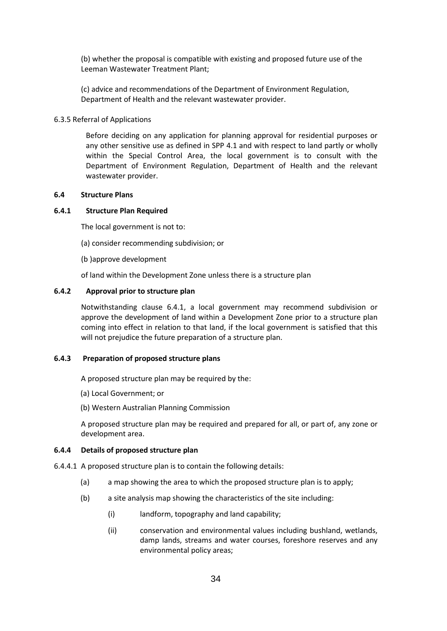(b) whether the proposal is compatible with existing and proposed future use of the Leeman Wastewater Treatment Plant;

(c) advice and recommendations of the Department of Environment Regulation, Department of Health and the relevant wastewater provider.

#### 6.3.5 Referral of Applications

Before deciding on any application for planning approval for residential purposes or any other sensitive use as defined in SPP 4.1 and with respect to land partly or wholly within the Special Control Area, the local government is to consult with the Department of Environment Regulation, Department of Health and the relevant wastewater provider.

#### <span id="page-33-0"></span>**6.4 Structure Plans**

#### **6.4.1 Structure Plan Required**

The local government is not to:

- (a) consider recommending subdivision; or
- (b )approve development
- of land within the Development Zone unless there is a structure plan

#### **6.4.2 Approval prior to structure plan**

Notwithstanding clause 6.4.1, a local government may recommend subdivision or approve the development of land within a Development Zone prior to a structure plan coming into effect in relation to that land, if the local government is satisfied that this will not prejudice the future preparation of a structure plan.

#### **6.4.3 Preparation of proposed structure plans**

A proposed structure plan may be required by the:

- (a) Local Government; or
- (b) Western Australian Planning Commission

A proposed structure plan may be required and prepared for all, or part of, any zone or development area.

#### **6.4.4 Details of proposed structure plan**

- 6.4.4.1 A proposed structure plan is to contain the following details:
	- (a) a map showing the area to which the proposed structure plan is to apply;
	- (b) a site analysis map showing the characteristics of the site including:
		- (i) landform, topography and land capability;
		- (ii) conservation and environmental values including bushland, wetlands, damp lands, streams and water courses, foreshore reserves and any environmental policy areas;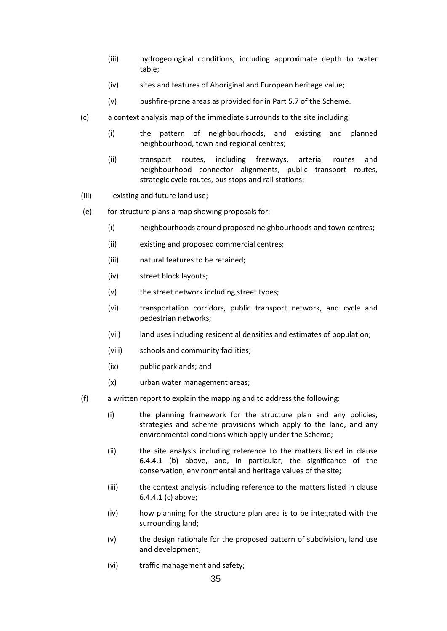- (iii) hydrogeological conditions, including approximate depth to water table;
- (iv) sites and features of Aboriginal and European heritage value;
- (v) bushfire-prone areas as provided for in Part 5.7 of the Scheme.
- (c) a context analysis map of the immediate surrounds to the site including:
	- (i) the pattern of neighbourhoods, and existing and planned neighbourhood, town and regional centres;
	- (ii) transport routes, including freeways, arterial routes and neighbourhood connector alignments, public transport routes, strategic cycle routes, bus stops and rail stations;
- (iii) existing and future land use;
- (e) for structure plans a map showing proposals for:
	- (i) neighbourhoods around proposed neighbourhoods and town centres;
	- (ii) existing and proposed commercial centres;
	- (iii) natural features to be retained;
	- (iv) street block layouts;
	- (v) the street network including street types;
	- (vi) transportation corridors, public transport network, and cycle and pedestrian networks;
	- (vii) land uses including residential densities and estimates of population;
	- (viii) schools and community facilities;
	- (ix) public parklands; and
	- (x) urban water management areas;
- (f) a written report to explain the mapping and to address the following:
	- (i) the planning framework for the structure plan and any policies, strategies and scheme provisions which apply to the land, and any environmental conditions which apply under the Scheme;
	- (ii) the site analysis including reference to the matters listed in clause 6.4.4.1 (b) above, and, in particular, the significance of the conservation, environmental and heritage values of the site;
	- (iii) the context analysis including reference to the matters listed in clause 6.4.4.1 (c) above;
	- (iv) how planning for the structure plan area is to be integrated with the surrounding land;
	- (v) the design rationale for the proposed pattern of subdivision, land use and development;
	- (vi) traffic management and safety;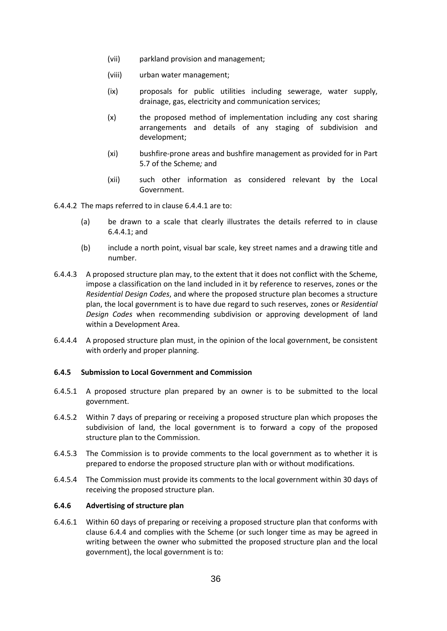- (vii) parkland provision and management;
- (viii) urban water management;
- (ix) proposals for public utilities including sewerage, water supply, drainage, gas, electricity and communication services;
- (x) the proposed method of implementation including any cost sharing arrangements and details of any staging of subdivision and development;
- (xi) bushfire-prone areas and bushfire management as provided for in Part 5.7 of the Scheme*;* and
- (xii) such other information as considered relevant by the Local Government.

6.4.4.2 The maps referred to in clause 6.4.4.1 are to:

- (a) be drawn to a scale that clearly illustrates the details referred to in clause 6.4.4.1; and
- (b) include a north point, visual bar scale, key street names and a drawing title and number.
- 6.4.4.3 A proposed structure plan may, to the extent that it does not conflict with the Scheme, impose a classification on the land included in it by reference to reserves, zones or the *Residential Design Codes*, and where the proposed structure plan becomes a structure plan, the local government is to have due regard to such reserves, zones or *Residential Design Codes* when recommending subdivision or approving development of land within a Development Area.
- 6.4.4.4 A proposed structure plan must, in the opinion of the local government, be consistent with orderly and proper planning.

#### **6.4.5 Submission to Local Government and Commission**

- 6.4.5.1 A proposed structure plan prepared by an owner is to be submitted to the local government.
- 6.4.5.2 Within 7 days of preparing or receiving a proposed structure plan which proposes the subdivision of land, the local government is to forward a copy of the proposed structure plan to the Commission.
- 6.4.5.3 The Commission is to provide comments to the local government as to whether it is prepared to endorse the proposed structure plan with or without modifications.
- 6.4.5.4 The Commission must provide its comments to the local government within 30 days of receiving the proposed structure plan.

#### **6.4.6 Advertising of structure plan**

6.4.6.1 Within 60 days of preparing or receiving a proposed structure plan that conforms with clause 6.4.4 and complies with the Scheme (or such longer time as may be agreed in writing between the owner who submitted the proposed structure plan and the local government), the local government is to: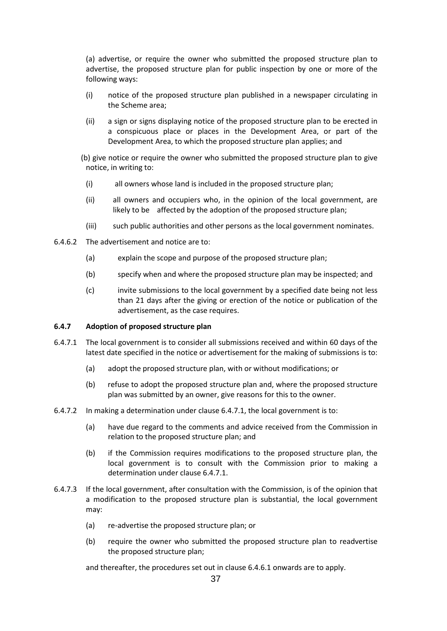(a) advertise, or require the owner who submitted the proposed structure plan to advertise, the proposed structure plan for public inspection by one or more of the following ways:

- (i) notice of the proposed structure plan published in a newspaper circulating in the Scheme area;
- (ii) a sign or signs displaying notice of the proposed structure plan to be erected in a conspicuous place or places in the Development Area, or part of the Development Area, to which the proposed structure plan applies; and
- (b) give notice or require the owner who submitted the proposed structure plan to give notice, in writing to:
	- (i) all owners whose land is included in the proposed structure plan;
	- (ii) all owners and occupiers who, in the opinion of the local government, are likely to be affected by the adoption of the proposed structure plan;
	- (iii) such public authorities and other persons as the local government nominates.
- 6.4.6.2 The advertisement and notice are to:
	- (a) explain the scope and purpose of the proposed structure plan;
	- (b) specify when and where the proposed structure plan may be inspected; and
	- (c) invite submissions to the local government by a specified date being not less than 21 days after the giving or erection of the notice or publication of the advertisement, as the case requires.

# **6.4.7 Adoption of proposed structure plan**

- 6.4.7.1 The local government is to consider all submissions received and within 60 days of the latest date specified in the notice or advertisement for the making of submissions is to:
	- (a) adopt the proposed structure plan, with or without modifications; or
	- (b) refuse to adopt the proposed structure plan and, where the proposed structure plan was submitted by an owner, give reasons for this to the owner.
- 6.4.7.2 In making a determination under clause 6.4.7.1, the local government is to:
	- (a) have due regard to the comments and advice received from the Commission in relation to the proposed structure plan; and
	- (b) if the Commission requires modifications to the proposed structure plan, the local government is to consult with the Commission prior to making a determination under clause 6.4.7.1.
- 6.4.7.3 If the local government, after consultation with the Commission, is of the opinion that a modification to the proposed structure plan is substantial, the local government may:
	- (a) re-advertise the proposed structure plan; or
	- (b) require the owner who submitted the proposed structure plan to readvertise the proposed structure plan;

and thereafter, the procedures set out in clause 6.4.6.1 onwards are to apply.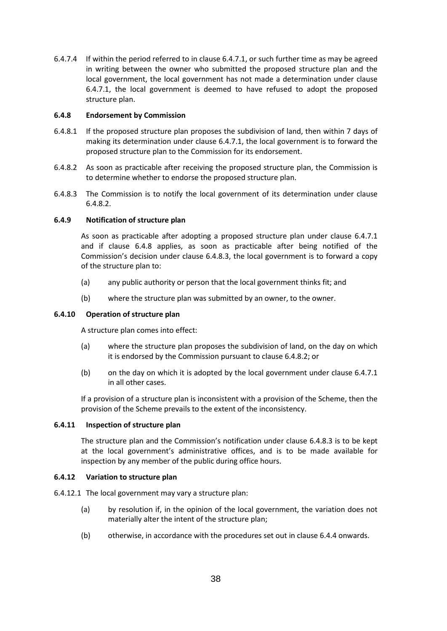6.4.7.4 If within the period referred to in clause 6.4.7.1, or such further time as may be agreed in writing between the owner who submitted the proposed structure plan and the local government, the local government has not made a determination under clause 6.4.7.1, the local government is deemed to have refused to adopt the proposed structure plan.

# **6.4.8 Endorsement by Commission**

- 6.4.8.1 If the proposed structure plan proposes the subdivision of land, then within 7 days of making its determination under clause 6.4.7.1, the local government is to forward the proposed structure plan to the Commission for its endorsement.
- 6.4.8.2 As soon as practicable after receiving the proposed structure plan, the Commission is to determine whether to endorse the proposed structure plan.
- 6.4.8.3 The Commission is to notify the local government of its determination under clause 6.4.8.2.

# **6.4.9 Notification of structure plan**

As soon as practicable after adopting a proposed structure plan under clause 6.4.7.1 and if clause 6.4.8 applies, as soon as practicable after being notified of the Commission's decision under clause 6.4.8.3, the local government is to forward a copy of the structure plan to:

- (a) any public authority or person that the local government thinks fit; and
- (b) where the structure plan was submitted by an owner, to the owner.

### **6.4.10 Operation of structure plan**

A structure plan comes into effect:

- (a) where the structure plan proposes the subdivision of land, on the day on which it is endorsed by the Commission pursuant to clause 6.4.8.2; or
- (b) on the day on which it is adopted by the local government under clause 6.4.7.1 in all other cases.

If a provision of a structure plan is inconsistent with a provision of the Scheme, then the provision of the Scheme prevails to the extent of the inconsistency.

#### **6.4.11 Inspection of structure plan**

The structure plan and the Commission's notification under clause 6.4.8.3 is to be kept at the local government's administrative offices, and is to be made available for inspection by any member of the public during office hours.

#### **6.4.12 Variation to structure plan**

- 6.4.12.1 The local government may vary a structure plan:
	- (a) by resolution if, in the opinion of the local government, the variation does not materially alter the intent of the structure plan;
	- (b) otherwise, in accordance with the procedures set out in clause 6.4.4 onwards.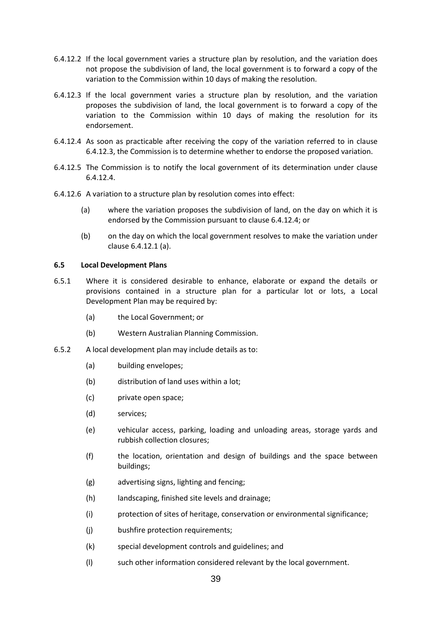- 6.4.12.2 If the local government varies a structure plan by resolution, and the variation does not propose the subdivision of land, the local government is to forward a copy of the variation to the Commission within 10 days of making the resolution.
- 6.4.12.3 If the local government varies a structure plan by resolution, and the variation proposes the subdivision of land, the local government is to forward a copy of the variation to the Commission within 10 days of making the resolution for its endorsement.
- 6.4.12.4 As soon as practicable after receiving the copy of the variation referred to in clause 6.4.12.3, the Commission is to determine whether to endorse the proposed variation.
- 6.4.12.5 The Commission is to notify the local government of its determination under clause 6.4.12.4.
- 6.4.12.6 A variation to a structure plan by resolution comes into effect:
	- (a) where the variation proposes the subdivision of land, on the day on which it is endorsed by the Commission pursuant to clause 6.4.12.4; or
	- (b) on the day on which the local government resolves to make the variation under clause 6.4.12.1 (a).

# **6.5 Local Development Plans**

- 6.5.1 Where it is considered desirable to enhance, elaborate or expand the details or provisions contained in a structure plan for a particular lot or lots, a Local Development Plan may be required by:
	- (a) the Local Government; or
	- (b) Western Australian Planning Commission.
- 6.5.2 A local development plan may include details as to:
	- (a) building envelopes;
	- (b) distribution of land uses within a lot;
	- (c) private open space;
	- (d) services;
	- (e) vehicular access, parking, loading and unloading areas, storage yards and rubbish collection closures;
	- (f) the location, orientation and design of buildings and the space between buildings;
	- (g) advertising signs, lighting and fencing;
	- (h) landscaping, finished site levels and drainage;
	- (i) protection of sites of heritage, conservation or environmental significance;
	- (j) bushfire protection requirements;
	- (k) special development controls and guidelines; and
	- (l) such other information considered relevant by the local government.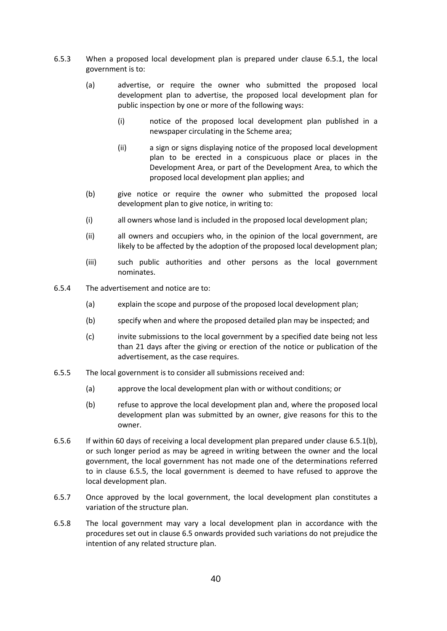- 6.5.3 When a proposed local development plan is prepared under clause 6.5.1, the local government is to:
	- (a) advertise, or require the owner who submitted the proposed local development plan to advertise, the proposed local development plan for public inspection by one or more of the following ways:
		- (i) notice of the proposed local development plan published in a newspaper circulating in the Scheme area;
		- (ii) a sign or signs displaying notice of the proposed local development plan to be erected in a conspicuous place or places in the Development Area, or part of the Development Area, to which the proposed local development plan applies; and
	- (b) give notice or require the owner who submitted the proposed local development plan to give notice, in writing to:
	- (i) all owners whose land is included in the proposed local development plan;
	- (ii) all owners and occupiers who, in the opinion of the local government, are likely to be affected by the adoption of the proposed local development plan;
	- (iii) such public authorities and other persons as the local government nominates.
- 6.5.4 The advertisement and notice are to:
	- (a) explain the scope and purpose of the proposed local development plan;
	- (b) specify when and where the proposed detailed plan may be inspected; and
	- (c) invite submissions to the local government by a specified date being not less than 21 days after the giving or erection of the notice or publication of the advertisement, as the case requires.
- 6.5.5 The local government is to consider all submissions received and:
	- (a) approve the local development plan with or without conditions; or
	- (b) refuse to approve the local development plan and, where the proposed local development plan was submitted by an owner, give reasons for this to the owner.
- 6.5.6 If within 60 days of receiving a local development plan prepared under clause 6.5.1(b), or such longer period as may be agreed in writing between the owner and the local government, the local government has not made one of the determinations referred to in clause 6.5.5, the local government is deemed to have refused to approve the local development plan.
- 6.5.7 Once approved by the local government, the local development plan constitutes a variation of the structure plan.
- 6.5.8 The local government may vary a local development plan in accordance with the procedures set out in clause 6.5 onwards provided such variations do not prejudice the intention of any related structure plan.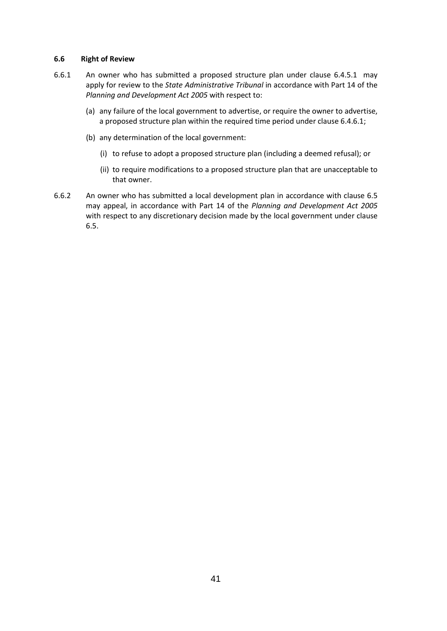## **6.6 Right of Review**

- 6.6.1 An owner who has submitted a proposed structure plan under clause 6.4.5.1 may apply for review to the *State Administrative Tribunal* in accordance with Part 14 of the *Planning and Development Act 2005* with respect to:
	- (a) any failure of the local government to advertise, or require the owner to advertise, a proposed structure plan within the required time period under clause 6.4.6.1;
	- (b) any determination of the local government:
		- (i) to refuse to adopt a proposed structure plan (including a deemed refusal); or
		- (ii) to require modifications to a proposed structure plan that are unacceptable to that owner.
- 6.6.2 An owner who has submitted a local development plan in accordance with clause 6.5 may appeal, in accordance with Part 14 of the *Planning and Development Act 2005* with respect to any discretionary decision made by the local government under clause 6.5.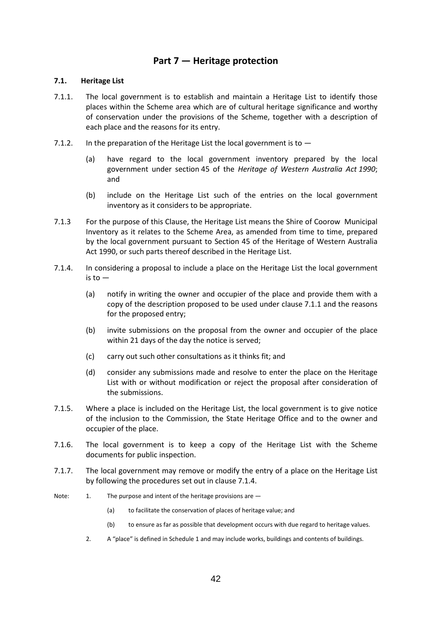# **Part 7 — Heritage protection**

# **7.1. Heritage List**

- 7.1.1. The local government is to establish and maintain a Heritage List to identify those places within the Scheme area which are of cultural heritage significance and worthy of conservation under the provisions of the Scheme, together with a description of each place and the reasons for its entry.
- 7.1.2. In the preparation of the Heritage List the local government is to  $-$ 
	- (a) have regard to the local government inventory prepared by the local government under section 45 of the *Heritage of Western Australia Act 1990*; and
	- (b) include on the Heritage List such of the entries on the local government inventory as it considers to be appropriate.
- 7.1.3 For the purpose of this Clause, the Heritage List means the Shire of Coorow Municipal Inventory as it relates to the Scheme Area, as amended from time to time, prepared by the local government pursuant to Section 45 of the Heritage of Western Australia Act 1990, or such parts thereof described in the Heritage List.
- 7.1.4. In considering a proposal to include a place on the Heritage List the local government  $i$ s to  $-$ 
	- (a) notify in writing the owner and occupier of the place and provide them with a copy of the description proposed to be used under clause 7.1.1 and the reasons for the proposed entry;
	- (b) invite submissions on the proposal from the owner and occupier of the place within 21 days of the day the notice is served;
	- (c) carry out such other consultations as it thinks fit; and
	- (d) consider any submissions made and resolve to enter the place on the Heritage List with or without modification or reject the proposal after consideration of the submissions.
- 7.1.5. Where a place is included on the Heritage List, the local government is to give notice of the inclusion to the Commission, the State Heritage Office and to the owner and occupier of the place.
- 7.1.6. The local government is to keep a copy of the Heritage List with the Scheme documents for public inspection.
- 7.1.7. The local government may remove or modify the entry of a place on the Heritage List by following the procedures set out in clause 7.1.4.
- Note: 1. The purpose and intent of the heritage provisions are -
	- (a) to facilitate the conservation of places of heritage value; and
	- (b) to ensure as far as possible that development occurs with due regard to heritage values.
	- 2. A "place" is defined in Schedule 1 and may include works, buildings and contents of buildings.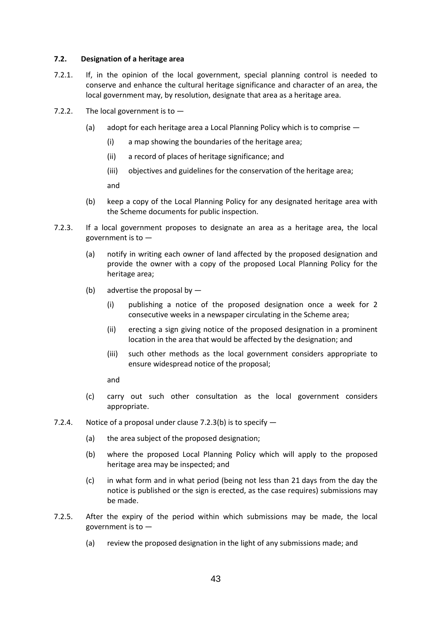# **7.2. Designation of a heritage area**

- 7.2.1. If, in the opinion of the local government, special planning control is needed to conserve and enhance the cultural heritage significance and character of an area, the local government may, by resolution, designate that area as a heritage area.
- 7.2.2. The local government is to  $-$ 
	- (a) adopt for each heritage area a Local Planning Policy which is to comprise
		- (i) a map showing the boundaries of the heritage area;
		- (ii) a record of places of heritage significance; and
		- (iii) objectives and guidelines for the conservation of the heritage area;

and

- (b) keep a copy of the Local Planning Policy for any designated heritage area with the Scheme documents for public inspection.
- 7.2.3. If a local government proposes to designate an area as a heritage area, the local government is to —
	- (a) notify in writing each owner of land affected by the proposed designation and provide the owner with a copy of the proposed Local Planning Policy for the heritage area;
	- (b) advertise the proposal by  $-$ 
		- (i) publishing a notice of the proposed designation once a week for 2 consecutive weeks in a newspaper circulating in the Scheme area;
		- (ii) erecting a sign giving notice of the proposed designation in a prominent location in the area that would be affected by the designation; and
		- (iii) such other methods as the local government considers appropriate to ensure widespread notice of the proposal;

and

- (c) carry out such other consultation as the local government considers appropriate.
- 7.2.4. Notice of a proposal under clause 7.2.3(b) is to specify
	- (a) the area subject of the proposed designation;
	- (b) where the proposed Local Planning Policy which will apply to the proposed heritage area may be inspected; and
	- (c) in what form and in what period (being not less than 21 days from the day the notice is published or the sign is erected, as the case requires) submissions may be made.
- 7.2.5. After the expiry of the period within which submissions may be made, the local government is to —
	- (a) review the proposed designation in the light of any submissions made; and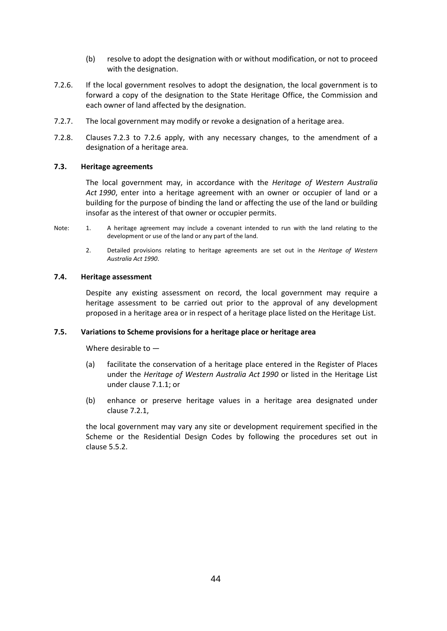- (b) resolve to adopt the designation with or without modification, or not to proceed with the designation.
- 7.2.6. If the local government resolves to adopt the designation, the local government is to forward a copy of the designation to the State Heritage Office, the Commission and each owner of land affected by the designation.
- 7.2.7. The local government may modify or revoke a designation of a heritage area.
- 7.2.8. Clauses 7.2.3 to 7.2.6 apply, with any necessary changes, to the amendment of a designation of a heritage area.

# **7.3. Heritage agreements**

The local government may, in accordance with the *Heritage of Western Australia Act 1990*, enter into a heritage agreement with an owner or occupier of land or a building for the purpose of binding the land or affecting the use of the land or building insofar as the interest of that owner or occupier permits.

- Note: 1. A heritage agreement may include a covenant intended to run with the land relating to the development or use of the land or any part of the land.
	- 2. Detailed provisions relating to heritage agreements are set out in the *Heritage of Western Australia Act 1990*.

# **7.4. Heritage assessment**

Despite any existing assessment on record, the local government may require a heritage assessment to be carried out prior to the approval of any development proposed in a heritage area or in respect of a heritage place listed on the Heritage List.

#### **7.5. Variations to Scheme provisions for a heritage place or heritage area**

Where desirable to —

- (a) facilitate the conservation of a heritage place entered in the Register of Places under the *Heritage of Western Australia Act 1990* or listed in the Heritage List under clause 7.1.1; or
- (b) enhance or preserve heritage values in a heritage area designated under clause 7.2.1,

the local government may vary any site or development requirement specified in the Scheme or the Residential Design Codes by following the procedures set out in clause 5.5.2.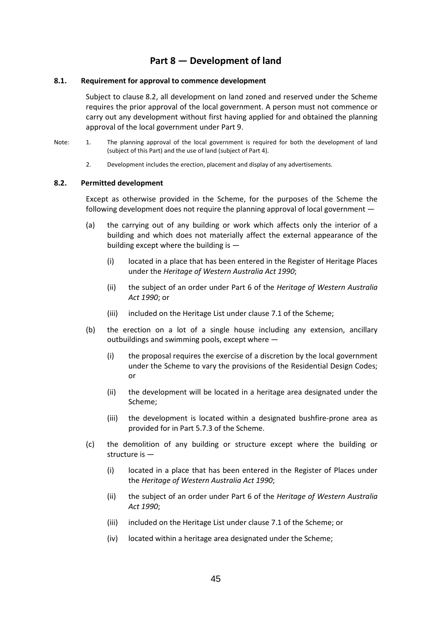# **Part 8 — Development of land**

### **8.1. Requirement for approval to commence development**

Subject to clause 8.2, all development on land zoned and reserved under the Scheme requires the prior approval of the local government. A person must not commence or carry out any development without first having applied for and obtained the planning approval of the local government under Part 9.

- Note: 1. The planning approval of the local government is required for both the development of land (subject of this Part) and the use of land (subject of Part 4).
	- 2. Development includes the erection, placement and display of any advertisements.

#### **8.2. Permitted development**

Except as otherwise provided in the Scheme, for the purposes of the Scheme the following development does not require the planning approval of local government —

- (a) the carrying out of any building or work which affects only the interior of a building and which does not materially affect the external appearance of the building except where the building is —
	- (i) located in a place that has been entered in the Register of Heritage Places under the *Heritage of Western Australia Act 1990*;
	- (ii) the subject of an order under Part 6 of the *Heritage of Western Australia Act 1990*; or
	- (iii) included on the Heritage List under clause 7.1 of the Scheme;
- (b) the erection on a lot of a single house including any extension, ancillary outbuildings and swimming pools, except where —
	- (i) the proposal requires the exercise of a discretion by the local government under the Scheme to vary the provisions of the Residential Design Codes; or
	- (ii) the development will be located in a heritage area designated under the Scheme;
	- (iii) the development is located within a designated bushfire-prone area as provided for in Part 5.7.3 of the Scheme.
- (c) the demolition of any building or structure except where the building or structure is —
	- (i) located in a place that has been entered in the Register of Places under the *Heritage of Western Australia Act 1990*;
	- (ii) the subject of an order under Part 6 of the *Heritage of Western Australia Act 1990*;
	- (iii) included on the Heritage List under clause 7.1 of the Scheme; or
	- (iv) located within a heritage area designated under the Scheme;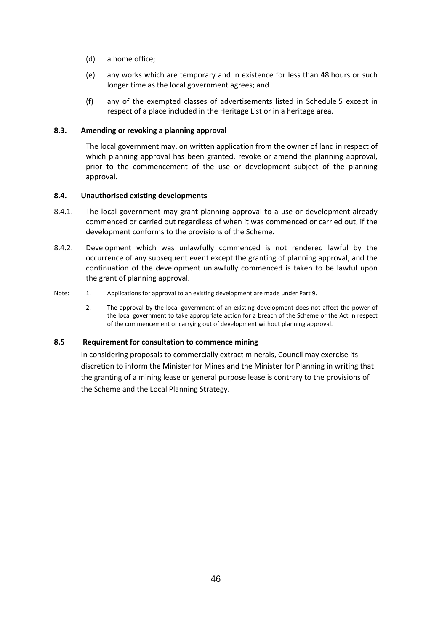- (d) a home office;
- (e) any works which are temporary and in existence for less than 48 hours or such longer time as the local government agrees; and
- (f) any of the exempted classes of advertisements listed in Schedule 5 except in respect of a place included in the Heritage List or in a heritage area.

# **8.3. Amending or revoking a planning approval**

The local government may, on written application from the owner of land in respect of which planning approval has been granted, revoke or amend the planning approval, prior to the commencement of the use or development subject of the planning approval.

# **8.4. Unauthorised existing developments**

- 8.4.1. The local government may grant planning approval to a use or development already commenced or carried out regardless of when it was commenced or carried out, if the development conforms to the provisions of the Scheme.
- 8.4.2. Development which was unlawfully commenced is not rendered lawful by the occurrence of any subsequent event except the granting of planning approval, and the continuation of the development unlawfully commenced is taken to be lawful upon the grant of planning approval.
- Note: 1. Applications for approval to an existing development are made under Part 9.
	- 2. The approval by the local government of an existing development does not affect the power of the local government to take appropriate action for a breach of the Scheme or the Act in respect of the commencement or carrying out of development without planning approval.

# **8.5 Requirement for consultation to commence mining**

In considering proposals to commercially extract minerals, Council may exercise its discretion to inform the Minister for Mines and the Minister for Planning in writing that the granting of a mining lease or general purpose lease is contrary to the provisions of the Scheme and the Local Planning Strategy.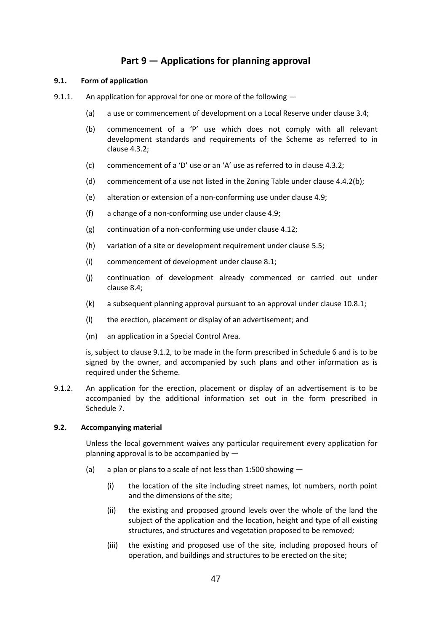# **Part 9 — Applications for planning approval**

# **9.1. Form of application**

- 9.1.1. An application for approval for one or more of the following
	- (a) a use or commencement of development on a Local Reserve under clause 3.4;
	- (b) commencement of a 'P' use which does not comply with all relevant development standards and requirements of the Scheme as referred to in clause 4.3.2;
	- (c) commencement of a 'D' use or an 'A' use as referred to in clause 4.3.2;
	- (d) commencement of a use not listed in the Zoning Table under clause 4.4.2(b);
	- (e) alteration or extension of a non-conforming use under clause 4.9;
	- (f) a change of a non-conforming use under clause 4.9;
	- (g) continuation of a non-conforming use under clause 4.12;
	- (h) variation of a site or development requirement under clause 5.5;
	- (i) commencement of development under clause 8.1;
	- (j) continuation of development already commenced or carried out under clause 8.4;
	- (k) a subsequent planning approval pursuant to an approval under clause 10.8.1;
	- (l) the erection, placement or display of an advertisement; and
	- (m) an application in a Special Control Area.

is, subject to clause 9.1.2, to be made in the form prescribed in Schedule 6 and is to be signed by the owner, and accompanied by such plans and other information as is required under the Scheme.

9.1.2. An application for the erection, placement or display of an advertisement is to be accompanied by the additional information set out in the form prescribed in Schedule 7.

# **9.2. Accompanying material**

Unless the local government waives any particular requirement every application for planning approval is to be accompanied by —

- (a) a plan or plans to a scale of not less than 1:500 showing
	- (i) the location of the site including street names, lot numbers, north point and the dimensions of the site;
	- (ii) the existing and proposed ground levels over the whole of the land the subject of the application and the location, height and type of all existing structures, and structures and vegetation proposed to be removed;
	- (iii) the existing and proposed use of the site, including proposed hours of operation, and buildings and structures to be erected on the site;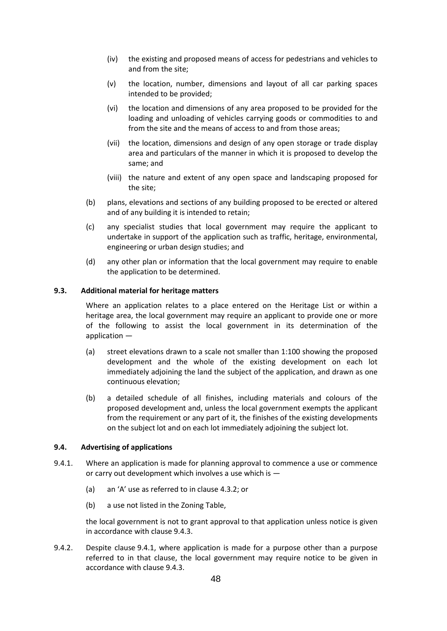- (iv) the existing and proposed means of access for pedestrians and vehicles to and from the site;
- (v) the location, number, dimensions and layout of all car parking spaces intended to be provided;
- (vi) the location and dimensions of any area proposed to be provided for the loading and unloading of vehicles carrying goods or commodities to and from the site and the means of access to and from those areas;
- (vii) the location, dimensions and design of any open storage or trade display area and particulars of the manner in which it is proposed to develop the same; and
- (viii) the nature and extent of any open space and landscaping proposed for the site;
- (b) plans, elevations and sections of any building proposed to be erected or altered and of any building it is intended to retain;
- (c) any specialist studies that local government may require the applicant to undertake in support of the application such as traffic, heritage, environmental, engineering or urban design studies; and
- (d) any other plan or information that the local government may require to enable the application to be determined.

# **9.3. Additional material for heritage matters**

Where an application relates to a place entered on the Heritage List or within a heritage area, the local government may require an applicant to provide one or more of the following to assist the local government in its determination of the application —

- (a) street elevations drawn to a scale not smaller than 1:100 showing the proposed development and the whole of the existing development on each lot immediately adjoining the land the subject of the application, and drawn as one continuous elevation;
- (b) a detailed schedule of all finishes, including materials and colours of the proposed development and, unless the local government exempts the applicant from the requirement or any part of it, the finishes of the existing developments on the subject lot and on each lot immediately adjoining the subject lot.

# **9.4. Advertising of applications**

- 9.4.1. Where an application is made for planning approval to commence a use or commence or carry out development which involves a use which is —
	- (a) an 'A' use as referred to in clause 4.3.2; or
	- (b) a use not listed in the Zoning Table,

the local government is not to grant approval to that application unless notice is given in accordance with clause 9.4.3.

9.4.2. Despite clause 9.4.1, where application is made for a purpose other than a purpose referred to in that clause, the local government may require notice to be given in accordance with clause 9.4.3.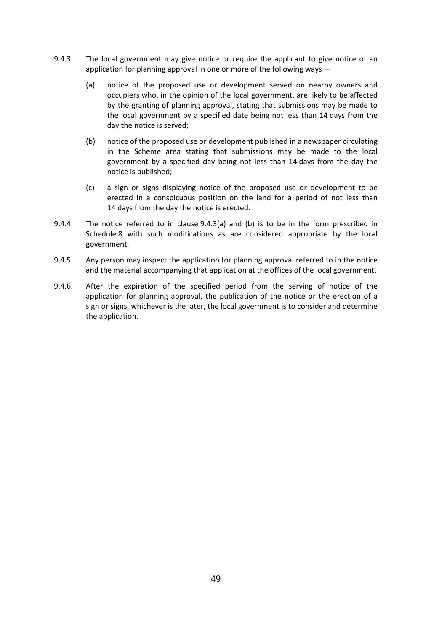- 9.4.3. The local government may give notice or require the applicant to give notice of an application for planning approval in one or more of the following ways —
	- (a) notice of the proposed use or development served on nearby owners and occupiers who, in the opinion of the local government, are likely to be affected by the granting of planning approval, stating that submissions may be made to the local government by a specified date being not less than 14 days from the day the notice is served;
	- (b) notice of the proposed use or development published in a newspaper circulating in the Scheme area stating that submissions may be made to the local government by a specified day being not less than 14 days from the day the notice is published;
	- (c) a sign or signs displaying notice of the proposed use or development to be erected in a conspicuous position on the land for a period of not less than 14 days from the day the notice is erected.
- 9.4.4. The notice referred to in clause 9.4.3(a) and (b) is to be in the form prescribed in Schedule 8 with such modifications as are considered appropriate by the local government.
- 9.4.5. Any person may inspect the application for planning approval referred to in the notice and the material accompanying that application at the offices of the local government.
- 9.4.6. After the expiration of the specified period from the serving of notice of the application for planning approval, the publication of the notice or the erection of a sign or signs, whichever is the later, the local government is to consider and determine the application.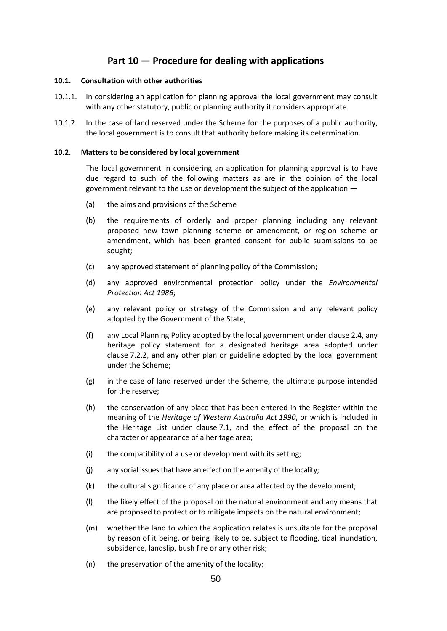# **Part 10 — Procedure for dealing with applications**

# **10.1. Consultation with other authorities**

- 10.1.1. In considering an application for planning approval the local government may consult with any other statutory, public or planning authority it considers appropriate.
- 10.1.2. In the case of land reserved under the Scheme for the purposes of a public authority, the local government is to consult that authority before making its determination.

### **10.2. Matters to be considered by local government**

The local government in considering an application for planning approval is to have due regard to such of the following matters as are in the opinion of the local government relevant to the use or development the subject of the application —

- (a) the aims and provisions of the Scheme
- (b) the requirements of orderly and proper planning including any relevant proposed new town planning scheme or amendment, or region scheme or amendment, which has been granted consent for public submissions to be sought;
- (c) any approved statement of planning policy of the Commission;
- (d) any approved environmental protection policy under the *Environmental Protection Act 1986*;
- (e) any relevant policy or strategy of the Commission and any relevant policy adopted by the Government of the State;
- (f) any Local Planning Policy adopted by the local government under clause 2.4, any heritage policy statement for a designated heritage area adopted under clause 7.2.2, and any other plan or guideline adopted by the local government under the Scheme;
- (g) in the case of land reserved under the Scheme, the ultimate purpose intended for the reserve;
- (h) the conservation of any place that has been entered in the Register within the meaning of the *Heritage of Western Australia Act 1990*, or which is included in the Heritage List under clause 7.1, and the effect of the proposal on the character or appearance of a heritage area;
- (i) the compatibility of a use or development with its setting;
- (j) any social issues that have an effect on the amenity of the locality;
- (k) the cultural significance of any place or area affected by the development;
- (l) the likely effect of the proposal on the natural environment and any means that are proposed to protect or to mitigate impacts on the natural environment;
- (m) whether the land to which the application relates is unsuitable for the proposal by reason of it being, or being likely to be, subject to flooding, tidal inundation, subsidence, landslip, bush fire or any other risk;
- (n) the preservation of the amenity of the locality;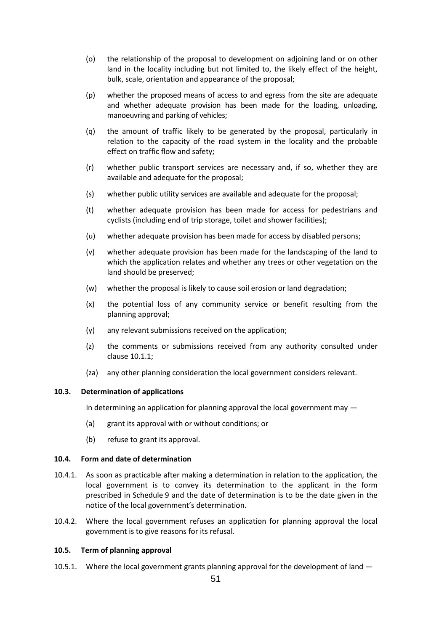- (o) the relationship of the proposal to development on adjoining land or on other land in the locality including but not limited to, the likely effect of the height, bulk, scale, orientation and appearance of the proposal;
- (p) whether the proposed means of access to and egress from the site are adequate and whether adequate provision has been made for the loading, unloading, manoeuvring and parking of vehicles;
- (q) the amount of traffic likely to be generated by the proposal, particularly in relation to the capacity of the road system in the locality and the probable effect on traffic flow and safety;
- (r) whether public transport services are necessary and, if so, whether they are available and adequate for the proposal;
- (s) whether public utility services are available and adequate for the proposal;
- (t) whether adequate provision has been made for access for pedestrians and cyclists (including end of trip storage, toilet and shower facilities);
- (u) whether adequate provision has been made for access by disabled persons;
- (v) whether adequate provision has been made for the landscaping of the land to which the application relates and whether any trees or other vegetation on the land should be preserved;
- (w) whether the proposal is likely to cause soil erosion or land degradation;
- (x) the potential loss of any community service or benefit resulting from the planning approval;
- (y) any relevant submissions received on the application;
- (z) the comments or submissions received from any authority consulted under clause 10.1.1;
- (za) any other planning consideration the local government considers relevant.

#### **10.3. Determination of applications**

In determining an application for planning approval the local government may —

- (a) grant its approval with or without conditions; or
- (b) refuse to grant its approval.

# **10.4. Form and date of determination**

- 10.4.1. As soon as practicable after making a determination in relation to the application, the local government is to convey its determination to the applicant in the form prescribed in Schedule 9 and the date of determination is to be the date given in the notice of the local government's determination.
- 10.4.2. Where the local government refuses an application for planning approval the local government is to give reasons for its refusal.

#### **10.5. Term of planning approval**

10.5.1. Where the local government grants planning approval for the development of land  $-$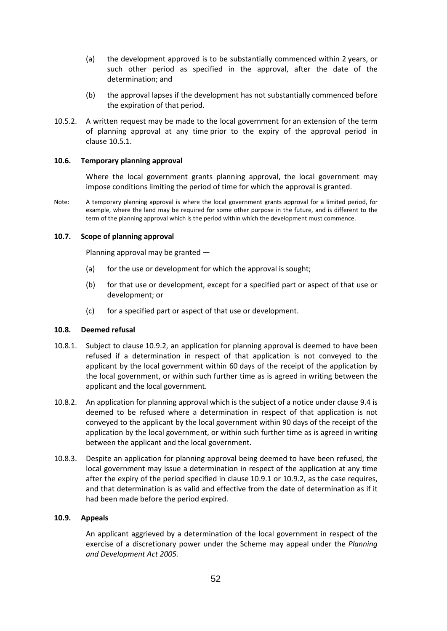- (a) the development approved is to be substantially commenced within 2 years, or such other period as specified in the approval, after the date of the determination; and
- (b) the approval lapses if the development has not substantially commenced before the expiration of that period.
- 10.5.2. A written request may be made to the local government for an extension of the term of planning approval at any time prior to the expiry of the approval period in clause 10.5.1.

# **10.6. Temporary planning approval**

Where the local government grants planning approval, the local government may impose conditions limiting the period of time for which the approval is granted.

Note: A temporary planning approval is where the local government grants approval for a limited period, for example, where the land may be required for some other purpose in the future, and is different to the term of the planning approval which is the period within which the development must commence.

# **10.7. Scope of planning approval**

Planning approval may be granted —

- (a) for the use or development for which the approval is sought;
- (b) for that use or development, except for a specified part or aspect of that use or development; or
- (c) for a specified part or aspect of that use or development.

#### **10.8. Deemed refusal**

- 10.8.1. Subject to clause 10.9.2, an application for planning approval is deemed to have been refused if a determination in respect of that application is not conveyed to the applicant by the local government within 60 days of the receipt of the application by the local government, or within such further time as is agreed in writing between the applicant and the local government.
- 10.8.2. An application for planning approval which is the subject of a notice under clause 9.4 is deemed to be refused where a determination in respect of that application is not conveyed to the applicant by the local government within 90 days of the receipt of the application by the local government, or within such further time as is agreed in writing between the applicant and the local government.
- 10.8.3. Despite an application for planning approval being deemed to have been refused, the local government may issue a determination in respect of the application at any time after the expiry of the period specified in clause 10.9.1 or 10.9.2, as the case requires, and that determination is as valid and effective from the date of determination as if it had been made before the period expired.

# **10.9. Appeals**

An applicant aggrieved by a determination of the local government in respect of the exercise of a discretionary power under the Scheme may appeal under the *Planning and Development Act 2005.*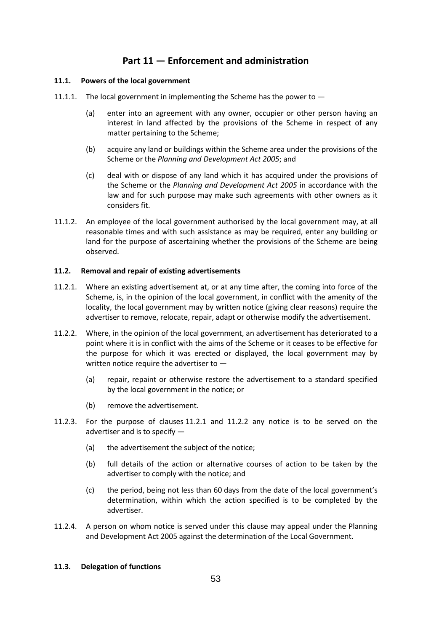# **Part 11 — Enforcement and administration**

# **11.1. Powers of the local government**

- 11.1.1. The local government in implementing the Scheme has the power to  $-$ 
	- (a) enter into an agreement with any owner, occupier or other person having an interest in land affected by the provisions of the Scheme in respect of any matter pertaining to the Scheme;
	- (b) acquire any land or buildings within the Scheme area under the provisions of the Scheme or the *Planning and Development Act 2005*; and
	- (c) deal with or dispose of any land which it has acquired under the provisions of the Scheme or the *Planning and Development Act 2005* in accordance with the law and for such purpose may make such agreements with other owners as it considers fit.
- 11.1.2. An employee of the local government authorised by the local government may, at all reasonable times and with such assistance as may be required, enter any building or land for the purpose of ascertaining whether the provisions of the Scheme are being observed.

# **11.2. Removal and repair of existing advertisements**

- 11.2.1. Where an existing advertisement at, or at any time after, the coming into force of the Scheme, is, in the opinion of the local government, in conflict with the amenity of the locality, the local government may by written notice (giving clear reasons) require the advertiser to remove, relocate, repair, adapt or otherwise modify the advertisement.
- 11.2.2. Where, in the opinion of the local government, an advertisement has deteriorated to a point where it is in conflict with the aims of the Scheme or it ceases to be effective for the purpose for which it was erected or displayed, the local government may by written notice require the advertiser to —
	- (a) repair, repaint or otherwise restore the advertisement to a standard specified by the local government in the notice; or
	- (b) remove the advertisement.
- 11.2.3. For the purpose of clauses 11.2.1 and 11.2.2 any notice is to be served on the advertiser and is to specify —
	- (a) the advertisement the subject of the notice;
	- (b) full details of the action or alternative courses of action to be taken by the advertiser to comply with the notice; and
	- (c) the period, being not less than 60 days from the date of the local government's determination, within which the action specified is to be completed by the advertiser.
- 11.2.4. A person on whom notice is served under this clause may appeal under the Planning and Development Act 2005 against the determination of the Local Government.

# **11.3. Delegation of functions**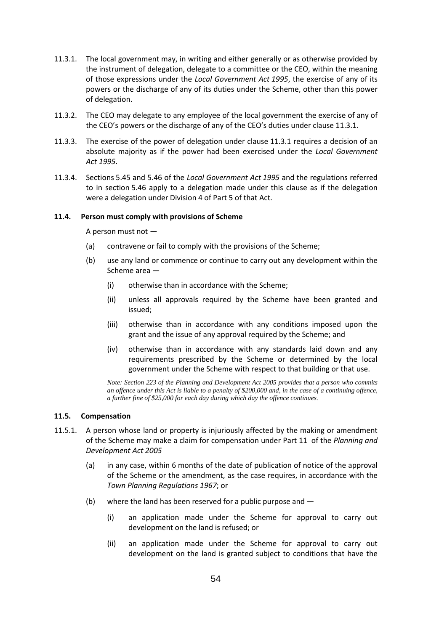- 11.3.1. The local government may, in writing and either generally or as otherwise provided by the instrument of delegation, delegate to a committee or the CEO, within the meaning of those expressions under the *Local Government Act 1995*, the exercise of any of its powers or the discharge of any of its duties under the Scheme, other than this power of delegation.
- 11.3.2. The CEO may delegate to any employee of the local government the exercise of any of the CEO's powers or the discharge of any of the CEO's duties under clause 11.3.1.
- 11.3.3. The exercise of the power of delegation under clause 11.3.1 requires a decision of an absolute majority as if the power had been exercised under the *Local Government Act 1995*.
- 11.3.4. Sections 5.45 and 5.46 of the *Local Government Act 1995* and the regulations referred to in section 5.46 apply to a delegation made under this clause as if the delegation were a delegation under Division 4 of Part 5 of that Act.

#### **11.4. Person must comply with provisions of Scheme**

A person must not —

- (a) contravene or fail to comply with the provisions of the Scheme;
- (b) use any land or commence or continue to carry out any development within the Scheme area —
	- (i) otherwise than in accordance with the Scheme;
	- (ii) unless all approvals required by the Scheme have been granted and issued;
	- (iii) otherwise than in accordance with any conditions imposed upon the grant and the issue of any approval required by the Scheme; and
	- (iv) otherwise than in accordance with any standards laid down and any requirements prescribed by the Scheme or determined by the local government under the Scheme with respect to that building or that use.

*Note: Section 223 of the Planning and Development Act 2005 provides that a person who commits an offence under this Act is liable to a penalty of \$200,000 and, in the case of a continuing offence, a further fine of \$25,000 for each day during which day the offence continues.*

#### **11.5. Compensation**

- 11.5.1. A person whose land or property is injuriously affected by the making or amendment of the Scheme may make a claim for compensation under Part 11 of the *Planning and Development Act 2005*
	- (a) in any case, within 6 months of the date of publication of notice of the approval of the Scheme or the amendment, as the case requires, in accordance with the *Town Planning Regulations 1967*; or
	- (b) where the land has been reserved for a public purpose and
		- (i) an application made under the Scheme for approval to carry out development on the land is refused; or
		- (ii) an application made under the Scheme for approval to carry out development on the land is granted subject to conditions that have the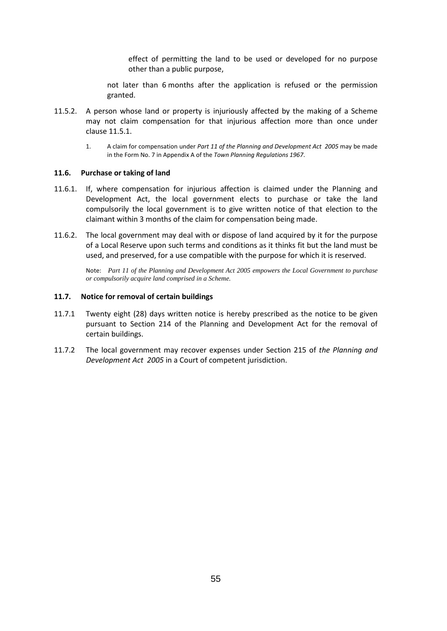effect of permitting the land to be used or developed for no purpose other than a public purpose,

not later than 6 months after the application is refused or the permission granted.

- 11.5.2. A person whose land or property is injuriously affected by the making of a Scheme may not claim compensation for that injurious affection more than once under clause 11.5.1.
	- 1. A claim for compensation under *Part 11 of the Planning and Development Act 2005* may be made in the Form No. 7 in Appendix A of the *Town Planning Regulations 1967*.

#### **11.6. Purchase or taking of land**

- 11.6.1. If, where compensation for injurious affection is claimed under the Planning and Development Act, the local government elects to purchase or take the land compulsorily the local government is to give written notice of that election to the claimant within 3 months of the claim for compensation being made.
- 11.6.2. The local government may deal with or dispose of land acquired by it for the purpose of a Local Reserve upon such terms and conditions as it thinks fit but the land must be used, and preserved, for a use compatible with the purpose for which it is reserved.

Note: *Part 11 of the Planning and Development Act 2005 empowers the Local Government to purchase or compulsorily acquire land comprised in a Scheme.*

#### **11.7. Notice for removal of certain buildings**

- 11.7.1 Twenty eight (28) days written notice is hereby prescribed as the notice to be given pursuant to Section 214 of the Planning and Development Act for the removal of certain buildings.
- 11.7.2 The local government may recover expenses under Section 215 of *the Planning and Development Act 2005* in a Court of competent jurisdiction.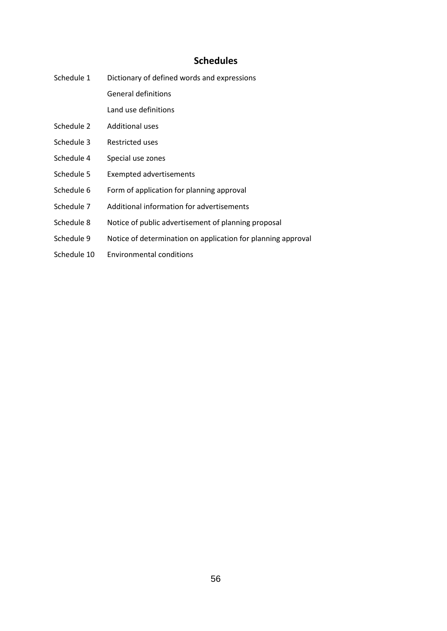# **Schedules**

Schedule 1 Dictionary of defined words and expressions General definitions

Land use definitions

- Schedule 2 Additional uses
- Schedule 3 Restricted uses
- Schedule 4 Special use zones
- Schedule 5 Exempted advertisements
- Schedule 6 Form of application for planning approval
- Schedule 7 Additional information for advertisements
- Schedule 8 Notice of public advertisement of planning proposal
- Schedule 9 Notice of determination on application for planning approval
- Schedule 10 Environmental conditions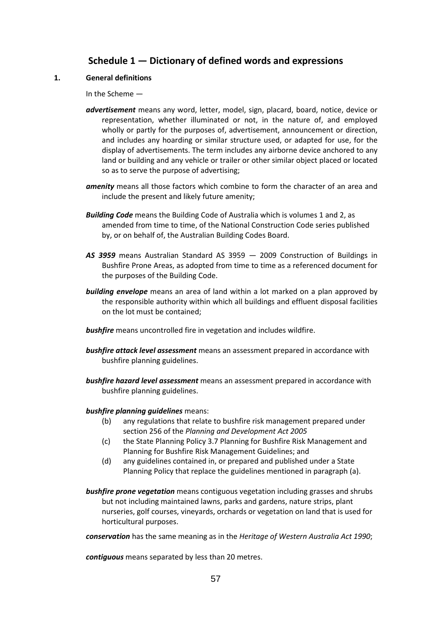# **Schedule 1 — Dictionary of defined words and expressions**

# **1. General definitions**

In the Scheme —

- *advertisement* means any word, letter, model, sign, placard, board, notice, device or representation, whether illuminated or not, in the nature of, and employed wholly or partly for the purposes of, advertisement, announcement or direction, and includes any hoarding or similar structure used, or adapted for use, for the display of advertisements. The term includes any airborne device anchored to any land or building and any vehicle or trailer or other similar object placed or located so as to serve the purpose of advertising;
- *amenity* means all those factors which combine to form the character of an area and include the present and likely future amenity;
- *Building Code* means the Building Code of Australia which is volumes 1 and 2, as amended from time to time, of the National Construction Code series published by, or on behalf of, the Australian Building Codes Board.
- *AS 3959* means Australian Standard AS 3959 2009 Construction of Buildings in Bushfire Prone Areas, as adopted from time to time as a referenced document for the purposes of the Building Code.
- *building envelope* means an area of land within a lot marked on a plan approved by the responsible authority within which all buildings and effluent disposal facilities on the lot must be contained;
- *bushfire* means uncontrolled fire in vegetation and includes wildfire.
- *bushfire attack level assessment* means an assessment prepared in accordance with bushfire planning guidelines.
- *bushfire hazard level assessment* means an assessment prepared in accordance with bushfire planning guidelines.

#### *bushfire planning guidelines* means:

- (b) any regulations that relate to bushfire risk management prepared under section 256 of the *Planning and Development Act 2005*
- (c) the State Planning Policy 3.7 Planning for Bushfire Risk Management and Planning for Bushfire Risk Management Guidelines; and
- (d) any guidelines contained in, or prepared and published under a State Planning Policy that replace the guidelines mentioned in paragraph (a).
- *bushfire prone vegetation* means contiguous vegetation including grasses and shrubs but not including maintained lawns, parks and gardens, nature strips, plant nurseries, golf courses, vineyards, orchards or vegetation on land that is used for horticultural purposes.

*conservation* has the same meaning as in the *Heritage of Western Australia Act 1990*;

*contiguous* means separated by less than 20 metres.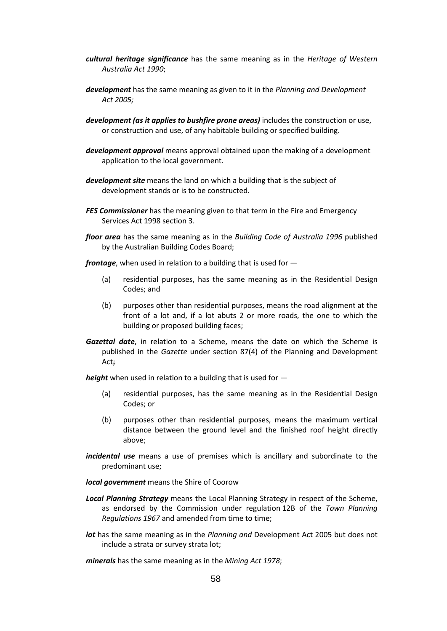- *cultural heritage significance* has the same meaning as in the *Heritage of Western Australia Act 1990*;
- *development* has the same meaning as given to it in the *Planning and Development Act 2005;*
- *development (as it applies to bushfire prone areas)* includes the construction or use, or construction and use, of any habitable building or specified building.
- *development approval* means approval obtained upon the making of a development application to the local government.
- *development site* means the land on which a building that is the subject of development stands or is to be constructed.
- *FES Commissioner* has the meaning given to that term in the Fire and Emergency Services Act 1998 section 3.
- *floor area* has the same meaning as in the *Building Code of Australia 1996* published by the Australian Building Codes Board;

*frontage*, when used in relation to a building that is used for —

- (a) residential purposes, has the same meaning as in the Residential Design Codes; and
- (b) purposes other than residential purposes, means the road alignment at the front of a lot and, if a lot abuts 2 or more roads, the one to which the building or proposed building faces;
- *Gazettal date*, in relation to a Scheme, means the date on which the Scheme is published in the *Gazette* under section 87(4) of the Planning and Development Act;

*height* when used in relation to a building that is used for —

- (a) residential purposes, has the same meaning as in the Residential Design Codes; or
- (b) purposes other than residential purposes, means the maximum vertical distance between the ground level and the finished roof height directly above;
- *incidental use* means a use of premises which is ancillary and subordinate to the predominant use;

*local government* means the Shire of Coorow

- *Local Planning Strategy* means the Local Planning Strategy in respect of the Scheme, as endorsed by the Commission under regulation 12B of the *Town Planning Regulations 1967* and amended from time to time;
- *lot* has the same meaning as in the *Planning and* Development Act 2005 but does not include a strata or survey strata lot;

*minerals* has the same meaning as in the *Mining Act 1978*;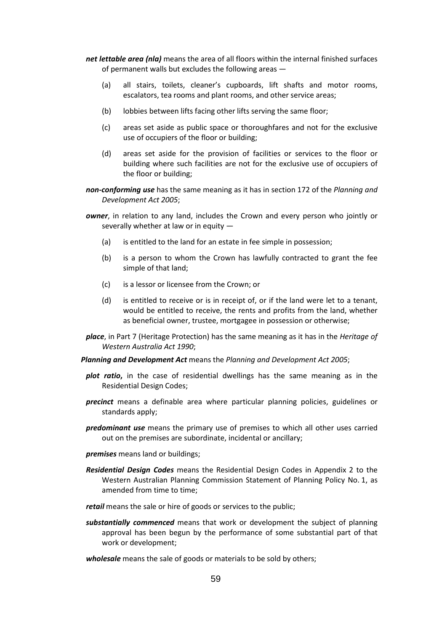- *net lettable area (nla)* means the area of all floors within the internal finished surfaces of permanent walls but excludes the following areas —
	- (a) all stairs, toilets, cleaner's cupboards, lift shafts and motor rooms, escalators, tea rooms and plant rooms, and other service areas;
	- (b) lobbies between lifts facing other lifts serving the same floor;
	- (c) areas set aside as public space or thoroughfares and not for the exclusive use of occupiers of the floor or building;
	- (d) areas set aside for the provision of facilities or services to the floor or building where such facilities are not for the exclusive use of occupiers of the floor or building;
- *non-conforming use* has the same meaning as it has in section 172 of the *Planning and Development Act 2005*;
- *owner*, in relation to any land, includes the Crown and every person who jointly or severally whether at law or in equity —
	- (a) is entitled to the land for an estate in fee simple in possession;
	- (b) is a person to whom the Crown has lawfully contracted to grant the fee simple of that land;
	- (c) is a lessor or licensee from the Crown; or
	- (d) is entitled to receive or is in receipt of, or if the land were let to a tenant, would be entitled to receive, the rents and profits from the land, whether as beneficial owner, trustee, mortgagee in possession or otherwise;
- *place*, in Part 7 (Heritage Protection) has the same meaning as it has in the *Heritage of Western Australia Act 1990*;
- *Planning and Development Act* means the *Planning and Development Act 2005*;
- *plot ratio***,** in the case of residential dwellings has the same meaning as in the Residential Design Codes;
- *precinct* means a definable area where particular planning policies, guidelines or standards apply;
- *predominant use* means the primary use of premises to which all other uses carried out on the premises are subordinate, incidental or ancillary;
- *premises* means land or buildings;
- *Residential Design Codes* means the Residential Design Codes in Appendix 2 to the Western Australian Planning Commission Statement of Planning Policy No. 1, as amended from time to time:

*retail* means the sale or hire of goods or services to the public;

- *substantially commenced* means that work or development the subject of planning approval has been begun by the performance of some substantial part of that work or development;
- *wholesale* means the sale of goods or materials to be sold by others;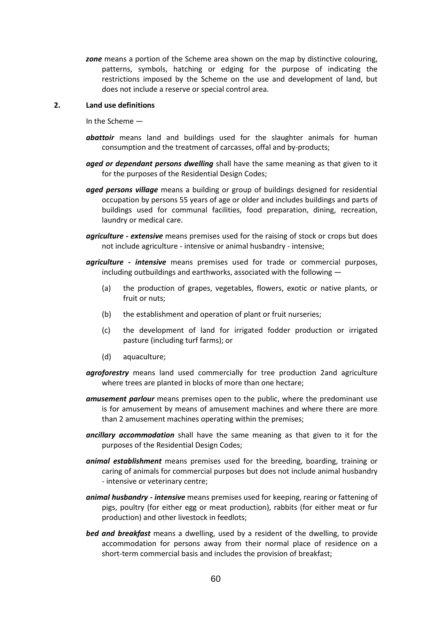*zone* means a portion of the Scheme area shown on the map by distinctive colouring, patterns, symbols, hatching or edging for the purpose of indicating the restrictions imposed by the Scheme on the use and development of land, but does not include a reserve or special control area.

### **2. Land use definitions**

In the Scheme —

- *abattoir* means land and buildings used for the slaughter animals for human consumption and the treatment of carcasses, offal and by-products;
- *aged or dependant persons dwelling* shall have the same meaning as that given to it for the purposes of the Residential Design Codes;
- *aged persons village* means a building or group of buildings designed for residential occupation by persons 55 years of age or older and includes buildings and parts of buildings used for communal facilities, food preparation, dining, recreation, laundry or medical care.
- *agriculture - extensive* means premises used for the raising of stock or crops but does not include agriculture - intensive or animal husbandry - intensive;
- *agriculture - intensive* means premises used for trade or commercial purposes, including outbuildings and earthworks, associated with the following —
	- (a) the production of grapes, vegetables, flowers, exotic or native plants, or fruit or nuts;
	- (b) the establishment and operation of plant or fruit nurseries;
	- (c) the development of land for irrigated fodder production or irrigated pasture (including turf farms); or
	- (d) aquaculture;
- *agroforestry* means land used commercially for tree production 2and agriculture where trees are planted in blocks of more than one hectare;
- *amusement parlour* means premises open to the public, where the predominant use is for amusement by means of amusement machines and where there are more than 2 amusement machines operating within the premises;
- *ancillary accommodation* shall have the same meaning as that given to it for the purposes of the Residential Design Codes;
- *animal establishment* means premises used for the breeding, boarding, training or caring of animals for commercial purposes but does not include animal husbandry - intensive or veterinary centre;
- *animal husbandry - intensive* means premises used for keeping, rearing or fattening of pigs, poultry (for either egg or meat production), rabbits (for either meat or fur production) and other livestock in feedlots;
- *bed and breakfast* means a dwelling, used by a resident of the dwelling, to provide accommodation for persons away from their normal place of residence on a short-term commercial basis and includes the provision of breakfast;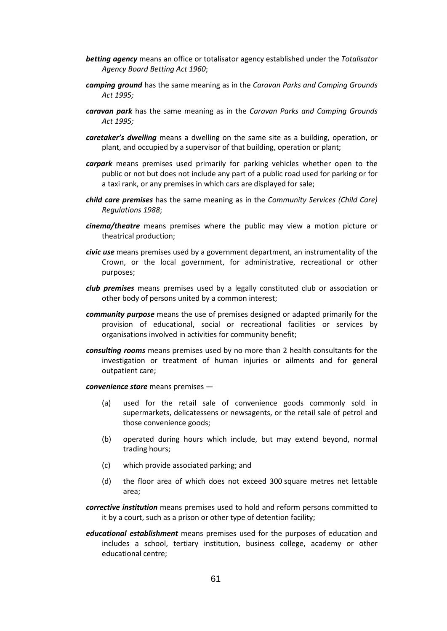- *betting agency* means an office or totalisator agency established under the *Totalisator Agency Board Betting Act 1960*;
- *camping ground* has the same meaning as in the *Caravan Parks and Camping Grounds Act 1995;*
- *caravan park* has the same meaning as in the *Caravan Parks and Camping Grounds Act 1995;*
- *caretaker's dwelling* means a dwelling on the same site as a building, operation, or plant, and occupied by a supervisor of that building, operation or plant;
- *carpark* means premises used primarily for parking vehicles whether open to the public or not but does not include any part of a public road used for parking or for a taxi rank, or any premises in which cars are displayed for sale;
- *child care premises* has the same meaning as in the *Community Services (Child Care) Regulations 1988*;
- *cinema/theatre* means premises where the public may view a motion picture or theatrical production;
- *civic use* means premises used by a government department, an instrumentality of the Crown, or the local government, for administrative, recreational or other purposes;
- *club premises* means premises used by a legally constituted club or association or other body of persons united by a common interest;
- *community purpose* means the use of premises designed or adapted primarily for the provision of educational, social or recreational facilities or services by organisations involved in activities for community benefit;
- *consulting rooms* means premises used by no more than 2 health consultants for the investigation or treatment of human injuries or ailments and for general outpatient care;

*convenience store* means premises —

- (a) used for the retail sale of convenience goods commonly sold in supermarkets, delicatessens or newsagents, or the retail sale of petrol and those convenience goods;
- (b) operated during hours which include, but may extend beyond, normal trading hours;
- (c) which provide associated parking; and
- (d) the floor area of which does not exceed 300 square metres net lettable area;
- *corrective institution* means premises used to hold and reform persons committed to it by a court, such as a prison or other type of detention facility;
- *educational establishment* means premises used for the purposes of education and includes a school, tertiary institution, business college, academy or other educational centre;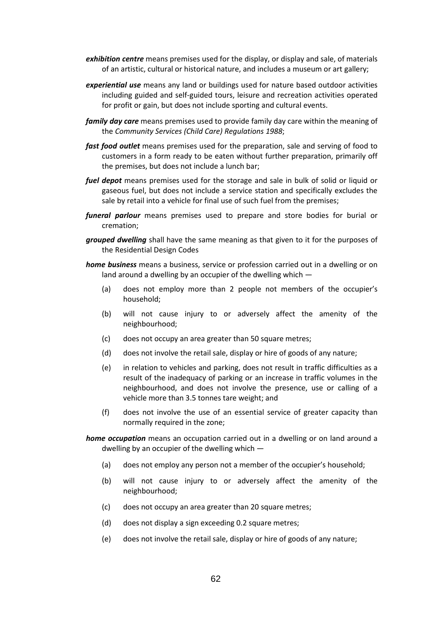- *exhibition centre* means premises used for the display, or display and sale, of materials of an artistic, cultural or historical nature, and includes a museum or art gallery;
- *experiential use* means any land or buildings used for nature based outdoor activities including guided and self-guided tours, leisure and recreation activities operated for profit or gain, but does not include sporting and cultural events.
- *family day care* means premises used to provide family day care within the meaning of the *Community Services (Child Care) Regulations 1988*;
- *fast food outlet* means premises used for the preparation, sale and serving of food to customers in a form ready to be eaten without further preparation, primarily off the premises, but does not include a lunch bar;
- *fuel depot* means premises used for the storage and sale in bulk of solid or liquid or gaseous fuel, but does not include a service station and specifically excludes the sale by retail into a vehicle for final use of such fuel from the premises;
- *funeral parlour* means premises used to prepare and store bodies for burial or cremation;
- *grouped dwelling* shall have the same meaning as that given to it for the purposes of the Residential Design Codes
- *home business* means a business, service or profession carried out in a dwelling or on land around a dwelling by an occupier of the dwelling which —
	- (a) does not employ more than 2 people not members of the occupier's household;
	- (b) will not cause injury to or adversely affect the amenity of the neighbourhood;
	- (c) does not occupy an area greater than 50 square metres;
	- (d) does not involve the retail sale, display or hire of goods of any nature;
	- (e) in relation to vehicles and parking, does not result in traffic difficulties as a result of the inadequacy of parking or an increase in traffic volumes in the neighbourhood, and does not involve the presence, use or calling of a vehicle more than 3.5 tonnes tare weight; and
	- (f) does not involve the use of an essential service of greater capacity than normally required in the zone;

*home occupation* means an occupation carried out in a dwelling or on land around a dwelling by an occupier of the dwelling which —

- (a) does not employ any person not a member of the occupier's household;
- (b) will not cause injury to or adversely affect the amenity of the neighbourhood;
- (c) does not occupy an area greater than 20 square metres;
- (d) does not display a sign exceeding 0.2 square metres;
- (e) does not involve the retail sale, display or hire of goods of any nature;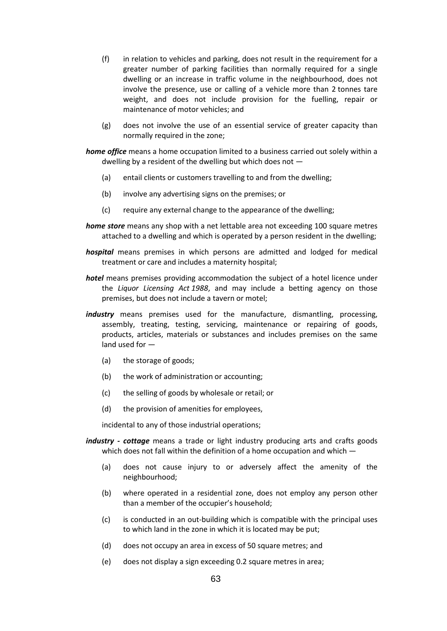- (f) in relation to vehicles and parking, does not result in the requirement for a greater number of parking facilities than normally required for a single dwelling or an increase in traffic volume in the neighbourhood, does not involve the presence, use or calling of a vehicle more than 2 tonnes tare weight, and does not include provision for the fuelling, repair or maintenance of motor vehicles; and
- (g) does not involve the use of an essential service of greater capacity than normally required in the zone;

*home office* means a home occupation limited to a business carried out solely within a dwelling by a resident of the dwelling but which does not —

- (a) entail clients or customers travelling to and from the dwelling;
- (b) involve any advertising signs on the premises; or
- (c) require any external change to the appearance of the dwelling;
- *home store* means any shop with a net lettable area not exceeding 100 square metres attached to a dwelling and which is operated by a person resident in the dwelling;
- *hospital* means premises in which persons are admitted and lodged for medical treatment or care and includes a maternity hospital;
- *hotel* means premises providing accommodation the subject of a hotel licence under the *Liquor Licensing Act 1988*, and may include a betting agency on those premises, but does not include a tavern or motel;
- *industry* means premises used for the manufacture, dismantling, processing, assembly, treating, testing, servicing, maintenance or repairing of goods, products, articles, materials or substances and includes premises on the same land used for —
	- (a) the storage of goods;
	- (b) the work of administration or accounting;
	- (c) the selling of goods by wholesale or retail; or
	- (d) the provision of amenities for employees,

incidental to any of those industrial operations;

- *industry - cottage* means a trade or light industry producing arts and crafts goods which does not fall within the definition of a home occupation and which  $-$ 
	- (a) does not cause injury to or adversely affect the amenity of the neighbourhood;
	- (b) where operated in a residential zone, does not employ any person other than a member of the occupier's household;
	- (c) is conducted in an out-building which is compatible with the principal uses to which land in the zone in which it is located may be put;
	- (d) does not occupy an area in excess of 50 square metres; and
	- (e) does not display a sign exceeding 0.2 square metres in area;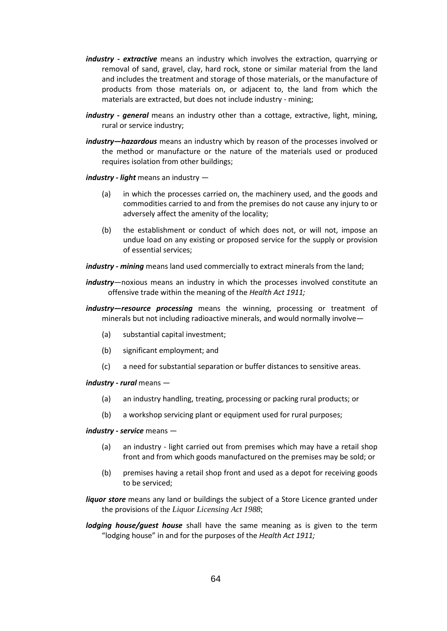- *industry - extractive* means an industry which involves the extraction, quarrying or removal of sand, gravel, clay, hard rock, stone or similar material from the land and includes the treatment and storage of those materials, or the manufacture of products from those materials on, or adjacent to, the land from which the materials are extracted, but does not include industry - mining;
- *industry - general* means an industry other than a cottage, extractive, light, mining, rural or service industry;
- *industry—hazardous* means an industry which by reason of the processes involved or the method or manufacture or the nature of the materials used or produced requires isolation from other buildings;

*industry - light* means an industry —

- (a) in which the processes carried on, the machinery used, and the goods and commodities carried to and from the premises do not cause any injury to or adversely affect the amenity of the locality;
- (b) the establishment or conduct of which does not, or will not, impose an undue load on any existing or proposed service for the supply or provision of essential services;

*industry - mining* means land used commercially to extract minerals from the land;

- *industry—*noxious means an industry in which the processes involved constitute an offensive trade within the meaning of the *Health Act 1911;*
- *industry—resource processing* means the winning, processing or treatment of minerals but not including radioactive minerals, and would normally involve—
	- (a) substantial capital investment;
	- (b) significant employment; and
	- (c) a need for substantial separation or buffer distances to sensitive areas.

*industry - rural* means —

- (a) an industry handling, treating, processing or packing rural products; or
- (b) a workshop servicing plant or equipment used for rural purposes;

*industry - service* means —

- (a) an industry light carried out from premises which may have a retail shop front and from which goods manufactured on the premises may be sold; or
- (b) premises having a retail shop front and used as a depot for receiving goods to be serviced;
- *liquor store* means any land or buildings the subject of a Store Licence granted under the provisions of the *Liquor Licensing Act 1988*;
- *lodging house/guest house* shall have the same meaning as is given to the term "lodging house" in and for the purposes of the *Health Act 1911;*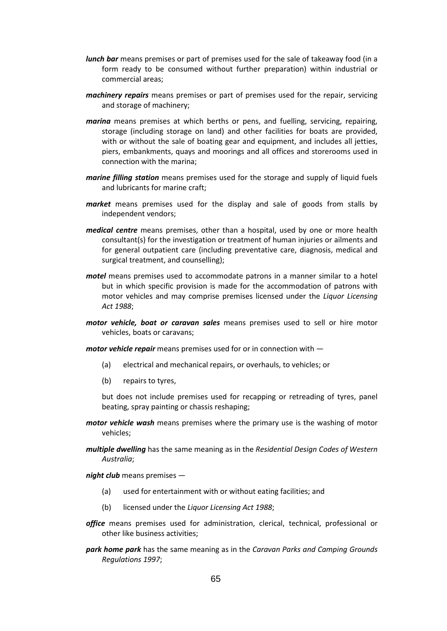- *lunch bar* means premises or part of premises used for the sale of takeaway food (in a form ready to be consumed without further preparation) within industrial or commercial areas;
- *machinery repairs* means premises or part of premises used for the repair, servicing and storage of machinery;
- *marina* means premises at which berths or pens, and fuelling, servicing, repairing, storage (including storage on land) and other facilities for boats are provided, with or without the sale of boating gear and equipment, and includes all jetties, piers, embankments, quays and moorings and all offices and storerooms used in connection with the marina;
- *marine filling station* means premises used for the storage and supply of liquid fuels and lubricants for marine craft;
- *market* means premises used for the display and sale of goods from stalls by independent vendors;
- *medical centre* means premises, other than a hospital, used by one or more health consultant(s) for the investigation or treatment of human injuries or ailments and for general outpatient care (including preventative care, diagnosis, medical and surgical treatment, and counselling);
- *motel* means premises used to accommodate patrons in a manner similar to a hotel but in which specific provision is made for the accommodation of patrons with motor vehicles and may comprise premises licensed under the *Liquor Licensing Act 1988*;
- *motor vehicle, boat or caravan sales* means premises used to sell or hire motor vehicles, boats or caravans;

*motor vehicle repair* means premises used for or in connection with —

- (a) electrical and mechanical repairs, or overhauls, to vehicles; or
- (b) repairs to tyres,

but does not include premises used for recapping or retreading of tyres, panel beating, spray painting or chassis reshaping;

- *motor vehicle wash* means premises where the primary use is the washing of motor vehicles;
- *multiple dwelling* has the same meaning as in the *Residential Design Codes of Western Australia*;

*night club* means premises —

- (a) used for entertainment with or without eating facilities; and
- (b) licensed under the *Liquor Licensing Act 1988*;
- *office* means premises used for administration, clerical, technical, professional or other like business activities;
- *park home park* has the same meaning as in the *Caravan Parks and Camping Grounds Regulations 1997*;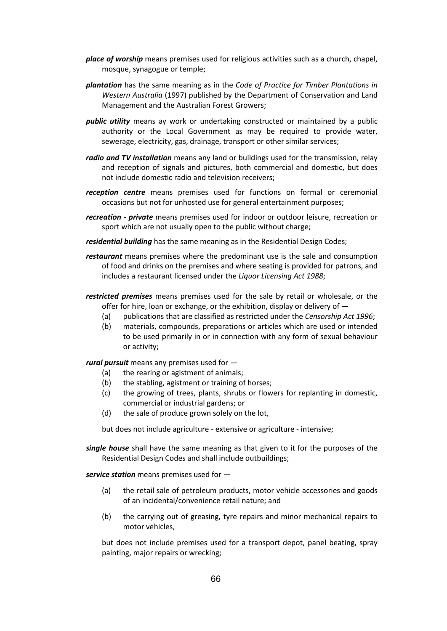- *place of worship* means premises used for religious activities such as a church, chapel, mosque, synagogue or temple;
- *plantation* has the same meaning as in the *Code of Practice for Timber Plantations in Western Australia* (1997) published by the Department of Conservation and Land Management and the Australian Forest Growers;
- *public utility* means ay work or undertaking constructed or maintained by a public authority or the Local Government as may be required to provide water, sewerage, electricity, gas, drainage, transport or other similar services;
- *radio and TV installation* means any land or buildings used for the transmission, relay and reception of signals and pictures, both commercial and domestic, but does not include domestic radio and television receivers;
- *reception centre* means premises used for functions on formal or ceremonial occasions but not for unhosted use for general entertainment purposes;
- *recreation - private* means premises used for indoor or outdoor leisure, recreation or sport which are not usually open to the public without charge;
- *residential building* has the same meaning as in the Residential Design Codes;
- *restaurant* means premises where the predominant use is the sale and consumption of food and drinks on the premises and where seating is provided for patrons, and includes a restaurant licensed under the *Liquor Licensing Act 1988*;
- *restricted premises* means premises used for the sale by retail or wholesale, or the offer for hire, loan or exchange, or the exhibition, display or delivery of —
	- (a) publications that are classified as restricted under the *Censorship Act 1996*;
	- (b) materials, compounds, preparations or articles which are used or intended to be used primarily in or in connection with any form of sexual behaviour or activity;

*rural pursuit* means any premises used for —

- (a) the rearing or agistment of animals;
- (b) the stabling, agistment or training of horses;
- (c) the growing of trees, plants, shrubs or flowers for replanting in domestic, commercial or industrial gardens; or
- (d) the sale of produce grown solely on the lot,

but does not include agriculture - extensive or agriculture - intensive;

*single house* shall have the same meaning as that given to it for the purposes of the Residential Design Codes and shall include outbuildings;

*service station* means premises used for —

- (a) the retail sale of petroleum products, motor vehicle accessories and goods of an incidental/convenience retail nature; and
- (b) the carrying out of greasing, tyre repairs and minor mechanical repairs to motor vehicles,

but does not include premises used for a transport depot, panel beating, spray painting, major repairs or wrecking;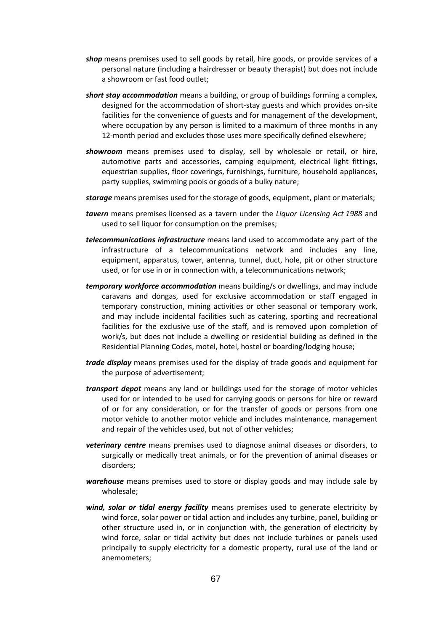- *shop* means premises used to sell goods by retail, hire goods, or provide services of a personal nature (including a hairdresser or beauty therapist) but does not include a showroom or fast food outlet;
- *short stay accommodation* means a building, or group of buildings forming a complex, designed for the accommodation of short-stay guests and which provides on-site facilities for the convenience of guests and for management of the development, where occupation by any person is limited to a maximum of three months in any 12-month period and excludes those uses more specifically defined elsewhere;
- *showroom* means premises used to display, sell by wholesale or retail, or hire, automotive parts and accessories, camping equipment, electrical light fittings, equestrian supplies, floor coverings, furnishings, furniture, household appliances, party supplies, swimming pools or goods of a bulky nature;
- *storage* means premises used for the storage of goods, equipment, plant or materials;
- *tavern* means premises licensed as a tavern under the *Liquor Licensing Act 1988* and used to sell liquor for consumption on the premises;
- *telecommunications infrastructure* means land used to accommodate any part of the infrastructure of a telecommunications network and includes any line, equipment, apparatus, tower, antenna, tunnel, duct, hole, pit or other structure used, or for use in or in connection with, a telecommunications network;
- *temporary workforce accommodation* means building/s or dwellings, and may include caravans and dongas, used for exclusive accommodation or staff engaged in temporary construction, mining activities or other seasonal or temporary work, and may include incidental facilities such as catering, sporting and recreational facilities for the exclusive use of the staff, and is removed upon completion of work/s, but does not include a dwelling or residential building as defined in the Residential Planning Codes, motel, hotel, hostel or boarding/lodging house;
- *trade display* means premises used for the display of trade goods and equipment for the purpose of advertisement;
- *transport depot* means any land or buildings used for the storage of motor vehicles used for or intended to be used for carrying goods or persons for hire or reward of or for any consideration, or for the transfer of goods or persons from one motor vehicle to another motor vehicle and includes maintenance, management and repair of the vehicles used, but not of other vehicles;
- *veterinary centre* means premises used to diagnose animal diseases or disorders, to surgically or medically treat animals, or for the prevention of animal diseases or disorders;
- *warehouse* means premises used to store or display goods and may include sale by wholesale;
- *wind, solar or tidal energy facility* means premises used to generate electricity by wind force, solar power or tidal action and includes any turbine, panel, building or other structure used in, or in conjunction with, the generation of electricity by wind force, solar or tidal activity but does not include turbines or panels used principally to supply electricity for a domestic property, rural use of the land or anemometers;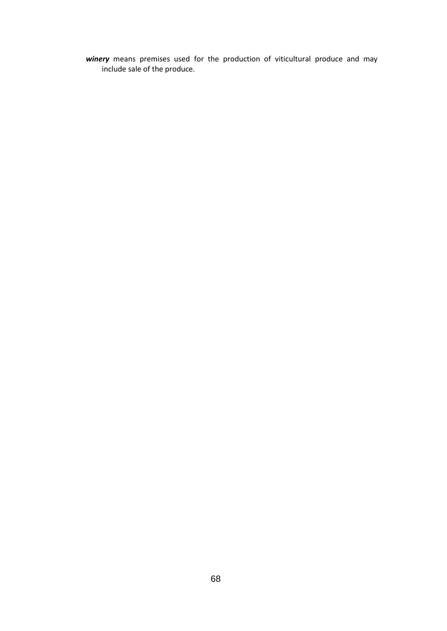*winery* means premises used for the production of viticultural produce and may include sale of the produce.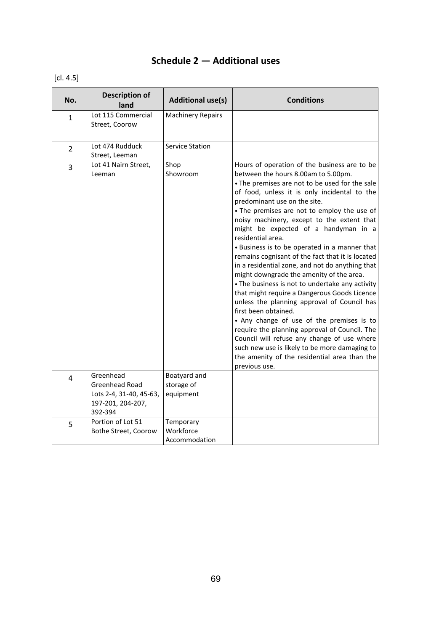# **Schedule 2 — Additional uses**

# [cl. 4.5]

| No.            | <b>Description of</b><br>land                                                          | <b>Additional use(s)</b>                | <b>Conditions</b>                                                                                                                                                                                                                                                                                                                                                                                                                                                                                                                                                                                                                                                                                                                                                                                                                                                                                                                                                                                                            |
|----------------|----------------------------------------------------------------------------------------|-----------------------------------------|------------------------------------------------------------------------------------------------------------------------------------------------------------------------------------------------------------------------------------------------------------------------------------------------------------------------------------------------------------------------------------------------------------------------------------------------------------------------------------------------------------------------------------------------------------------------------------------------------------------------------------------------------------------------------------------------------------------------------------------------------------------------------------------------------------------------------------------------------------------------------------------------------------------------------------------------------------------------------------------------------------------------------|
| $\mathbf{1}$   | Lot 115 Commercial<br>Street, Coorow                                                   | <b>Machinery Repairs</b>                |                                                                                                                                                                                                                                                                                                                                                                                                                                                                                                                                                                                                                                                                                                                                                                                                                                                                                                                                                                                                                              |
| $\overline{2}$ | Lot 474 Rudduck<br>Street, Leeman                                                      | <b>Service Station</b>                  |                                                                                                                                                                                                                                                                                                                                                                                                                                                                                                                                                                                                                                                                                                                                                                                                                                                                                                                                                                                                                              |
| 3              | Lot 41 Nairn Street,<br>Leeman                                                         | Shop<br>Showroom                        | Hours of operation of the business are to be<br>between the hours 8.00am to 5.00pm.<br>• The premises are not to be used for the sale<br>of food, unless it is only incidental to the<br>predominant use on the site.<br>• The premises are not to employ the use of<br>noisy machinery, except to the extent that<br>might be expected of a handyman in a<br>residential area.<br>• Business is to be operated in a manner that<br>remains cognisant of the fact that it is located<br>in a residential zone, and not do anything that<br>might downgrade the amenity of the area.<br>• The business is not to undertake any activity<br>that might require a Dangerous Goods Licence<br>unless the planning approval of Council has<br>first been obtained.<br>• Any change of use of the premises is to<br>require the planning approval of Council. The<br>Council will refuse any change of use where<br>such new use is likely to be more damaging to<br>the amenity of the residential area than the<br>previous use. |
| 4              | Greenhead<br>Greenhead Road<br>Lots 2-4, 31-40, 45-63,<br>197-201, 204-207,<br>392-394 | Boatyard and<br>storage of<br>equipment |                                                                                                                                                                                                                                                                                                                                                                                                                                                                                                                                                                                                                                                                                                                                                                                                                                                                                                                                                                                                                              |
| 5              | Portion of Lot 51<br>Bothe Street, Coorow                                              | Temporary<br>Workforce<br>Accommodation |                                                                                                                                                                                                                                                                                                                                                                                                                                                                                                                                                                                                                                                                                                                                                                                                                                                                                                                                                                                                                              |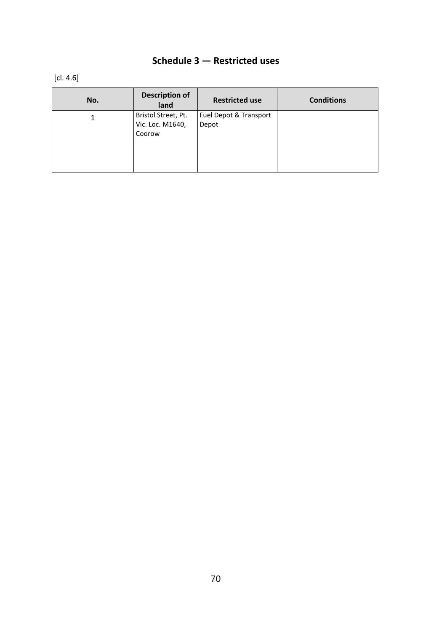# **Schedule 3 — Restricted uses**

[cl. 4.6]

| No. | <b>Description of</b><br>land | <b>Restricted use</b>  | <b>Conditions</b> |
|-----|-------------------------------|------------------------|-------------------|
|     | Bristol Street, Pt.           | Fuel Depot & Transport |                   |
|     | Vic. Loc. M1640,              | Depot                  |                   |
|     | Coorow                        |                        |                   |
|     |                               |                        |                   |
|     |                               |                        |                   |
|     |                               |                        |                   |
|     |                               |                        |                   |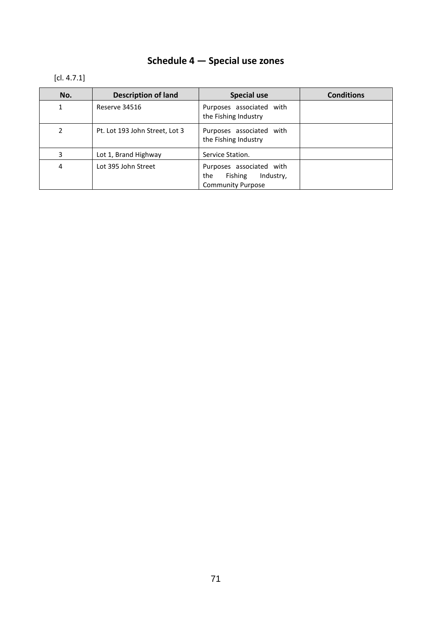# **Schedule 4 — Special use zones**

# [cl. 4.7.1]

| No.          | <b>Description of land</b>     | <b>Special use</b>                                                                  | <b>Conditions</b> |
|--------------|--------------------------------|-------------------------------------------------------------------------------------|-------------------|
| $\mathbf{1}$ | Reserve 34516                  | Purposes associated with<br>the Fishing Industry                                    |                   |
| 2            | Pt. Lot 193 John Street, Lot 3 | Purposes associated with<br>the Fishing Industry                                    |                   |
| 3            | Lot 1, Brand Highway           | Service Station.                                                                    |                   |
| 4            | Lot 395 John Street            | Purposes associated with<br>Fishing<br>Industry,<br>the<br><b>Community Purpose</b> |                   |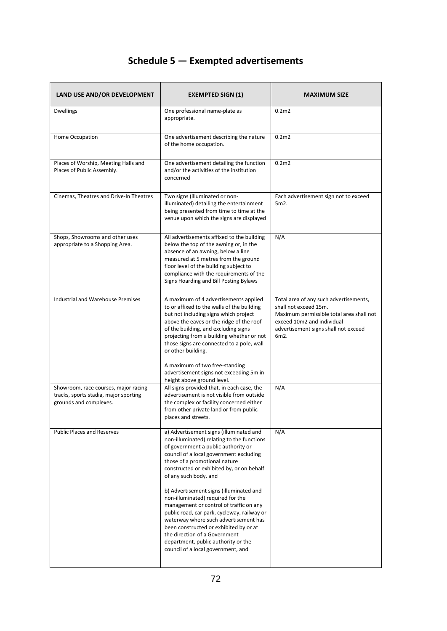# **Schedule 5 — Exempted advertisements**

| LAND USE AND/OR DEVELOPMENT                                                                             | <b>EXEMPTED SIGN (1)</b>                                                                                                                                                                                                                                                                                                                                                                                                                                                                                                                                                                                                                                  | <b>MAXIMUM SIZE</b>                                                                                                                                                                       |
|---------------------------------------------------------------------------------------------------------|-----------------------------------------------------------------------------------------------------------------------------------------------------------------------------------------------------------------------------------------------------------------------------------------------------------------------------------------------------------------------------------------------------------------------------------------------------------------------------------------------------------------------------------------------------------------------------------------------------------------------------------------------------------|-------------------------------------------------------------------------------------------------------------------------------------------------------------------------------------------|
| <b>Dwellings</b>                                                                                        | One professional name-plate as<br>appropriate.                                                                                                                                                                                                                                                                                                                                                                                                                                                                                                                                                                                                            | 0.2 <sub>m2</sub>                                                                                                                                                                         |
| Home Occupation                                                                                         | One advertisement describing the nature<br>of the home occupation.                                                                                                                                                                                                                                                                                                                                                                                                                                                                                                                                                                                        | 0.2 <sub>m2</sub>                                                                                                                                                                         |
| Places of Worship, Meeting Halls and<br>Places of Public Assembly.                                      | One advertisement detailing the function<br>and/or the activities of the institution<br>concerned                                                                                                                                                                                                                                                                                                                                                                                                                                                                                                                                                         | 0.2 <sub>m2</sub>                                                                                                                                                                         |
| Cinemas, Theatres and Drive-In Theatres                                                                 | Two signs (illuminated or non-<br>illuminated) detailing the entertainment<br>being presented from time to time at the<br>venue upon which the signs are displayed                                                                                                                                                                                                                                                                                                                                                                                                                                                                                        | Each advertisement sign not to exceed<br>5m2.                                                                                                                                             |
| Shops, Showrooms and other uses<br>appropriate to a Shopping Area.                                      | All advertisements affixed to the building<br>below the top of the awning or, in the<br>absence of an awning, below a line<br>measured at 5 metres from the ground<br>floor level of the building subject to<br>compliance with the requirements of the<br>Signs Hoarding and Bill Posting Bylaws                                                                                                                                                                                                                                                                                                                                                         | N/A                                                                                                                                                                                       |
| <b>Industrial and Warehouse Premises</b>                                                                | A maximum of 4 advertisements applied<br>to or affixed to the walls of the building<br>but not including signs which project<br>above the eaves or the ridge of the roof<br>of the building, and excluding signs<br>projecting from a building whether or not<br>those signs are connected to a pole, wall<br>or other building.<br>A maximum of two free-standing<br>advertisement signs not exceeding 5m in                                                                                                                                                                                                                                             | Total area of any such advertisements,<br>shall not exceed 15m.<br>Maximum permissible total area shall not<br>exceed 10m2 and individual<br>advertisement signs shall not exceed<br>6m2. |
| Showroom, race courses, major racing<br>tracks, sports stadia, major sporting<br>grounds and complexes. | height above ground level.<br>All signs provided that, in each case, the<br>advertisement is not visible from outside<br>the complex or facility concerned either<br>from other private land or from public<br>places and streets.                                                                                                                                                                                                                                                                                                                                                                                                                        | N/A                                                                                                                                                                                       |
| <b>Public Places and Reserves</b>                                                                       | a) Advertisement signs (illuminated and<br>non-illuminated) relating to the functions<br>of government a public authority or<br>council of a local government excluding<br>those of a promotional nature<br>constructed or exhibited by, or on behalf<br>of any such body, and<br>b) Advertisement signs (illuminated and<br>non-illuminated) required for the<br>management or control of traffic on any<br>public road, car park, cycleway, railway or<br>waterway where such advertisement has<br>been constructed or exhibited by or at<br>the direction of a Government<br>department, public authority or the<br>council of a local government, and | N/A                                                                                                                                                                                       |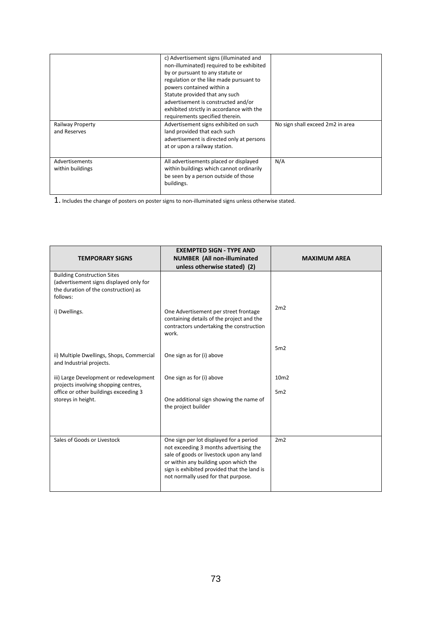| <b>Railway Property</b><br>and Reserves<br>Advertisements<br>within buildings | Advertisement signs exhibited on such<br>land provided that each such<br>advertisement is directed only at persons<br>at or upon a railway station.<br>All advertisements placed or displayed<br>within buildings which cannot ordinarily<br>be seen by a person outside of those                                                                         | No sign shall exceed 2m2 in area<br>N/A |
|-------------------------------------------------------------------------------|-----------------------------------------------------------------------------------------------------------------------------------------------------------------------------------------------------------------------------------------------------------------------------------------------------------------------------------------------------------|-----------------------------------------|
|                                                                               | c) Advertisement signs (illuminated and<br>non-illuminated) required to be exhibited<br>by or pursuant to any statute or<br>regulation or the like made pursuant to<br>powers contained within a<br>Statute provided that any such<br>advertisement is constructed and/or<br>exhibited strictly in accordance with the<br>requirements specified therein. |                                         |

1. Includes the change of posters on poster signs to non-illuminated signs unless otherwise stated.

| <b>TEMPORARY SIGNS</b>                                                                                                                         | <b>EXEMPTED SIGN - TYPE AND</b><br><b>NUMBER (All non-illuminated</b><br>unless otherwise stated) (2)                                                                                                                                                        | <b>MAXIMUM AREA</b>     |
|------------------------------------------------------------------------------------------------------------------------------------------------|--------------------------------------------------------------------------------------------------------------------------------------------------------------------------------------------------------------------------------------------------------------|-------------------------|
| <b>Building Construction Sites</b><br>(advertisement signs displayed only for<br>the duration of the construction) as<br>follows:              |                                                                                                                                                                                                                                                              |                         |
| i) Dwellings.                                                                                                                                  | One Advertisement per street frontage<br>containing details of the project and the<br>contractors undertaking the construction<br>work.                                                                                                                      | 2m2                     |
| ii) Multiple Dwellings, Shops, Commercial<br>and Industrial projects.                                                                          | One sign as for (i) above                                                                                                                                                                                                                                    | 5m2                     |
| iii) Large Development or redevelopment<br>projects involving shopping centres,<br>office or other buildings exceeding 3<br>storeys in height. | One sign as for (i) above<br>One additional sign showing the name of<br>the project builder                                                                                                                                                                  | 10 <sub>m2</sub><br>5m2 |
| Sales of Goods or Livestock                                                                                                                    | One sign per lot displayed for a period<br>not exceeding 3 months advertising the<br>sale of goods or livestock upon any land<br>or within any building upon which the<br>sign is exhibited provided that the land is<br>not normally used for that purpose. | 2m2                     |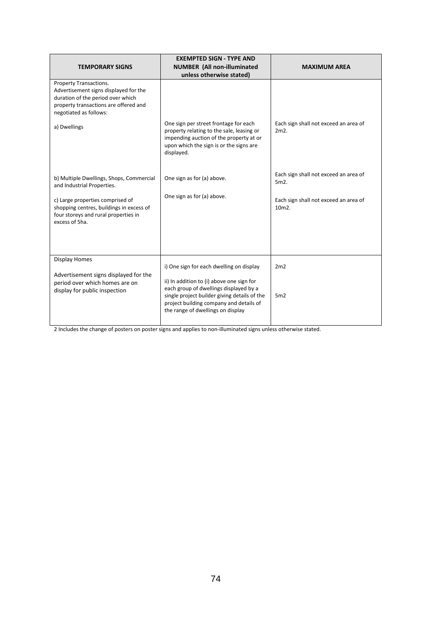| <b>EXEMPTED SIGN - TYPE AND</b><br><b>NUMBER (All non-illuminated</b><br><b>TEMPORARY SIGNS</b><br>unless otherwise stated)                                             |                                                                                                                                                                                                                     | <b>MAXIMUM AREA</b>                            |
|-------------------------------------------------------------------------------------------------------------------------------------------------------------------------|---------------------------------------------------------------------------------------------------------------------------------------------------------------------------------------------------------------------|------------------------------------------------|
| Property Transactions.<br>Advertisement signs displayed for the<br>duration of the period over which<br>property transactions are offered and<br>negotiated as follows: |                                                                                                                                                                                                                     |                                                |
| a) Dwellings                                                                                                                                                            | One sign per street frontage for each<br>property relating to the sale, leasing or<br>impending auction of the property at or<br>upon which the sign is or the signs are<br>displayed.                              | Each sign shall not exceed an area of<br>2m2.  |
| b) Multiple Dwellings, Shops, Commercial<br>and Industrial Properties.                                                                                                  | One sign as for (a) above.                                                                                                                                                                                          | Each sign shall not exceed an area of<br>5m2.  |
| c) Large properties comprised of<br>shopping centres, buildings in excess of<br>four storeys and rural properties in<br>excess of 5ha.                                  | One sign as for (a) above.                                                                                                                                                                                          | Each sign shall not exceed an area of<br>10m2. |
|                                                                                                                                                                         |                                                                                                                                                                                                                     |                                                |
| <b>Display Homes</b>                                                                                                                                                    | i) One sign for each dwelling on display                                                                                                                                                                            | 2m2                                            |
| Advertisement signs displayed for the<br>period over which homes are on<br>display for public inspection                                                                | ii) In addition to (i) above one sign for<br>each group of dwellings displayed by a<br>single project builder giving details of the<br>project building company and details of<br>the range of dwellings on display | 5m2                                            |

2 Includes the change of posters on poster signs and applies to non-illuminated signs unless otherwise stated.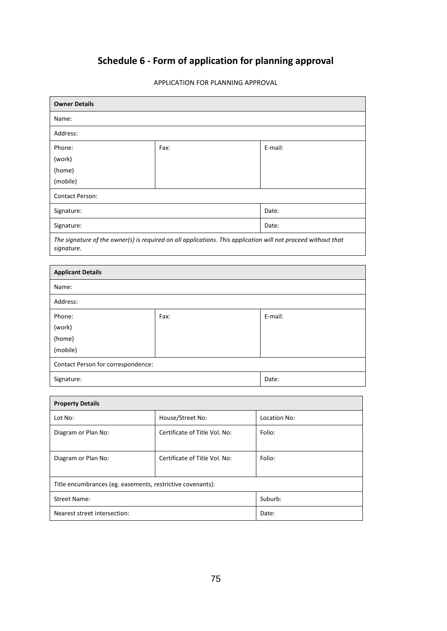# **Schedule 6 - Form of application for planning approval**

| <b>Owner Details</b>                                                                                                        |      |         |
|-----------------------------------------------------------------------------------------------------------------------------|------|---------|
| Name:                                                                                                                       |      |         |
| Address:                                                                                                                    |      |         |
| Phone:                                                                                                                      | Fax: | E-mail: |
| (work)                                                                                                                      |      |         |
| (home)                                                                                                                      |      |         |
| (mobile)                                                                                                                    |      |         |
| <b>Contact Person:</b>                                                                                                      |      |         |
| Signature:                                                                                                                  |      | Date:   |
| Signature:                                                                                                                  |      | Date:   |
| The signature of the owner(s) is required on all applications. This application will not proceed without that<br>signature. |      |         |

APPLICATION FOR PLANNING APPROVAL

| <b>Applicant Details</b>           |      |         |
|------------------------------------|------|---------|
| Name:                              |      |         |
| Address:                           |      |         |
| Phone:                             | Fax: | E-mail: |
| (work)                             |      |         |
| (home)                             |      |         |
| (mobile)                           |      |         |
| Contact Person for correspondence: |      |         |
| Signature:<br>Date:                |      |         |

| <b>Property Details</b>                                    |                               |              |
|------------------------------------------------------------|-------------------------------|--------------|
| Lot No:                                                    | House/Street No:              | Location No: |
| Diagram or Plan No:                                        | Certificate of Title Vol. No: | Folio:       |
|                                                            |                               |              |
| Diagram or Plan No:                                        | Certificate of Title Vol. No: | Folio:       |
|                                                            |                               |              |
| Title encumbrances (eg. easements, restrictive covenants): |                               |              |
| <b>Street Name:</b>                                        |                               | Suburb:      |
| Nearest street intersection:                               |                               | Date:        |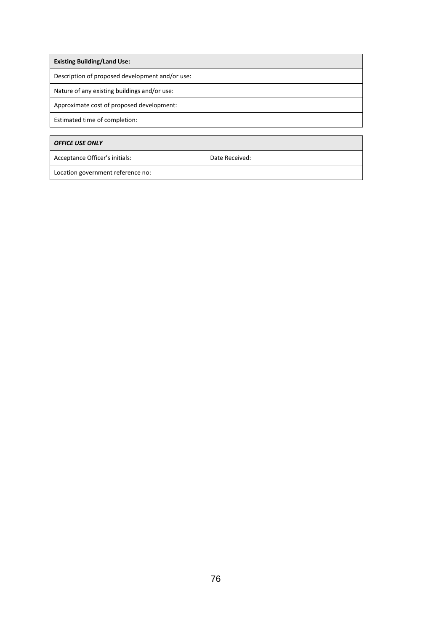| <b>Existing Building/Land Use:</b>               |  |  |
|--------------------------------------------------|--|--|
| Description of proposed development and/or use:  |  |  |
| Nature of any existing buildings and/or use:     |  |  |
| Approximate cost of proposed development:        |  |  |
| Estimated time of completion:                    |  |  |
|                                                  |  |  |
| <b>OFFICE USE ONLY</b>                           |  |  |
| Acceptance Officer's initials:<br>Date Received: |  |  |
| Location government reference no:                |  |  |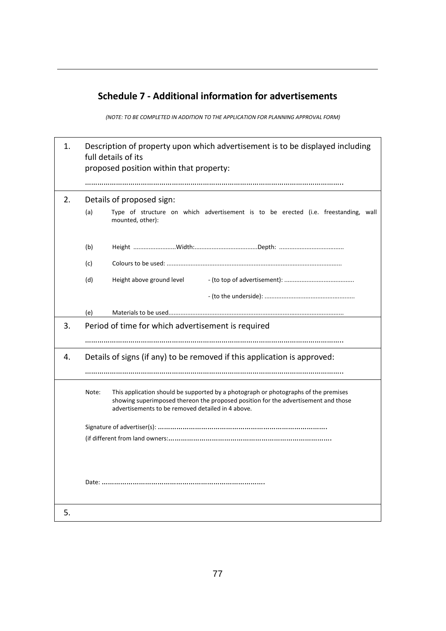### **Schedule 7 - Additional information for advertisements**

*(NOTE: TO BE COMPLETED IN ADDITION TO THE APPLICATION FOR PLANNING APPROVAL FORM)*

| 1. | Description of property upon which advertisement is to be displayed including<br>full details of its<br>proposed position within that property:                                                                                         |  |  |
|----|-----------------------------------------------------------------------------------------------------------------------------------------------------------------------------------------------------------------------------------------|--|--|
|    |                                                                                                                                                                                                                                         |  |  |
| 2. | Details of proposed sign:                                                                                                                                                                                                               |  |  |
|    | Type of structure on which advertisement is to be erected (i.e. freestanding, wall<br>(a)<br>mounted, other):                                                                                                                           |  |  |
|    | (b)                                                                                                                                                                                                                                     |  |  |
|    | (c)                                                                                                                                                                                                                                     |  |  |
|    | Height above ground level<br>(d)                                                                                                                                                                                                        |  |  |
|    |                                                                                                                                                                                                                                         |  |  |
|    | (e)                                                                                                                                                                                                                                     |  |  |
| 3. | Period of time for which advertisement is required                                                                                                                                                                                      |  |  |
|    |                                                                                                                                                                                                                                         |  |  |
| 4. | Details of signs (if any) to be removed if this application is approved:                                                                                                                                                                |  |  |
|    |                                                                                                                                                                                                                                         |  |  |
|    | This application should be supported by a photograph or photographs of the premises<br>Note:<br>showing superimposed thereon the proposed position for the advertisement and those<br>advertisements to be removed detailed in 4 above. |  |  |
|    |                                                                                                                                                                                                                                         |  |  |
|    |                                                                                                                                                                                                                                         |  |  |
|    |                                                                                                                                                                                                                                         |  |  |
| 5. |                                                                                                                                                                                                                                         |  |  |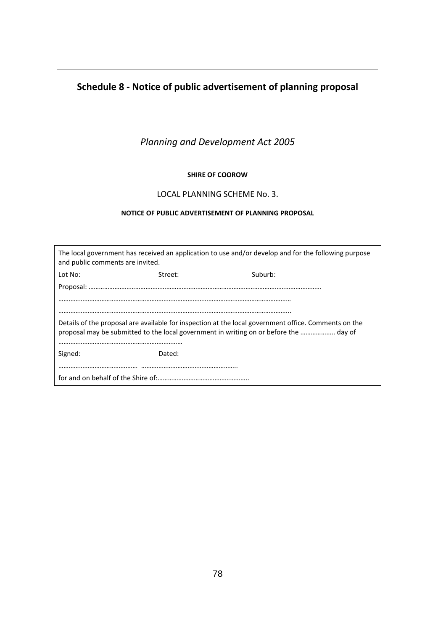### **Schedule 8 - Notice of public advertisement of planning proposal**

*Planning and Development Act 2005*

#### **SHIRE OF COOROW**

#### LOCAL PLANNING SCHEME No. 3.

#### **NOTICE OF PUBLIC ADVERTISEMENT OF PLANNING PROPOSAL**

| The local government has received an application to use and/or develop and for the following purpose<br>and public comments are invited.                                                      |         |         |
|-----------------------------------------------------------------------------------------------------------------------------------------------------------------------------------------------|---------|---------|
| Lot No:                                                                                                                                                                                       | Street: | Suburb: |
|                                                                                                                                                                                               |         |         |
|                                                                                                                                                                                               |         |         |
|                                                                                                                                                                                               |         |         |
| Details of the proposal are available for inspection at the local government office. Comments on the<br>proposal may be submitted to the local government in writing on or before the  day of |         |         |
| Signed:<br>Dated:                                                                                                                                                                             |         |         |
|                                                                                                                                                                                               |         |         |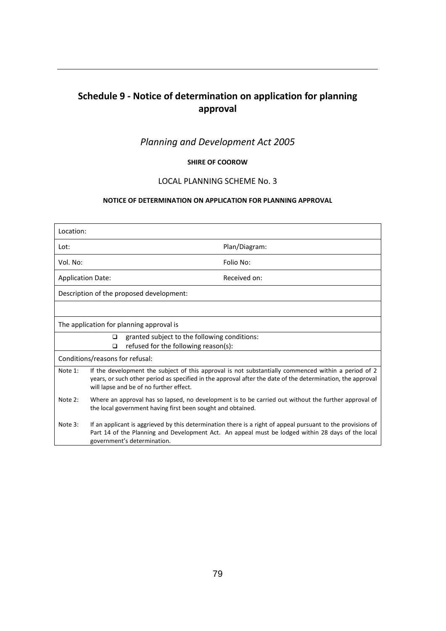## **Schedule 9 - Notice of determination on application for planning approval**

### *Planning and Development Act 2005*

#### **SHIRE OF COOROW**

#### LOCAL PLANNING SCHEME No. 3

#### **NOTICE OF DETERMINATION ON APPLICATION FOR PLANNING APPROVAL**

| Location:                                                                                      |                                                                                                                                                                                                                                                              |               |
|------------------------------------------------------------------------------------------------|--------------------------------------------------------------------------------------------------------------------------------------------------------------------------------------------------------------------------------------------------------------|---------------|
| Lot:                                                                                           |                                                                                                                                                                                                                                                              | Plan/Diagram: |
| Vol. No:                                                                                       |                                                                                                                                                                                                                                                              | Folio No:     |
| <b>Application Date:</b>                                                                       |                                                                                                                                                                                                                                                              | Received on:  |
|                                                                                                | Description of the proposed development:                                                                                                                                                                                                                     |               |
|                                                                                                |                                                                                                                                                                                                                                                              |               |
|                                                                                                | The application for planning approval is                                                                                                                                                                                                                     |               |
| granted subject to the following conditions:<br>□<br>refused for the following reason(s):<br>◻ |                                                                                                                                                                                                                                                              |               |
|                                                                                                | Conditions/reasons for refusal:                                                                                                                                                                                                                              |               |
| Note 1:                                                                                        | If the development the subject of this approval is not substantially commenced within a period of 2<br>years, or such other period as specified in the approval after the date of the determination, the approval<br>will lapse and be of no further effect. |               |
| Note 2:                                                                                        | Where an approval has so lapsed, no development is to be carried out without the further approval of<br>the local government having first been sought and obtained.                                                                                          |               |
| Note 3:                                                                                        | If an applicant is aggrieved by this determination there is a right of appeal pursuant to the provisions of<br>Part 14 of the Planning and Development Act. An appeal must be lodged within 28 days of the local<br>government's determination.              |               |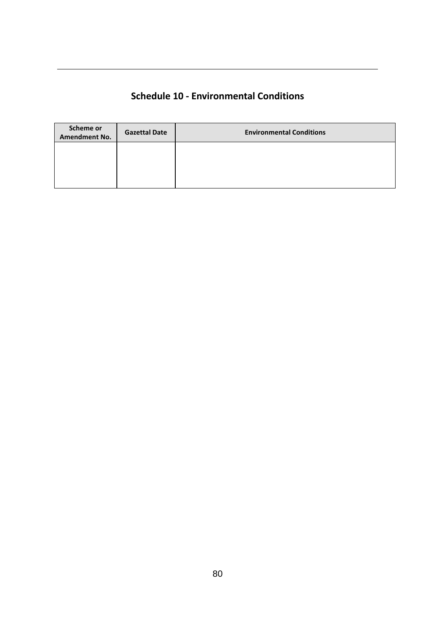### **Schedule 10 - Environmental Conditions**

| Scheme or<br><b>Amendment No.</b> | <b>Gazettal Date</b> | <b>Environmental Conditions</b> |
|-----------------------------------|----------------------|---------------------------------|
|                                   |                      |                                 |
|                                   |                      |                                 |
|                                   |                      |                                 |